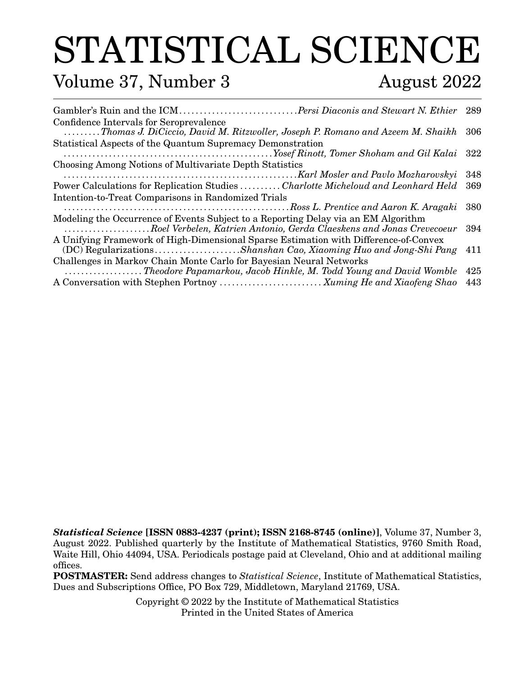# STATISTICAL SCIENCE

### Volume 37, Number 3 August 2022

| Gambler's Ruin and the ICMPersi Diaconis and Stewart N. Ethier 289                                                                                       |      |
|----------------------------------------------------------------------------------------------------------------------------------------------------------|------|
| Confidence Intervals for Seroprevalence<br>Thomas J. DiCiccio, David M. Ritzwoller, Joseph P. Romano and Azeem M. Shaikh                                 | -306 |
| Statistical Aspects of the Quantum Supremacy Demonstration                                                                                               |      |
|                                                                                                                                                          |      |
| Choosing Among Notions of Multivariate Depth Statistics                                                                                                  |      |
|                                                                                                                                                          | 348  |
| Power Calculations for Replication Studies Charlotte Micheloud and Leonhard Held                                                                         | 369  |
| Intention-to-Treat Comparisons in Randomized Trials                                                                                                      |      |
|                                                                                                                                                          | 380  |
| Modeling the Occurrence of Events Subject to a Reporting Delay via an EM Algorithm                                                                       |      |
| Roel Verbelen, Katrien Antonio, Gerda Claeskens and Jonas Crevecoeur 394                                                                                 |      |
| A Unifying Framework of High-Dimensional Sparse Estimation with Difference-of-Convex<br>(DC) RegularizationsShanshan Cao, Xiaoming Huo and Jong-Shi Pang | 411  |
| Challenges in Markov Chain Monte Carlo for Bayesian Neural Networks                                                                                      |      |
| Theodore Papamarkou, Jacob Hinkle, M. Todd Young and David Womble                                                                                        | 425  |
| A Conversation with Stephen Portnoy  Xuming He and Xiaofeng Shao                                                                                         | 443  |

*Statistical Science* **[ISSN 0883-4237 (print); ISSN 2168-8745 (online)]**, Volume 37, Number 3, August 2022. Published quarterly by the Institute of Mathematical Statistics, 9760 Smith Road, Waite Hill, Ohio 44094, USA. Periodicals postage paid at Cleveland, Ohio and at additional mailing offices.

**POSTMASTER:** Send address changes to *Statistical Science*, Institute of Mathematical Statistics, Dues and Subscriptions Office, PO Box 729, Middletown, Maryland 21769, USA.

> Copyright © 2022 by the Institute of Mathematical Statistics Printed in the United States of America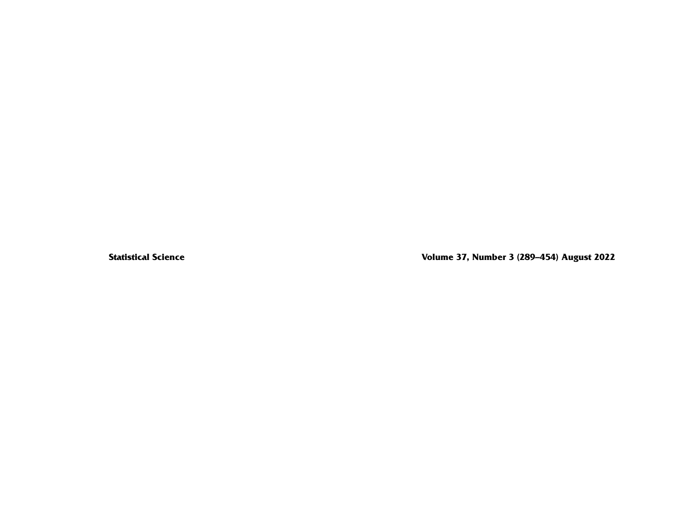**Statistical Science Volume 37, Number 3 (289–454) August 2022**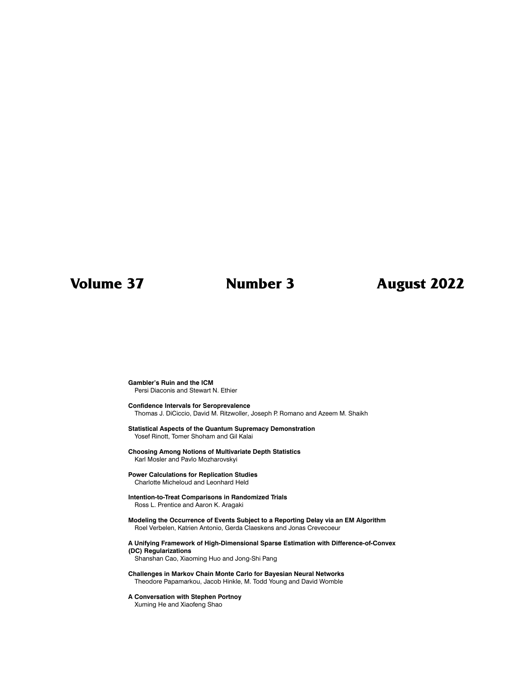### **Volume 37 Number 3 August 2022**

#### **Gambler's Ruin and the ICM** Persi Diaconis and Stewart N. Ethier

#### **Confidence Intervals for Seroprevalence** Thomas J. DiCiccio, David M. Ritzwoller, Joseph P. Romano and Azeem M. Shaikh

#### **Statistical Aspects of the Quantum Supremacy Demonstration** Yosef Rinott, Tomer Shoham and Gil Kalai

#### **Choosing Among Notions of Multivariate Depth Statistics** Karl Mosler and Pavlo Mozharovskyi

#### **Power Calculations for Replication Studies**

Charlotte Micheloud and Leonhard Held

#### **Intention-to-Treat Comparisons in Randomized Trials** Ross L. Prentice and Aaron K. Aragaki

#### **Modeling the Occurrence of Events Subject to a Reporting Delay via an EM Algorithm** Roel Verbelen, Katrien Antonio, Gerda Claeskens and Jonas Crevecoeur

#### **A Unifying Framework of High-Dimensional Sparse Estimation with Difference-of-Convex (DC) Regularizations**

Shanshan Cao, Xiaoming Huo and Jong-Shi Pang

#### **Challenges in Markov Chain Monte Carlo for Bayesian Neural Networks** Theodore Papamarkou, Jacob Hinkle, M. Todd Young and David Womble

#### **A Conversation with Stephen Portnoy**

Xuming He and Xiaofeng Shao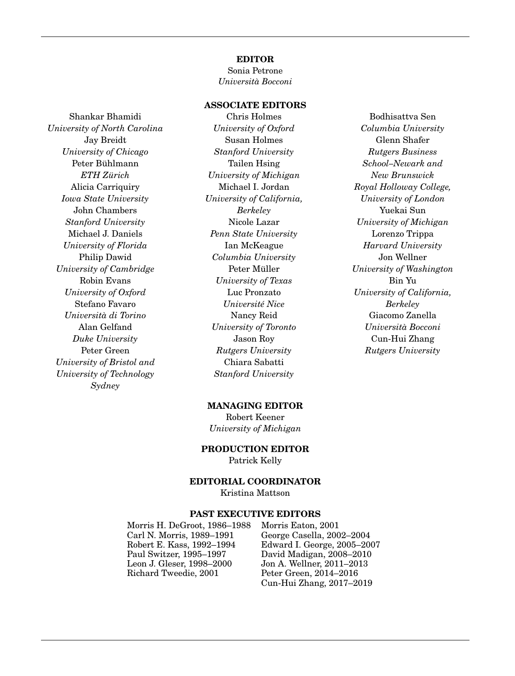#### **EDITOR**

Sonia Petrone *Università Bocconi*

#### **ASSOCIATE EDITORS**

Shankar Bhamidi *University of North Carolina* Jay Breidt *University of Chicago* Peter Bühlmann *ETH Zürich* Alicia Carriquiry *Iowa State University* John Chambers *Stanford University* Michael J. Daniels *University of Florida* Philip Dawid *University of Cambridge* Robin Evans *University of Oxford* Stefano Favaro *Università di Torino* Alan Gelfand *Duke University* Peter Green *University of Bristol and University of Technology Sydney*

Chris Holmes *University of Oxford* Susan Holmes *Stanford University* Tailen Hsing *University of Michigan* Michael I. Jordan *University of California, Berkeley* Nicole Lazar *Penn State University* Ian McKeague *Columbia University* Peter Müller *University of Texas* Luc Pronzato *Université Nice* Nancy Reid *University of Toronto* Jason Roy *Rutgers University* Chiara Sabatti *Stanford University*

Bodhisattva Sen *Columbia University* Glenn Shafer *Rutgers Business School–Newark and New Brunswick Royal Holloway College, University of London* Yuekai Sun *University of Michigan* Lorenzo Trippa *Harvard University* Jon Wellner *University of Washington* Bin Yu *University of California, Berkeley* Giacomo Zanella *Università Bocconi* Cun-Hui Zhang *Rutgers University*

#### **MANAGING EDITOR**

Robert Keener *University of Michigan*

**PRODUCTION EDITOR**

Patrick Kelly

#### **EDITORIAL COORDINATOR**

Kristina Mattson

#### **PAST EXECUTIVE EDITORS**

Morris H. DeGroot, 1986–1988 Morris Eaton, 2001 Carl N. Morris, 1989–1991 George Casella, 2002–2004 Robert E. Kass, 1992–1994 Edward I. George, 2005–2007 Paul Switzer, 1995–1997 David Madigan, 2008–2010 Leon J. Gleser, 1998–2000 Jon A. Wellner, 2011–2013<br>Richard Tweedie, 2001 Peter Green, 2014–2016

Peter Green, 2014–2016 Cun-Hui Zhang, 2017–2019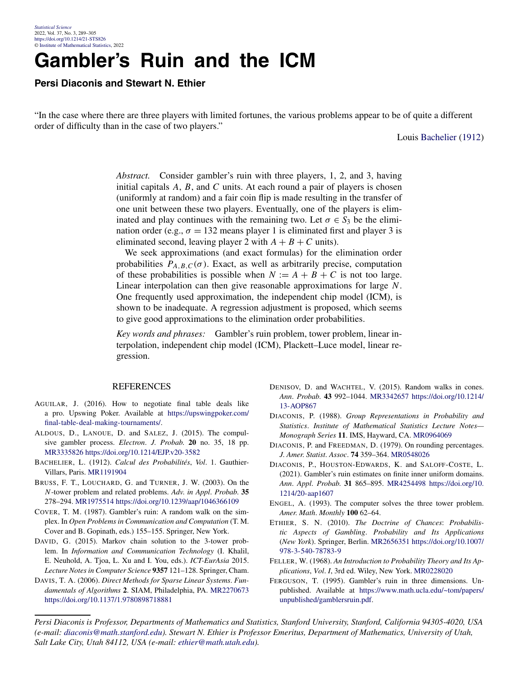### **Gambler's Ruin and the ICM**

**Persi Diaconis and Stewart N. Ethier**

"In the case where there are three players with limited fortunes, the various problems appear to be of quite a different order of difficulty than in the case of two players."

Louis Bachelier (1912)

*Abstract.* Consider gambler's ruin with three players, 1, 2, and 3, having initial capitals *A*, *B*, and *C* units. At each round a pair of players is chosen (uniformly at random) and a fair coin flip is made resulting in the transfer of one unit between these two players. Eventually, one of the players is eliminated and play continues with the remaining two. Let  $\sigma \in S_3$  be the elimination order (e.g.,  $\sigma = 132$  means player 1 is eliminated first and player 3 is eliminated second, leaving player 2 with  $A + B + C$  units).

We seek approximations (and exact formulas) for the elimination order probabilities  $P_{A,B,C}(\sigma)$ . Exact, as well as arbitrarily precise, computation of these probabilities is possible when  $N := A + B + C$  is not too large. Linear interpolation can then give reasonable approximations for large *N*. One frequently used approximation, the independent chip model (ICM), is shown to be inadequate. A regression adjustment is proposed, which seems to give good approximations to the elimination order probabilities.

*Key words and phrases:* Gambler's ruin problem, tower problem, linear interpolation, independent chip model (ICM), Plackett–Luce model, linear regression.

#### REFERENCES

- AGUILAR, J. (2016). How to negotiate final table deals like a pro. Upswing Poker. Available at [https://upswingpoker.com/](https://upswingpoker.com/final-table-deal-making-tournaments/) [final-table-deal-making-tournaments/](https://upswingpoker.com/final-table-deal-making-tournaments/).
- ALDOUS, D., LANOUE, D. and SALEZ, J. (2015). The compulsive gambler process. *Electron*. *J*. *Probab*. **20** no. 35, 18 pp. [MR3335826](http://www.ams.org/mathscinet-getitem?mr=3335826)<https://doi.org/10.1214/EJP.v20-3582>
- BACHELIER, L. (1912). *Calcul des Probabilités*, *Vol*. 1. Gauthier-Villars, Paris. [MR1191904](http://www.ams.org/mathscinet-getitem?mr=1191904)
- BRUSS, F. T., LOUCHARD, G. and TURNER, J. W. (2003). On the *N*-tower problem and related problems. *Adv*. *in Appl*. *Probab*. **35** 278–294. [MR1975514](http://www.ams.org/mathscinet-getitem?mr=1975514)<https://doi.org/10.1239/aap/1046366109>
- COVER, T. M. (1987). Gambler's ruin: A random walk on the simplex. In *Open Problems in Communication and Computation* (T. M. Cover and B. Gopinath, eds.) 155–155. Springer, New York.
- DAVID, G. (2015). Markov chain solution to the 3-tower problem. In *Information and Communication Technology* (I. Khalil, E. Neuhold, A. Tjoa, L. Xu and I. You, eds.). *ICT-EurAsia* 2015. *Lecture Notes in Computer Science* **9357** 121–128. Springer, Cham.
- DAVIS, T. A. (2006). *Direct Methods for Sparse Linear Systems*. *Fundamentals of Algorithms* **2**. SIAM, Philadelphia, PA. [MR2270673](http://www.ams.org/mathscinet-getitem?mr=2270673) <https://doi.org/10.1137/1.9780898718881>
- DENISOV, D. and WACHTEL, V. (2015). Random walks in cones. *Ann*. *Probab*. **43** 992–1044. [MR3342657](http://www.ams.org/mathscinet-getitem?mr=3342657) [https://doi.org/10.1214/](https://doi.org/10.1214/13-AOP867) [13-AOP867](https://doi.org/10.1214/13-AOP867)
- DIACONIS, P. (1988). *Group Representations in Probability and Statistics*. *Institute of Mathematical Statistics Lecture Notes— Monograph Series* **11**. IMS, Hayward, CA. [MR0964069](http://www.ams.org/mathscinet-getitem?mr=0964069)
- DIACONIS, P. and FREEDMAN, D. (1979). On rounding percentages. *J*. *Amer*. *Statist*. *Assoc*. **74** 359–364. [MR0548026](http://www.ams.org/mathscinet-getitem?mr=0548026)
- DIACONIS, P., HOUSTON-EDWARDS, K. and SALOFF-COSTE, L. (2021). Gambler's ruin estimates on finite inner uniform domains. *Ann*. *Appl*. *Probab*. **31** 865–895. [MR4254498](http://www.ams.org/mathscinet-getitem?mr=4254498) [https://doi.org/10.](https://doi.org/10.1214/20-aap1607) [1214/20-aap1607](https://doi.org/10.1214/20-aap1607)
- ENGEL, A. (1993). The computer solves the three tower problem. *Amer*. *Math*. *Monthly* **100** 62–64.
- ETHIER, S. N. (2010). *The Doctrine of Chances*: *Probabilistic Aspects of Gambling*. *Probability and Its Applications* (*New York*). Springer, Berlin. [MR2656351](http://www.ams.org/mathscinet-getitem?mr=2656351) [https://doi.org/10.1007/](https://doi.org/10.1007/978-3-540-78783-9) [978-3-540-78783-9](https://doi.org/10.1007/978-3-540-78783-9)
- FELLER, W. (1968). *An Introduction to Probability Theory and Its Applications*, *Vol*. *I*, 3rd ed. Wiley, New York. [MR0228020](http://www.ams.org/mathscinet-getitem?mr=0228020)
- FERGUSON, T. (1995). Gambler's ruin in three dimensions. Unpublished. Available at [https://www.math.ucla.edu/~tom/papers/](https://www.math.ucla.edu/~tom/papers/unpublished/gamblersruin.pdf) [unpublished/gamblersruin.pdf](https://www.math.ucla.edu/~tom/papers/unpublished/gamblersruin.pdf).

*Persi Diaconis is Professor, Departments of Mathematics and Statistics, Stanford University, Stanford, California 94305-4020, USA (e-mail: [diaconis@math.stanford.edu](mailto:diaconis@math.stanford.edu)). Stewart N. Ethier is Professor Emeritus, Department of Mathematics, University of Utah, Salt Lake City, Utah 84112, USA (e-mail: [ethier@math.utah.edu](mailto:ethier@math.utah.edu)).*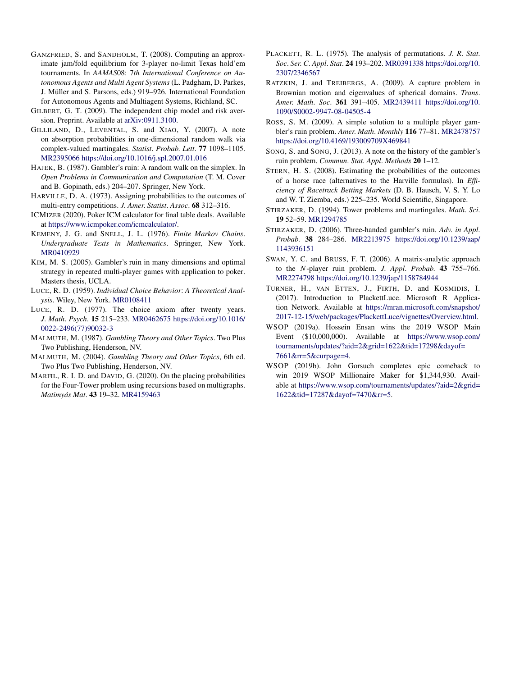- GANZFRIED, S. and SANDHOLM, T. (2008). Computing an approximate jam/fold equilibrium for 3-player no-limit Texas hold'em tournaments. In *AAMAS*08: 7*th International Conference on Autonomous Agents and Multi Agent Systems* (L. Padgham, D. Parkes, J. Müller and S. Parsons, eds.) 919–926. International Foundation for Autonomous Agents and Multiagent Systems, Richland, SC.
- GILBERT, G. T. (2009). The independent chip model and risk aversion. Preprint. Available at [arXiv:0911.3100.](http://arxiv.org/abs/arXiv:0911.3100)
- GILLILAND, D., LEVENTAL, S. and XIAO, Y. (2007). A note on absorption probabilities in one-dimensional random walk via complex-valued martingales. *Statist*. *Probab*. *Lett*. **77** 1098–1105. [MR2395066](http://www.ams.org/mathscinet-getitem?mr=2395066)<https://doi.org/10.1016/j.spl.2007.01.016>
- HAJEK, B. (1987). Gambler's ruin: A random walk on the simplex. In *Open Problems in Communication and Computation* (T. M. Cover and B. Gopinath, eds.) 204–207. Springer, New York.
- HARVILLE, D. A. (1973). Assigning probabilities to the outcomes of multi-entry competitions. *J*. *Amer*. *Statist*. *Assoc*. **68** 312–316.
- ICMIZER (2020). Poker ICM calculator for final table deals. Available at <https://www.icmpoker.com/icmcalculator/>.
- KEMENY, J. G. and SNELL, J. L. (1976). *Finite Markov Chains*. *Undergraduate Texts in Mathematics*. Springer, New York. [MR0410929](http://www.ams.org/mathscinet-getitem?mr=0410929)
- KIM, M. S. (2005). Gambler's ruin in many dimensions and optimal strategy in repeated multi-player games with application to poker. Masters thesis, UCLA.
- LUCE, R. D. (1959). *Individual Choice Behavior*: *A Theoretical Analysis*. Wiley, New York. [MR0108411](http://www.ams.org/mathscinet-getitem?mr=0108411)
- LUCE, R. D. (1977). The choice axiom after twenty years. *J*. *Math*. *Psych*. **15** 215–233. [MR0462675](http://www.ams.org/mathscinet-getitem?mr=0462675) [https://doi.org/10.1016/](https://doi.org/10.1016/0022-2496(77)90032-3) [0022-2496\(77\)90032-3](https://doi.org/10.1016/0022-2496(77)90032-3)
- MALMUTH, M. (1987). *Gambling Theory and Other Topics*. Two Plus Two Publishing, Henderson, NV.
- MALMUTH, M. (2004). *Gambling Theory and Other Topics*, 6th ed. Two Plus Two Publishing, Henderson, NV.
- MARFIL, R. I. D. and DAVID, G. (2020). On the placing probabilities for the Four-Tower problem using recursions based on multigraphs. *Matimyás Mat*. **43** 19–32. [MR4159463](http://www.ams.org/mathscinet-getitem?mr=4159463)
- PLACKETT, R. L. (1975). The analysis of permutations. *J*. *R*. *Stat*. *Soc*. *Ser*. *C*. *Appl*. *Stat*. **24** 193–202. [MR0391338](http://www.ams.org/mathscinet-getitem?mr=0391338) [https://doi.org/10.](https://doi.org/10.2307/2346567) [2307/2346567](https://doi.org/10.2307/2346567)
- RATZKIN, J. and TREIBERGS, A. (2009). A capture problem in Brownian motion and eigenvalues of spherical domains. *Trans*. *Amer*. *Math*. *Soc*. **361** 391–405. [MR2439411](http://www.ams.org/mathscinet-getitem?mr=2439411) [https://doi.org/10.](https://doi.org/10.1090/S0002-9947-08-04505-4) [1090/S0002-9947-08-04505-4](https://doi.org/10.1090/S0002-9947-08-04505-4)
- ROSS, S. M. (2009). A simple solution to a multiple player gambler's ruin problem. *Amer*. *Math*. *Monthly* **116** 77–81. [MR2478757](http://www.ams.org/mathscinet-getitem?mr=2478757) <https://doi.org/10.4169/193009709X469841>
- SONG, S. and SONG, J. (2013). A note on the history of the gambler's ruin problem. *Commun*. *Stat*. *Appl*. *Methods* **20** 1–12.
- STERN, H. S. (2008). Estimating the probabilities of the outcomes of a horse race (alternatives to the Harville formulas). In *Efficiency of Racetrack Betting Markets* (D. B. Hausch, V. S. Y. Lo and W. T. Ziemba, eds.) 225–235. World Scientific, Singapore.
- STIRZAKER, D. (1994). Tower problems and martingales. *Math*. *Sci*. **19** 52–59. [MR1294785](http://www.ams.org/mathscinet-getitem?mr=1294785)
- STIRZAKER, D. (2006). Three-handed gambler's ruin. *Adv*. *in Appl*. *Probab*. **38** 284–286. [MR2213975](http://www.ams.org/mathscinet-getitem?mr=2213975) [https://doi.org/10.1239/aap/](https://doi.org/10.1239/aap/1143936151) [1143936151](https://doi.org/10.1239/aap/1143936151)
- SWAN, Y. C. and BRUSS, F. T. (2006). A matrix-analytic approach to the *N*-player ruin problem. *J*. *Appl*. *Probab*. **43** 755–766. [MR2274798](http://www.ams.org/mathscinet-getitem?mr=2274798)<https://doi.org/10.1239/jap/1158784944>
- TURNER, H., VAN ETTEN, J., FIRTH, D. and KOSMIDIS, I. (2017). Introduction to PlackettLuce. Microsoft R Application Network. Available at [https://mran.microsoft.com/snapshot/](https://mran.microsoft.com/snapshot/2017-12-15/web/packages/PlackettLuce/vignettes/Overview.html) [2017-12-15/web/packages/PlackettLuce/vignettes/Overview.html](https://mran.microsoft.com/snapshot/2017-12-15/web/packages/PlackettLuce/vignettes/Overview.html).
- WSOP (2019a). Hossein Ensan wins the 2019 WSOP Main Event (\$10,000,000). Available at [https://www.wsop.com/](https://www.wsop.com/tournaments/updates/?aid=2&grid=1622&tid=17298&dayof=7661&rr=5&curpage=4) [tournaments/updates/?aid=2&grid=1622&tid=17298&dayof=](https://www.wsop.com/tournaments/updates/?aid=2&grid=1622&tid=17298&dayof=7661&rr=5&curpage=4) [7661&rr=5&curpage=4.](https://www.wsop.com/tournaments/updates/?aid=2&grid=1622&tid=17298&dayof=7661&rr=5&curpage=4)
- WSOP (2019b). John Gorsuch completes epic comeback to win 2019 WSOP Millionaire Maker for \$1,344,930. Available at [https://www.wsop.com/tournaments/updates/?aid=2&grid=](https://www.wsop.com/tournaments/updates/?aid=2&grid=1622&tid=17287&dayof=7470&rr=5) [1622&tid=17287&dayof=7470&rr=5](https://www.wsop.com/tournaments/updates/?aid=2&grid=1622&tid=17287&dayof=7470&rr=5).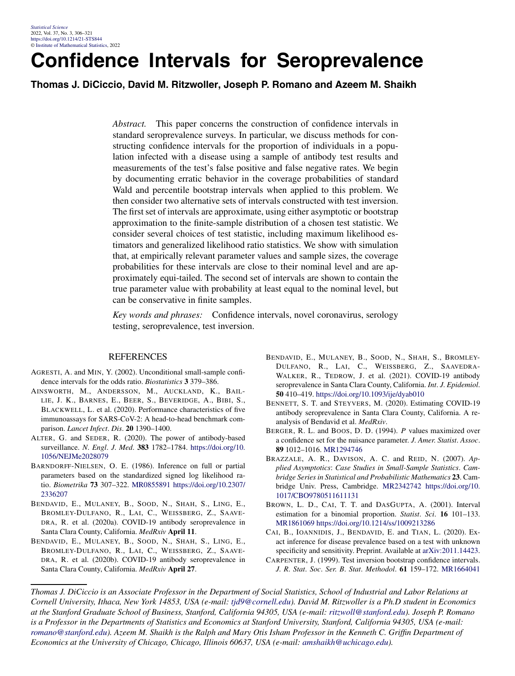### **Confidence Intervals for Seroprevalence**

**Thomas J. DiCiccio, David M. Ritzwoller, Joseph P. Romano and Azeem M. Shaikh**

*Abstract.* This paper concerns the construction of confidence intervals in standard seroprevalence surveys. In particular, we discuss methods for constructing confidence intervals for the proportion of individuals in a population infected with a disease using a sample of antibody test results and measurements of the test's false positive and false negative rates. We begin by documenting erratic behavior in the coverage probabilities of standard Wald and percentile bootstrap intervals when applied to this problem. We then consider two alternative sets of intervals constructed with test inversion. The first set of intervals are approximate, using either asymptotic or bootstrap approximation to the finite-sample distribution of a chosen test statistic. We consider several choices of test statistic, including maximum likelihood estimators and generalized likelihood ratio statistics. We show with simulation that, at empirically relevant parameter values and sample sizes, the coverage probabilities for these intervals are close to their nominal level and are approximately equi-tailed. The second set of intervals are shown to contain the true parameter value with probability at least equal to the nominal level, but can be conservative in finite samples.

*Key words and phrases:* Confidence intervals, novel coronavirus, serology testing, seroprevalence, test inversion.

#### **REFERENCES**

- AGRESTI, A. and MIN, Y. (2002). Unconditional small-sample confidence intervals for the odds ratio. *Biostatistics* **3** 379–386.
- AINSWORTH, M., ANDERSSON, M., AUCKLAND, K., BAIL-LIE, J. K., BARNES, E., BEER, S., BEVERIDGE, A., BIBI, S., BLACKWELL, L. et al. (2020). Performance characteristics of five immunoassays for SARS-CoV-2: A head-to-head benchmark comparison. *Lancet Infect*. *Dis*. **20** 1390–1400.
- ALTER, G. and SEDER, R. (2020). The power of antibody-based surveillance. *N*. *Engl*. *J*. *Med*. **383** 1782–1784. [https://doi.org/10.](https://doi.org/10.1056/NEJMe2028079) [1056/NEJMe2028079](https://doi.org/10.1056/NEJMe2028079)
- BARNDORFF-NIELSEN, O. E. (1986). Inference on full or partial parameters based on the standardized signed log likelihood ratio. *Biometrika* **73** 307–322. [MR0855891](http://www.ams.org/mathscinet-getitem?mr=0855891) [https://doi.org/10.2307/](https://doi.org/10.2307/2336207) [2336207](https://doi.org/10.2307/2336207)
- BENDAVID, E., MULANEY, B., SOOD, N., SHAH, S., LING, E., BROMLEY-DULFANO, R., LAI, C., WEISSBERG, Z., SAAVE-DRA, R. et al. (2020a). COVID-19 antibody seroprevalence in Santa Clara County, California. *MedRxiv* **April 11**.
- BENDAVID, E., MULANEY, B., SOOD, N., SHAH, S., LING, E., BROMLEY-DULFANO, R., LAI, C., WEISSBERG, Z., SAAVE-DRA, R. et al. (2020b). COVID-19 antibody seroprevalence in Santa Clara County, California. *MedRxiv* **April 27**.
- BENDAVID, E., MULANEY, B., SOOD, N., SHAH, S., BROMLEY-DULFANO, R., LAI, C., WEISSBERG, Z., SAAVEDRA-WALKER, R., TEDROW, J. et al. (2021). COVID-19 antibody seroprevalence in Santa Clara County, California. *Int*. *J*. *Epidemiol*. **50** 410–419. <https://doi.org/10.1093/ije/dyab010>
- BENNETT, S. T. and STEYVERS, M. (2020). Estimating COVID-19 antibody seroprevalence in Santa Clara County, California. A reanalysis of Bendavid et al. *MedRxiv*.
- BERGER, R. L. and BOOS, D. D. (1994). *P* values maximized over a confidence set for the nuisance parameter. *J*. *Amer*. *Statist*. *Assoc*. **89** 1012–1016. [MR1294746](http://www.ams.org/mathscinet-getitem?mr=1294746)
- BRAZZALE, A. R., DAVISON, A. C. and REID, N. (2007). *Applied Asymptotics*: *Case Studies in Small-Sample Statistics*. *Cambridge Series in Statistical and Probabilistic Mathematics* **23**. Cambridge Univ. Press, Cambridge. [MR2342742](http://www.ams.org/mathscinet-getitem?mr=2342742) [https://doi.org/10.](https://doi.org/10.1017/CBO9780511611131) [1017/CBO9780511611131](https://doi.org/10.1017/CBO9780511611131)
- BROWN, L. D., CAI, T. T. and DASGUPTA, A. (2001). Interval estimation for a binomial proportion. *Statist*. *Sci*. **16** 101–133. [MR1861069](http://www.ams.org/mathscinet-getitem?mr=1861069)<https://doi.org/10.1214/ss/1009213286>
- CAI, B., IOANNIDIS, J., BENDAVID, E. and TIAN, L. (2020). Exact inference for disease prevalence based on a test with unknown specificity and sensitivity. Preprint. Available at [arXiv:2011.14423](http://arxiv.org/abs/arXiv:2011.14423).
- CARPENTER, J. (1999). Test inversion bootstrap confidence intervals. *J*. *R*. *Stat*. *Soc*. *Ser*. *B*. *Stat*. *Methodol*. **61** 159–172. [MR1664041](http://www.ams.org/mathscinet-getitem?mr=1664041)

*Thomas J. DiCiccio is an Associate Professor in the Department of Social Statistics, School of Industrial and Labor Relations at Cornell University, Ithaca, New York 14853, USA (e-mail: [tjd9@cornell.edu\)](mailto:tjd9@cornell.edu). David M. Ritzwoller is a Ph.D student in Economics at the Stanford Graduate School of Business, Stanford, California 94305, USA (e-mail: [ritzwoll@stanford.edu](mailto:ritzwoll@stanford.edu)). Joseph P. Romano is a Professor in the Departments of Statistics and Economics at Stanford University, Stanford, California 94305, USA (e-mail: [romano@stanford.edu\)](mailto:romano@stanford.edu). Azeem M. Shaikh is the Ralph and Mary Otis Isham Professor in the Kenneth C. Griffin Department of Economics at the University of Chicago, Chicago, Illinois 60637, USA (e-mail: [amshaikh@uchicago.edu](mailto:amshaikh@uchicago.edu)).*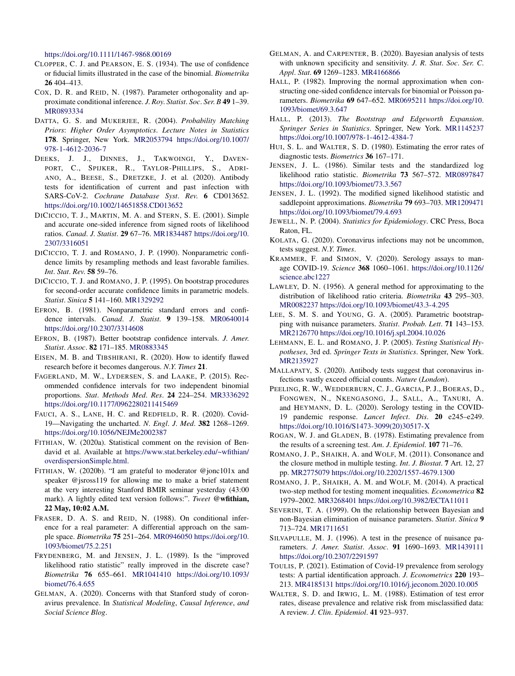<https://doi.org/10.1111/1467-9868.00169>

- CLOPPER, C. J. and PEARSON, E. S. (1934). The use of confidence or fiducial limits illustrated in the case of the binomial. *Biometrika* **26** 404–413.
- COX, D. R. and REID, N. (1987). Parameter orthogonality and approximate conditional inference. *J*. *Roy*. *Statist*. *Soc*. *Ser*. *B* **49** 1–39. [MR0893334](http://www.ams.org/mathscinet-getitem?mr=0893334)
- DATTA, G. S. and MUKERJEE, R. (2004). *Probability Matching Priors*: *Higher Order Asymptotics*. *Lecture Notes in Statistics* **178**. Springer, New York. [MR2053794](http://www.ams.org/mathscinet-getitem?mr=2053794) [https://doi.org/10.1007/](https://doi.org/10.1007/978-1-4612-2036-7) [978-1-4612-2036-7](https://doi.org/10.1007/978-1-4612-2036-7)
- DEEKS, J. J., DINNES, J., TAKWOINGI, Y., DAVEN-PORT, C., SPIJKER, R., TAYLOR-PHILLIPS, S., ADRI-ANO, A., BEESE, S., DRETZKE, J. et al. (2020). Antibody tests for identification of current and past infection with SARS-CoV-2. *Cochrane Database Syst*. *Rev*. **6** CD013652. <https://doi.org/10.1002/14651858.CD013652>
- DICICCIO, T. J., MARTIN, M. A. and STERN, S. E. (2001). Simple and accurate one-sided inference from signed roots of likelihood ratios. *Canad*. *J*. *Statist*. **29** 67–76. [MR1834487](http://www.ams.org/mathscinet-getitem?mr=1834487) [https://doi.org/10.](https://doi.org/10.2307/3316051) [2307/3316051](https://doi.org/10.2307/3316051)
- DICICCIO, T. J. and ROMANO, J. P. (1990). Nonparametric confidence limits by resampling methods and least favorable families. *Int*. *Stat*. *Rev*. **58** 59–76.
- DICICCIO, T. J. and ROMANO, J. P. (1995). On bootstrap procedures for second-order accurate confidence limits in parametric models. *Statist*. *Sinica* **5** 141–160. [MR1329292](http://www.ams.org/mathscinet-getitem?mr=1329292)
- EFRON, B. (1981). Nonparametric standard errors and confidence intervals. *Canad*. *J*. *Statist*. **9** 139–158. [MR0640014](http://www.ams.org/mathscinet-getitem?mr=0640014) <https://doi.org/10.2307/3314608>
- EFRON, B. (1987). Better bootstrap confidence intervals. *J*. *Amer*. *Statist*. *Assoc*. **82** 171–185. [MR0883345](http://www.ams.org/mathscinet-getitem?mr=0883345)
- EISEN, M. B. and TIBSHIRANI, R. (2020). How to identify flawed research before it becomes dangerous. *N*.*Y*. *Times* **21**.
- FAGERLAND, M. W., LYDERSEN, S. and LAAKE, P. (2015). Recommended confidence intervals for two independent binomial proportions. *Stat*. *Methods Med*. *Res*. **24** 224–254. [MR3336292](http://www.ams.org/mathscinet-getitem?mr=3336292) <https://doi.org/10.1177/0962280211415469>
- FAUCI, A. S., LANE, H. C. and REDFIELD, R. R. (2020). Covid-19—Navigating the uncharted. *N*. *Engl*. *J*. *Med*. **382** 1268–1269. <https://doi.org/10.1056/NEJMe2002387>
- FITHIAN, W. (2020a). Statistical comment on the revision of Bendavid et al. Available at [https://www.stat.berkeley.edu/~wfithian/](https://www.stat.berkeley.edu/~wfithian/overdispersionSimple.html) [overdispersionSimple.html.](https://www.stat.berkeley.edu/~wfithian/overdispersionSimple.html)
- FITHIAN, W. (2020b). "I am grateful to moderator @jonc101x and speaker @jsross119 for allowing me to make a brief statement at the very interesting Stanford BMIR seminar yesterday (43:00 mark). A lightly edited text version follows:". *Tweet* **@wfithian, 22 May, 10:02 A.M.**
- FRASER, D. A. S. and REID, N. (1988). On conditional inference for a real parameter: A differential approach on the sample space. *Biometrika* **75** 251–264. [MR0946050](http://www.ams.org/mathscinet-getitem?mr=0946050) [https://doi.org/10.](https://doi.org/10.1093/biomet/75.2.251) [1093/biomet/75.2.251](https://doi.org/10.1093/biomet/75.2.251)
- FRYDENBERG, M. and JENSEN, J. L. (1989). Is the "improved likelihood ratio statistic" really improved in the discrete case? *Biometrika* **76** 655–661. [MR1041410](http://www.ams.org/mathscinet-getitem?mr=1041410) [https://doi.org/10.1093/](https://doi.org/10.1093/biomet/76.4.655) [biomet/76.4.655](https://doi.org/10.1093/biomet/76.4.655)
- GELMAN, A. (2020). Concerns with that Stanford study of coronavirus prevalence. In *Statistical Modeling*, *Causal Inference*, *and Social Science Blog*.
- GELMAN, A. and CARPENTER, B. (2020). Bayesian analysis of tests with unknown specificity and sensitivity. *J*. *R*. *Stat*. *Soc*. *Ser*. *C*. *Appl*. *Stat*. **69** 1269–1283. [MR4166866](http://www.ams.org/mathscinet-getitem?mr=4166866)
- HALL, P. (1982). Improving the normal approximation when constructing one-sided confidence intervals for binomial or Poisson parameters. *Biometrika* **69** 647–652. [MR0695211](http://www.ams.org/mathscinet-getitem?mr=0695211) [https://doi.org/10.](https://doi.org/10.1093/biomet/69.3.647) [1093/biomet/69.3.647](https://doi.org/10.1093/biomet/69.3.647)
- HALL, P. (2013). *The Bootstrap and Edgeworth Expansion*. *Springer Series in Statistics*. Springer, New York. [MR1145237](http://www.ams.org/mathscinet-getitem?mr=1145237) <https://doi.org/10.1007/978-1-4612-4384-7>
- HUI, S. L. and WALTER, S. D. (1980). Estimating the error rates of diagnostic tests. *Biometrics* **36** 167–171.
- JENSEN, J. L. (1986). Similar tests and the standardized log likelihood ratio statistic. *Biometrika* **73** 567–572. [MR0897847](http://www.ams.org/mathscinet-getitem?mr=0897847) <https://doi.org/10.1093/biomet/73.3.567>
- JENSEN, J. L. (1992). The modified signed likelihood statistic and saddlepoint approximations. *Biometrika* **79** 693–703. [MR1209471](http://www.ams.org/mathscinet-getitem?mr=1209471) <https://doi.org/10.1093/biomet/79.4.693>
- JEWELL, N. P. (2004). *Statistics for Epidemiology*. CRC Press, Boca Raton, FL.
- KOLATA, G. (2020). Coronavirus infections may not be uncommon, tests suggest. *N*.*Y*. *Times*.
- KRAMMER, F. and SIMON, V. (2020). Serology assays to manage COVID-19. *Science* **368** 1060–1061. [https://doi.org/10.1126/](https://doi.org/10.1126/science.abc1227) [science.abc1227](https://doi.org/10.1126/science.abc1227)
- LAWLEY, D. N. (1956). A general method for approximating to the distribution of likelihood ratio criteria. *Biometrika* **43** 295–303. [MR0082237](http://www.ams.org/mathscinet-getitem?mr=0082237)<https://doi.org/10.1093/biomet/43.3-4.295>
- LEE, S. M. S. and YOUNG, G. A. (2005). Parametric bootstrapping with nuisance parameters. *Statist*. *Probab*. *Lett*. **71** 143–153. [MR2126770](http://www.ams.org/mathscinet-getitem?mr=2126770)<https://doi.org/10.1016/j.spl.2004.10.026>
- LEHMANN, E. L. and ROMANO, J. P. (2005). *Testing Statistical Hypotheses*, 3rd ed. *Springer Texts in Statistics*. Springer, New York. [MR2135927](http://www.ams.org/mathscinet-getitem?mr=2135927)
- MALLAPATY, S. (2020). Antibody tests suggest that coronavirus infections vastly exceed official counts. *Nature* (*London*).
- PEELING, R. W., WEDDERBURN, C. J., GARCIA, P. J., BOERAS, D., FONGWEN, N., NKENGASONG, J., SALL, A., TANURI, A. and HEYMANN, D. L. (2020). Serology testing in the COVID-19 pandemic response. *Lancet Infect*. *Dis*. **20** e245–e249. [https://doi.org/10.1016/S1473-3099\(20\)30517-X](https://doi.org/10.1016/S1473-3099(20)30517-X)
- ROGAN, W. J. and GLADEN, B. (1978). Estimating prevalence from the results of a screening test. *Am*. *J*. *Epidemiol*. **107** 71–76.
- ROMANO, J. P., SHAIKH, A. and WOLF, M. (2011). Consonance and the closure method in multiple testing. *Int*. *J*. *Biostat*. **7** Art. 12, 27 pp. [MR2775079](http://www.ams.org/mathscinet-getitem?mr=2775079)<https://doi.org/10.2202/1557-4679.1300>
- ROMANO, J. P., SHAIKH, A. M. and WOLF, M. (2014). A practical two-step method for testing moment inequalities. *Econometrica* **82** 1979–2002. [MR3268401](http://www.ams.org/mathscinet-getitem?mr=3268401)<https://doi.org/10.3982/ECTA11011>
- SEVERINI, T. A. (1999). On the relationship between Bayesian and non-Bayesian elimination of nuisance parameters. *Statist*. *Sinica* **9** 713–724. [MR1711651](http://www.ams.org/mathscinet-getitem?mr=1711651)
- SILVAPULLE, M. J. (1996). A test in the presence of nuisance parameters. *J*. *Amer*. *Statist*. *Assoc*. **91** 1690–1693. [MR1439111](http://www.ams.org/mathscinet-getitem?mr=1439111) <https://doi.org/10.2307/2291597>
- TOULIS, P. (2021). Estimation of Covid-19 prevalence from serology tests: A partial identification approach. *J*. *Econometrics* **220** 193– 213. [MR4185131](http://www.ams.org/mathscinet-getitem?mr=4185131)<https://doi.org/10.1016/j.jeconom.2020.10.005>
- WALTER, S. D. and IRWIG, L. M. (1988). Estimation of test error rates, disease prevalence and relative risk from misclassified data: A review. *J*. *Clin*. *Epidemiol*. **41** 923–937.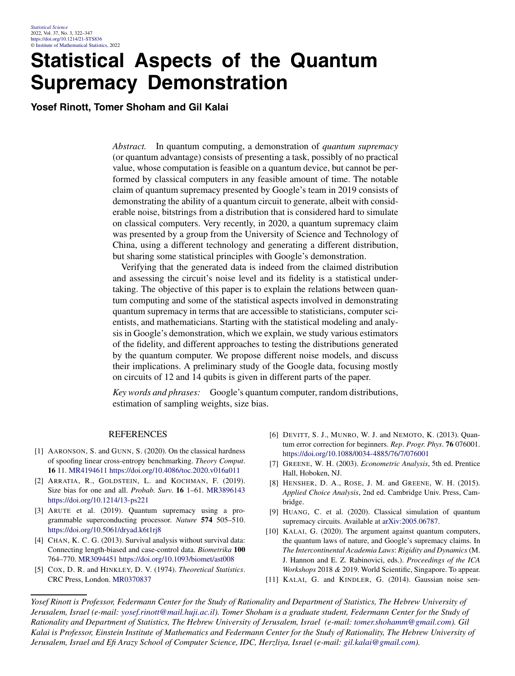### **Statistical Aspects of the Quantum Supremacy Demonstration**

**Yosef Rinott, Tomer Shoham and Gil Kalai**

*Abstract.* In quantum computing, a demonstration of *quantum supremacy* (or quantum advantage) consists of presenting a task, possibly of no practical value, whose computation is feasible on a quantum device, but cannot be performed by classical computers in any feasible amount of time. The notable claim of quantum supremacy presented by Google's team in 2019 consists of demonstrating the ability of a quantum circuit to generate, albeit with considerable noise, bitstrings from a distribution that is considered hard to simulate on classical computers. Very recently, in 2020, a quantum supremacy claim was presented by a group from the University of Science and Technology of China, using a different technology and generating a different distribution, but sharing some statistical principles with Google's demonstration.

Verifying that the generated data is indeed from the claimed distribution and assessing the circuit's noise level and its fidelity is a statistical undertaking. The objective of this paper is to explain the relations between quantum computing and some of the statistical aspects involved in demonstrating quantum supremacy in terms that are accessible to statisticians, computer scientists, and mathematicians. Starting with the statistical modeling and analysis in Google's demonstration, which we explain, we study various estimators of the fidelity, and different approaches to testing the distributions generated by the quantum computer. We propose different noise models, and discuss their implications. A preliminary study of the Google data, focusing mostly on circuits of 12 and 14 qubits is given in different parts of the paper.

*Key words and phrases:* Google's quantum computer, random distributions, estimation of sampling weights, size bias.

#### REFERENCES

- [1] AARONSON, S. and GUNN, S. (2020). On the classical hardness of spoofing linear cross-entropy benchmarking. *Theory Comput*. **16** 11. [MR4194611](http://www.ams.org/mathscinet-getitem?mr=4194611)<https://doi.org/10.4086/toc.2020.v016a011>
- [2] ARRATIA, R., GOLDSTEIN, L. and KOCHMAN, F. (2019). Size bias for one and all. *Probab*. *Surv*. **16** 1–61. [MR3896143](http://www.ams.org/mathscinet-getitem?mr=3896143) <https://doi.org/10.1214/13-ps221>
- [3] ARUTE et al. (2019). Quantum supremacy using a programmable superconducting processor. *Nature* **574** 505–510. <https://doi.org/10.5061/dryad.k6t1rj8>
- [4] CHAN, K. C. G. (2013). Survival analysis without survival data: Connecting length-biased and case-control data. *Biometrika* **100** 764–770. [MR3094451](http://www.ams.org/mathscinet-getitem?mr=3094451)<https://doi.org/10.1093/biomet/ast008>
- [5] COX, D. R. and HINKLEY, D. V. (1974). *Theoretical Statistics*. CRC Press, London. [MR0370837](http://www.ams.org/mathscinet-getitem?mr=0370837)
- [6] DEVITT, S. J., MUNRO, W. J. and NEMOTO, K. (2013). Quantum error correction for beginners. *Rep*. *Progr*. *Phys*. **76** 076001. <https://doi.org/10.1088/0034-4885/76/7/076001>
- [7] GREENE, W. H. (2003). *Econometric Analysis*, 5th ed. Prentice Hall, Hoboken, NJ.
- [8] HENSHER, D. A., ROSE, J. M. and GREENE, W. H. (2015). *Applied Choice Analysis*, 2nd ed. Cambridge Univ. Press, Cambridge.
- [9] HUANG, C. et al. (2020). Classical simulation of quantum supremacy circuits. Available at [arXiv:2005.06787](http://arxiv.org/abs/arXiv:2005.06787).
- [10] KALAI, G. (2020). The argument against quantum computers, the quantum laws of nature, and Google's supremacy claims. In *The Intercontinental Academia Laws*: *Rigidity and Dynamics* (M. J. Hannon and E. Z. Rabinovici, eds.). *Proceedings of the ICA Workshops* 2018 *&* 2019. World Scientific, Singapore. To appear.
- [11] KALAI, G. and KINDLER, G. (2014). Gaussian noise sen-

*Yosef Rinott is Professor, Federmann Center for the Study of Rationality and Department of Statistics, The Hebrew University of Jerusalem, Israel (e-mail: [yosef.rinott@mail.huji.ac.il\)](mailto:yosef.rinott@mail.huji.ac.il). Tomer Shoham is a graduate student, Federmann Center for the Study of Rationality and Department of Statistics, The Hebrew University of Jerusalem, Israel (e-mail: [tomer.shohamm@gmail.com\)](mailto:tomer.shohamm@gmail.com). Gil Kalai is Professor, Einstein Institute of Mathematics and Federmann Center for the Study of Rationality, The Hebrew University of Jerusalem, Israel and Efi Arazy School of Computer Science, IDC, Herzliya, Israel (e-mail: [gil.kalai@gmail.com\)](mailto:gil.kalai@gmail.com).*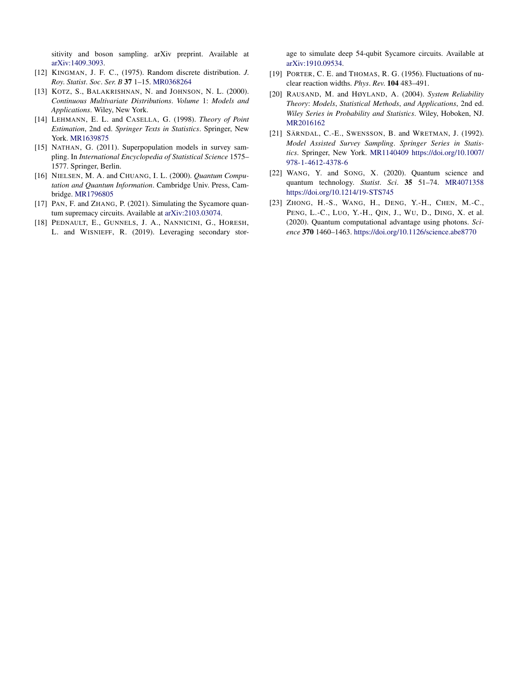sitivity and boson sampling. arXiv preprint. Available at [arXiv:1409.3093](http://arxiv.org/abs/arXiv:1409.3093).

- [12] KINGMAN, J. F. C., (1975). Random discrete distribution. *J*. *Roy*. *Statist*. *Soc*. *Ser*. *B* **37** 1–15. [MR0368264](http://www.ams.org/mathscinet-getitem?mr=0368264)
- [13] KOTZ, S., BALAKRISHNAN, N. and JOHNSON, N. L. (2000). *Continuous Multivariate Distributions*. *Volume* 1: *Models and Applications*. Wiley, New York.
- [14] LEHMANN, E. L. and CASELLA, G. (1998). *Theory of Point Estimation*, 2nd ed. *Springer Texts in Statistics*. Springer, New York. [MR1639875](http://www.ams.org/mathscinet-getitem?mr=1639875)
- [15] NATHAN, G. (2011). Superpopulation models in survey sampling. In *International Encyclopedia of Statistical Science* 1575– 1577. Springer, Berlin.
- [16] NIELSEN, M. A. and CHUANG, I. L. (2000). *Quantum Computation and Quantum Information*. Cambridge Univ. Press, Cambridge. [MR1796805](http://www.ams.org/mathscinet-getitem?mr=1796805)
- [17] PAN, F. and ZHANG, P. (2021). Simulating the Sycamore quantum supremacy circuits. Available at [arXiv:2103.03074.](http://arxiv.org/abs/arXiv:2103.03074)
- [18] PEDNAULT, E., GUNNELS, J. A., NANNICINI, G., HORESH, L. and WISNIEFF, R. (2019). Leveraging secondary stor-

age to simulate deep 54-qubit Sycamore circuits. Available at [arXiv:1910.09534.](http://arxiv.org/abs/arXiv:1910.09534)

- [19] PORTER, C. E. and THOMAS, R. G. (1956). Fluctuations of nuclear reaction widths. *Phys*. *Rev*. **104** 483–491.
- [20] RAUSAND, M. and HØYLAND, A. (2004). *System Reliability Theory*: *Models*, *Statistical Methods*, *and Applications*, 2nd ed. *Wiley Series in Probability and Statistics*. Wiley, Hoboken, NJ. [MR2016162](http://www.ams.org/mathscinet-getitem?mr=2016162)
- [21] SÄRNDAL, C.-E., SWENSSON, B. and WRETMAN, J. (1992). *Model Assisted Survey Sampling*. *Springer Series in Statistics*. Springer, New York. [MR1140409](http://www.ams.org/mathscinet-getitem?mr=1140409) [https://doi.org/10.1007/](https://doi.org/10.1007/978-1-4612-4378-6) [978-1-4612-4378-6](https://doi.org/10.1007/978-1-4612-4378-6)
- [22] WANG, Y. and SONG, X. (2020). Quantum science and quantum technology. *Statist*. *Sci*. **35** 51–74. [MR4071358](http://www.ams.org/mathscinet-getitem?mr=4071358) <https://doi.org/10.1214/19-STS745>
- [23] ZHONG, H.-S., WANG, H., DENG, Y.-H., CHEN, M.-C., PENG, L.-C., LUO, Y.-H., QIN, J., WU, D., DING, X. et al. (2020). Quantum computational advantage using photons. *Science* **370** 1460–1463. <https://doi.org/10.1126/science.abe8770>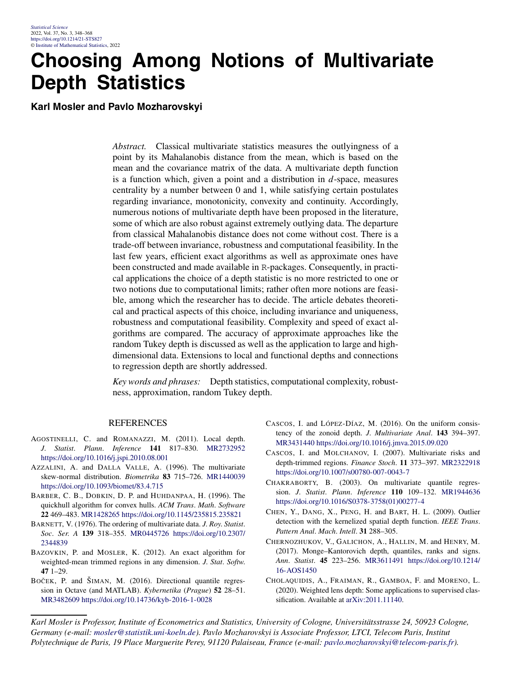## **Choosing Among Notions of Multivariate Depth Statistics**

**Karl Mosler and Pavlo Mozharovskyi**

*Abstract.* Classical multivariate statistics measures the outlyingness of a point by its Mahalanobis distance from the mean, which is based on the mean and the covariance matrix of the data. A multivariate depth function is a function which, given a point and a distribution in *d*-space, measures centrality by a number between 0 and 1, while satisfying certain postulates regarding invariance, monotonicity, convexity and continuity. Accordingly, numerous notions of multivariate depth have been proposed in the literature, some of which are also robust against extremely outlying data. The departure from classical Mahalanobis distance does not come without cost. There is a trade-off between invariance, robustness and computational feasibility. In the last few years, efficient exact algorithms as well as approximate ones have been constructed and made available in R-packages. Consequently, in practical applications the choice of a depth statistic is no more restricted to one or two notions due to computational limits; rather often more notions are feasible, among which the researcher has to decide. The article debates theoretical and practical aspects of this choice, including invariance and uniqueness, robustness and computational feasibility. Complexity and speed of exact algorithms are compared. The accuracy of approximate approaches like the random Tukey depth is discussed as well as the application to large and highdimensional data. Extensions to local and functional depths and connections to regression depth are shortly addressed.

*Key words and phrases:* Depth statistics, computational complexity, robustness, approximation, random Tukey depth.

#### REFERENCES

- AGOSTINELLI, C. and ROMANAZZI, M. (2011). Local depth. *J*. *Statist*. *Plann*. *Inference* **141** 817–830. [MR2732952](http://www.ams.org/mathscinet-getitem?mr=2732952) <https://doi.org/10.1016/j.jspi.2010.08.001>
- AZZALINI, A. and DALLA VALLE, A. (1996). The multivariate skew-normal distribution. *Biometrika* **83** 715–726. [MR1440039](http://www.ams.org/mathscinet-getitem?mr=1440039) <https://doi.org/10.1093/biomet/83.4.715>
- BARBER, C. B., DOBKIN, D. P. and HUHDANPAA, H. (1996). The quickhull algorithm for convex hulls. *ACM Trans*. *Math*. *Software* **22** 469–483. [MR1428265](http://www.ams.org/mathscinet-getitem?mr=1428265)<https://doi.org/10.1145/235815.235821>
- BARNETT, V. (1976). The ordering of multivariate data. *J*. *Roy*. *Statist*. *Soc*. *Ser*. *A* **139** 318–355. [MR0445726](http://www.ams.org/mathscinet-getitem?mr=0445726) [https://doi.org/10.2307/](https://doi.org/10.2307/2344839) [2344839](https://doi.org/10.2307/2344839)
- BAZOVKIN, P. and MOSLER, K. (2012). An exact algorithm for weighted-mean trimmed regions in any dimension. *J*. *Stat*. *Softw*. **47** 1–29.
- BOČEK, P. and ŠIMAN, M. (2016). Directional quantile regression in Octave (and MATLAB). *Kybernetika* (*Prague*) **52** 28–51. [MR3482609](http://www.ams.org/mathscinet-getitem?mr=3482609)<https://doi.org/10.14736/kyb-2016-1-0028>
- CASCOS, I. and LÓPEZ-DÍAZ, M. (2016). On the uniform consistency of the zonoid depth. *J*. *Multivariate Anal*. **143** 394–397. [MR3431440](http://www.ams.org/mathscinet-getitem?mr=3431440)<https://doi.org/10.1016/j.jmva.2015.09.020>
- CASCOS, I. and MOLCHANOV, I. (2007). Multivariate risks and depth-trimmed regions. *Finance Stoch*. **11** 373–397. [MR2322918](http://www.ams.org/mathscinet-getitem?mr=2322918) <https://doi.org/10.1007/s00780-007-0043-7>
- CHAKRABORTY, B. (2003). On multivariate quantile regression. *J*. *Statist*. *Plann*. *Inference* **110** 109–132. [MR1944636](http://www.ams.org/mathscinet-getitem?mr=1944636) [https://doi.org/10.1016/S0378-3758\(01\)00277-4](https://doi.org/10.1016/S0378-3758(01)00277-4)
- CHEN, Y., DANG, X., PENG, H. and BART, H. L. (2009). Outlier detection with the kernelized spatial depth function. *IEEE Trans*. *Pattern Anal*. *Mach*. *Intell*. **31** 288–305.
- CHERNOZHUKOV, V., GALICHON, A., HALLIN, M. and HENRY, M. (2017). Monge–Kantorovich depth, quantiles, ranks and signs. *Ann*. *Statist*. **45** 223–256. [MR3611491](http://www.ams.org/mathscinet-getitem?mr=3611491) [https://doi.org/10.1214/](https://doi.org/10.1214/16-AOS1450) [16-AOS1450](https://doi.org/10.1214/16-AOS1450)
- CHOLAQUIDIS, A., FRAIMAN, R., GAMBOA, F. and MORENO, L. (2020). Weighted lens depth: Some applications to supervised classification. Available at [arXiv:2011.11140.](http://arxiv.org/abs/arXiv:2011.11140)

*Karl Mosler is Professor, Institute of Econometrics and Statistics, University of Cologne, Universitätsstrasse 24, 50923 Cologne, Germany (e-mail: [mosler@statistik.uni-koeln.de](mailto:mosler@statistik.uni-koeln.de)). Pavlo Mozharovskyi is Associate Professor, LTCI, Telecom Paris, Institut Polytechnique de Paris, 19 Place Marguerite Perey, 91120 Palaiseau, France (e-mail: [pavlo.mozharovskyi@telecom-paris.fr](mailto:pavlo.mozharovskyi@telecom-paris.fr)).*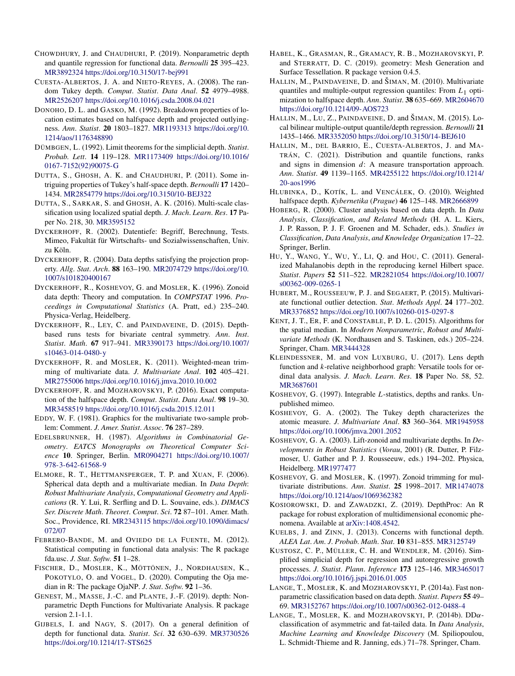- CHOWDHURY, J. and CHAUDHURI, P. (2019). Nonparametric depth and quantile regression for functional data. *Bernoulli* **25** 395–423. [MR3892324](http://www.ams.org/mathscinet-getitem?mr=3892324)<https://doi.org/10.3150/17-bej991>
- CUESTA-ALBERTOS, J. A. and NIETO-REYES, A. (2008). The random Tukey depth. *Comput*. *Statist*. *Data Anal*. **52** 4979–4988. [MR2526207](http://www.ams.org/mathscinet-getitem?mr=2526207)<https://doi.org/10.1016/j.csda.2008.04.021>
- DONOHO, D. L. and GASKO, M. (1992). Breakdown properties of location estimates based on halfspace depth and projected outlyingness. *Ann*. *Statist*. **20** 1803–1827. [MR1193313](http://www.ams.org/mathscinet-getitem?mr=1193313) [https://doi.org/10.](https://doi.org/10.1214/aos/1176348890) [1214/aos/1176348890](https://doi.org/10.1214/aos/1176348890)
- DÜMBGEN, L. (1992). Limit theorems for the simplicial depth. *Statist*. *Probab*. *Lett*. **14** 119–128. [MR1173409](http://www.ams.org/mathscinet-getitem?mr=1173409) [https://doi.org/10.1016/](https://doi.org/10.1016/0167-7152(92)90075-G) [0167-7152\(92\)90075-G](https://doi.org/10.1016/0167-7152(92)90075-G)
- DUTTA, S., GHOSH, A. K. and CHAUDHURI, P. (2011). Some intriguing properties of Tukey's half-space depth. *Bernoulli* **17** 1420– 1434. [MR2854779](http://www.ams.org/mathscinet-getitem?mr=2854779)<https://doi.org/10.3150/10-BEJ322>
- DUTTA, S., SARKAR, S. and GHOSH, A. K. (2016). Multi-scale classification using localized spatial depth. *J*. *Mach*. *Learn*. *Res*. **17** Paper No. 218, 30. [MR3595152](http://www.ams.org/mathscinet-getitem?mr=3595152)
- DYCKERHOFF, R. (2002). Datentiefe: Begriff, Berechnung, Tests. Mimeo, Fakultät für Wirtschafts- und Sozialwissenschaften, Univ. zu Köln.
- DYCKERHOFF, R. (2004). Data depths satisfying the projection property. *Allg*. *Stat*. *Arch*. **88** 163–190. [MR2074729](http://www.ams.org/mathscinet-getitem?mr=2074729) [https://doi.org/10.](https://doi.org/10.1007/s101820400167) [1007/s101820400167](https://doi.org/10.1007/s101820400167)
- DYCKERHOFF, R., KOSHEVOY, G. and MOSLER, K. (1996). Zonoid data depth: Theory and computation. In *COMPSTAT* 1996. *Proceedings in Computational Statistics* (A. Pratt, ed.) 235–240. Physica-Verlag, Heidelberg.
- DYCKERHOFF, R., LEY, C. and PAINDAVEINE, D. (2015). Depthbased runs tests for bivariate central symmetry. *Ann*. *Inst*. *Statist*. *Math*. **67** 917–941. [MR3390173](http://www.ams.org/mathscinet-getitem?mr=3390173) [https://doi.org/10.1007/](https://doi.org/10.1007/s10463-014-0480-y) [s10463-014-0480-y](https://doi.org/10.1007/s10463-014-0480-y)
- DYCKERHOFF, R. and MOSLER, K. (2011). Weighted-mean trimming of multivariate data. *J*. *Multivariate Anal*. **102** 405–421. [MR2755006](http://www.ams.org/mathscinet-getitem?mr=2755006)<https://doi.org/10.1016/j.jmva.2010.10.002>
- DYCKERHOFF, R. and MOZHAROVSKYI, P. (2016). Exact computation of the halfspace depth. *Comput*. *Statist*. *Data Anal*. **98** 19–30. [MR3458519](http://www.ams.org/mathscinet-getitem?mr=3458519)<https://doi.org/10.1016/j.csda.2015.12.011>
- EDDY, W. F. (1981). Graphics for the multivariate two-sample problem: Comment. *J*. *Amer*. *Statist*. *Assoc*. **76** 287–289.
- EDELSBRUNNER, H. (1987). *Algorithms in Combinatorial Geometry*. *EATCS Monographs on Theoretical Computer Science* **10**. Springer, Berlin. [MR0904271](http://www.ams.org/mathscinet-getitem?mr=0904271) [https://doi.org/10.1007/](https://doi.org/10.1007/978-3-642-61568-9) [978-3-642-61568-9](https://doi.org/10.1007/978-3-642-61568-9)
- ELMORE, R. T., HETTMANSPERGER, T. P. and XUAN, F. (2006). Spherical data depth and a multivariate median. In *Data Depth*: *Robust Multivariate Analysis*, *Computational Geometry and Applications* (R. Y. Lui, R. Serfling and D. L. Souvaine, eds.). *DIMACS Ser*. *Discrete Math*. *Theoret*. *Comput*. *Sci*. **72** 87–101. Amer. Math. Soc., Providence, RI. [MR2343115](http://www.ams.org/mathscinet-getitem?mr=2343115) [https://doi.org/10.1090/dimacs/](https://doi.org/10.1090/dimacs/072/07) [072/07](https://doi.org/10.1090/dimacs/072/07)
- FEBRERO-BANDE, M. and OVIEDO DE LA FUENTE, M. (2012). Statistical computing in functional data analysis: The R package fda.usc. *J*. *Stat*. *Softw*. **51** 1–28.
- FISCHER, D., MOSLER, K., MÖTTÖNEN, J., NORDHAUSEN, K., POKOTYLO, O. and VOGEL, D. (2020). Computing the Oja median in R: The package OjaNP. *J*. *Stat*. *Softw*. **92** 1–36.
- GENEST, M., MASSE, J.-C. and PLANTE, J.-F. (2019). depth: Nonparametric Depth Functions for Multivariate Analysis. R package version 2.1-1.1.
- GIJBELS, I. and NAGY, S. (2017). On a general definition of depth for functional data. *Statist*. *Sci*. **32** 630–639. [MR3730526](http://www.ams.org/mathscinet-getitem?mr=3730526) <https://doi.org/10.1214/17-STS625>
- HABEL, K., GRASMAN, R., GRAMACY, R. B., MOZHAROVSKYI, P. and STERRATT, D. C. (2019). geometry: Mesh Generation and Surface Tessellation. R package version 0.4.5.
- HALLIN, M., PAINDAVEINE, D. and ŠIMAN, M. (2010). Multivariate quantiles and multiple-output regression quantiles: From *L*1 optimization to halfspace depth. *Ann*. *Statist*. **38** 635–669. [MR2604670](http://www.ams.org/mathscinet-getitem?mr=2604670) <https://doi.org/10.1214/09-AOS723>
- HALLIN, M., LU, Z., PAINDAVEINE, D. and ŠIMAN, M. (2015). Local bilinear multiple-output quantile/depth regression. *Bernoulli* **21** 1435–1466. [MR3352050](http://www.ams.org/mathscinet-getitem?mr=3352050)<https://doi.org/10.3150/14-BEJ610>
- HALLIN, M., DEL BARRIO, E., CUESTA-ALBERTOS, J. and MA-TRÁN, C. (2021). Distribution and quantile functions, ranks and signs in dimension *d*: A measure transportation approach. *Ann*. *Statist*. **49** 1139–1165. [MR4255122](http://www.ams.org/mathscinet-getitem?mr=4255122) [https://doi.org/10.1214/](https://doi.org/10.1214/20-aos1996) [20-aos1996](https://doi.org/10.1214/20-aos1996)
- HLUBINKA, D., KOTÍK, L. and VENCÁLEK, O. (2010). Weighted halfspace depth. *Kybernetika* (*Prague*) **46** 125–148. [MR2666899](http://www.ams.org/mathscinet-getitem?mr=2666899)
- HOBERG, R. (2000). Cluster analysis based on data depth. In *Data Analysis*, *Classification*, *and Related Methods* (H. A. L. Kiers, J. P. Rasson, P. J. F. Groenen and M. Schader, eds.). *Studies in Classification*, *Data Analysis*, *and Knowledge Organization* 17–22. Springer, Berlin.
- HU, Y., WANG, Y., WU, Y., LI, Q. and HOU, C. (2011). Generalized Mahalanobis depth in the reproducing kernel Hilbert space. *Statist*. *Papers* **52** 511–522. [MR2821054](http://www.ams.org/mathscinet-getitem?mr=2821054) [https://doi.org/10.1007/](https://doi.org/10.1007/s00362-009-0265-1) [s00362-009-0265-1](https://doi.org/10.1007/s00362-009-0265-1)
- HUBERT, M., ROUSSEEUW, P. J. and SEGAERT, P. (2015). Multivariate functional outlier detection. *Stat*. *Methods Appl*. **24** 177–202. [MR3376852](http://www.ams.org/mathscinet-getitem?mr=3376852)<https://doi.org/10.1007/s10260-015-0297-8>
- KENT, J. T., ER, F. and CONSTABLE, P. D. L. (2015). Algorithms for the spatial median. In *Modern Nonparametric*, *Robust and Multivariate Methods* (K. Nordhausen and S. Taskinen, eds.) 205–224. Springer, Cham. [MR3444328](http://www.ams.org/mathscinet-getitem?mr=3444328)
- KLEINDESSNER, M. and VON LUXBURG, U. (2017). Lens depth function and *k*-relative neighborhood graph: Versatile tools for ordinal data analysis. *J*. *Mach*. *Learn*. *Res*. **18** Paper No. 58, 52. [MR3687601](http://www.ams.org/mathscinet-getitem?mr=3687601)
- KOSHEVOY, G. (1997). Integrable *L*-statistics, depths and ranks. Unpublished mimeo.
- KOSHEVOY, G. A. (2002). The Tukey depth characterizes the atomic measure. *J*. *Multivariate Anal*. **83** 360–364. [MR1945958](http://www.ams.org/mathscinet-getitem?mr=1945958) <https://doi.org/10.1006/jmva.2001.2052>
- KOSHEVOY, G. A. (2003). Lift-zonoid and multivariate depths. In *Developments in Robust Statistics* (*Vorau*, 2001) (R. Dutter, P. Filzmoser, U. Gather and P. J. Rousseeuw, eds.) 194–202. Physica, Heidelberg. [MR1977477](http://www.ams.org/mathscinet-getitem?mr=1977477)
- KOSHEVOY, G. and MOSLER, K. (1997). Zonoid trimming for multivariate distributions. *Ann*. *Statist*. **25** 1998–2017. [MR1474078](http://www.ams.org/mathscinet-getitem?mr=1474078) <https://doi.org/10.1214/aos/1069362382>
- KOSIOROWSKI, D. and ZAWADZKI, Z. (2019). DepthProc: An R package for robust exploration of multidimensional economic phenomena. Available at [arXiv:1408.4542](http://arxiv.org/abs/arXiv:1408.4542).
- KUELBS, J. and ZINN, J. (2013). Concerns with functional depth. *ALEA Lat*. *Am*. *J*. *Probab*. *Math*. *Stat*. **10** 831–855. [MR3125749](http://www.ams.org/mathscinet-getitem?mr=3125749)
- KUSTOSZ, C. P., MÜLLER, C. H. and WENDLER, M. (2016). Simplified simplicial depth for regression and autoregressive growth processes. *J*. *Statist*. *Plann*. *Inference* **173** 125–146. [MR3465017](http://www.ams.org/mathscinet-getitem?mr=3465017) <https://doi.org/10.1016/j.jspi.2016.01.005>
- LANGE, T., MOSLER, K. and MOZHAROVSKYI, P. (2014a). Fast nonparametric classification based on data depth. *Statist*. *Papers* **55** 49– 69. [MR3152767](http://www.ams.org/mathscinet-getitem?mr=3152767)<https://doi.org/10.1007/s00362-012-0488-4>
- LANGE, T., MOSLER, K. and MOZHAROVSKYI, P. (2014b). DD*α*classification of asymmetric and fat-tailed data. In *Data Analysis*, *Machine Learning and Knowledge Discovery* (M. Spiliopoulou, L. Schmidt-Thieme and R. Janning, eds.) 71–78. Springer, Cham.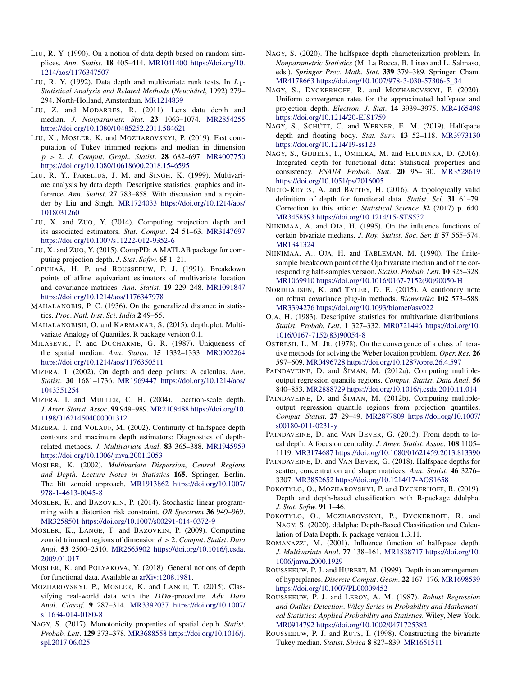- LIU, R. Y. (1990). On a notion of data depth based on random simplices. *Ann*. *Statist*. **18** 405–414. [MR1041400](http://www.ams.org/mathscinet-getitem?mr=1041400) [https://doi.org/10.](https://doi.org/10.1214/aos/1176347507) [1214/aos/1176347507](https://doi.org/10.1214/aos/1176347507)
- LIU, R. Y. (1992). Data depth and multivariate rank tests. In *L*1*- Statistical Analysis and Related Methods* (*Neuchâtel*, 1992) 279– 294. North-Holland, Amsterdam. [MR1214839](http://www.ams.org/mathscinet-getitem?mr=1214839)
- LIU, Z. and MODARRES, R. (2011). Lens data depth and median. *J*. *Nonparametr*. *Stat*. **23** 1063–1074. [MR2854255](http://www.ams.org/mathscinet-getitem?mr=2854255) <https://doi.org/10.1080/10485252.2011.584621>
- LIU, X., MOSLER, K. and MOZHAROVSKYI, P. (2019). Fast computation of Tukey trimmed regions and median in dimension *p >* 2. *J*. *Comput*. *Graph*. *Statist*. **28** 682–697. [MR4007750](http://www.ams.org/mathscinet-getitem?mr=4007750) <https://doi.org/10.1080/10618600.2018.1546595>
- LIU, R. Y., PARELIUS, J. M. and SINGH, K. (1999). Multivariate analysis by data depth: Descriptive statistics, graphics and inference. *Ann*. *Statist*. **27** 783–858. With discussion and a rejoinder by Liu and Singh. [MR1724033](http://www.ams.org/mathscinet-getitem?mr=1724033) [https://doi.org/10.1214/aos/](https://doi.org/10.1214/aos/1018031260) [1018031260](https://doi.org/10.1214/aos/1018031260)
- LIU, X. and ZUO, Y. (2014). Computing projection depth and its associated estimators. *Stat*. *Comput*. **24** 51–63. [MR3147697](http://www.ams.org/mathscinet-getitem?mr=3147697) <https://doi.org/10.1007/s11222-012-9352-6>
- LIU, X. and ZUO, Y. (2015). CompPD: A MATLAB package for computing projection depth. *J*. *Stat*. *Softw*. **65** 1–21.
- LOPUHAÄ, H. P. and ROUSSEEUW, P. J. (1991). Breakdown points of affine equivariant estimators of multivariate location and covariance matrices. *Ann*. *Statist*. **19** 229–248. [MR1091847](http://www.ams.org/mathscinet-getitem?mr=1091847) <https://doi.org/10.1214/aos/1176347978>
- MAHALANOBIS, P. C. (1936). On the generalized distance in statistics. *Proc*. *Natl*. *Inst*. *Sci*. *India* **2** 49–55.
- MAHALANOBISH, O. and KARMAKAR, S. (2015). depth.plot: Multivariate Analogy of Quantiles. R package version 0.1.
- MILASEVIC, P. and DUCHARME, G. R. (1987). Uniqueness of the spatial median. *Ann*. *Statist*. **15** 1332–1333. [MR0902264](http://www.ams.org/mathscinet-getitem?mr=0902264) <https://doi.org/10.1214/aos/1176350511>
- MIZERA, I. (2002). On depth and deep points: A calculus. *Ann*. *Statist*. **30** 1681–1736. [MR1969447](http://www.ams.org/mathscinet-getitem?mr=1969447) [https://doi.org/10.1214/aos/](https://doi.org/10.1214/aos/1043351254) [1043351254](https://doi.org/10.1214/aos/1043351254)
- MIZERA, I. and MÜLLER, C. H. (2004). Location-scale depth. *J*. *Amer*. *Statist*. *Assoc*. **99** 949–989. [MR2109488](http://www.ams.org/mathscinet-getitem?mr=2109488) [https://doi.org/10.](https://doi.org/10.1198/016214504000001312) [1198/016214504000001312](https://doi.org/10.1198/016214504000001312)
- MIZERA, I. and VOLAUF, M. (2002). Continuity of halfspace depth contours and maximum depth estimators: Diagnostics of depthrelated methods. *J*. *Multivariate Anal*. **83** 365–388. [MR1945959](http://www.ams.org/mathscinet-getitem?mr=1945959) <https://doi.org/10.1006/jmva.2001.2053>
- MOSLER, K. (2002). *Multivariate Dispersion*, *Central Regions and Depth*. *Lecture Notes in Statistics* **165**. Springer, Berlin. The lift zonoid approach. [MR1913862](http://www.ams.org/mathscinet-getitem?mr=1913862) [https://doi.org/10.1007/](https://doi.org/10.1007/978-1-4613-0045-8) [978-1-4613-0045-8](https://doi.org/10.1007/978-1-4613-0045-8)
- MOSLER, K. and BAZOVKIN, P. (2014). Stochastic linear programming with a distortion risk constraint. *OR Spectrum* **36** 949–969. [MR3258501](http://www.ams.org/mathscinet-getitem?mr=3258501)<https://doi.org/10.1007/s00291-014-0372-9>
- MOSLER, K., LANGE, T. and BAZOVKIN, P. (2009). Computing zonoid trimmed regions of dimension *d >* 2. *Comput*. *Statist*. *Data Anal*. **53** 2500–2510. [MR2665902](http://www.ams.org/mathscinet-getitem?mr=2665902) [https://doi.org/10.1016/j.csda.](https://doi.org/10.1016/j.csda.2009.01.017) [2009.01.017](https://doi.org/10.1016/j.csda.2009.01.017)
- MOSLER, K. and POLYAKOVA, Y. (2018). General notions of depth for functional data. Available at [arXiv:1208.1981](http://arxiv.org/abs/arXiv:1208.1981).
- MOZHAROVSKYI, P., MOSLER, K. and LANGE, T. (2015). Classifying real-world data with the *DDα*-procedure. *Adv*. *Data Anal*. *Classif*. **9** 287–314. [MR3392037](http://www.ams.org/mathscinet-getitem?mr=3392037) [https://doi.org/10.1007/](https://doi.org/10.1007/s11634-014-0180-8) [s11634-014-0180-8](https://doi.org/10.1007/s11634-014-0180-8)
- NAGY, S. (2017). Monotonicity properties of spatial depth. *Statist*. *Probab*. *Lett*. **129** 373–378. [MR3688558](http://www.ams.org/mathscinet-getitem?mr=3688558) [https://doi.org/10.1016/j.](https://doi.org/10.1016/j.spl.2017.06.025) [spl.2017.06.025](https://doi.org/10.1016/j.spl.2017.06.025)
- NAGY, S. (2020). The halfspace depth characterization problem. In *Nonparametric Statistics* (M. La Rocca, B. Liseo and L. Salmaso, eds.). *Springer Proc*. *Math*. *Stat*. **339** 379–389. Springer, Cham. [MR4178663](http://www.ams.org/mathscinet-getitem?mr=4178663) [https://doi.org/10.1007/978-3-030-57306-5\\_34](https://doi.org/10.1007/978-3-030-57306-5_34)
- NAGY, S., DYCKERHOFF, R. and MOZHAROVSKYI, P. (2020). Uniform convergence rates for the approximated halfspace and projection depth. *Electron*. *J*. *Stat*. **14** 3939–3975. [MR4165498](http://www.ams.org/mathscinet-getitem?mr=4165498) <https://doi.org/10.1214/20-EJS1759>
- NAGY, S., SCHÜTT, C. and WERNER, E. M. (2019). Halfspace depth and floating body. *Stat*. *Surv*. **13** 52–118. [MR3973130](http://www.ams.org/mathscinet-getitem?mr=3973130) <https://doi.org/10.1214/19-ss123>
- NAGY, S., GIJBELS, I., OMELKA, M. and HLUBINKA, D. (2016). Integrated depth for functional data: Statistical properties and consistency. *ESAIM Probab*. *Stat*. **20** 95–130. [MR3528619](http://www.ams.org/mathscinet-getitem?mr=3528619) <https://doi.org/10.1051/ps/2016005>
- NIETO-REYES, A. and BATTEY, H. (2016). A topologically valid definition of depth for functional data. *Statist*. *Sci*. **31** 61–79. Correction to this article: *Statistical Science* **32** (2017) p. 640. [MR3458593](http://www.ams.org/mathscinet-getitem?mr=3458593)<https://doi.org/10.1214/15-STS532>
- NIINIMAA, A. and OJA, H. (1995). On the influence functions of certain bivariate medians. *J*. *Roy*. *Statist*. *Soc*. *Ser*. *B* **57** 565–574. [MR1341324](http://www.ams.org/mathscinet-getitem?mr=1341324)
- NIINIMAA, A., OJA, H. and TABLEMAN, M. (1990). The finitesample breakdown point of the Oja bivariate median and of the corresponding half-samples version. *Statist*. *Probab*. *Lett*. **10** 325–328. [MR1069910](http://www.ams.org/mathscinet-getitem?mr=1069910) [https://doi.org/10.1016/0167-7152\(90\)90050-H](https://doi.org/10.1016/0167-7152(90)90050-H)
- NORDHAUSEN, K. and TYLER, D. E. (2015). A cautionary note on robust covariance plug-in methods. *Biometrika* **102** 573–588. [MR3394276](http://www.ams.org/mathscinet-getitem?mr=3394276)<https://doi.org/10.1093/biomet/asv022>
- OJA, H. (1983). Descriptive statistics for multivariate distributions. *Statist*. *Probab*. *Lett*. **1** 327–332. [MR0721446](http://www.ams.org/mathscinet-getitem?mr=0721446) [https://doi.org/10.](https://doi.org/10.1016/0167-7152(83)90054-8) [1016/0167-7152\(83\)90054-8](https://doi.org/10.1016/0167-7152(83)90054-8)
- OSTRESH, L. M. JR. (1978). On the convergence of a class of iterative methods for solving the Weber location problem. *Oper*. *Res*. **26** 597–609. [MR0496728](http://www.ams.org/mathscinet-getitem?mr=0496728)<https://doi.org/10.1287/opre.26.4.597>
- PAINDAVEINE, D. and ŠIMAN, M. (2012a). Computing multipleoutput regression quantile regions. *Comput*. *Statist*. *Data Anal*. **56** 840–853. [MR2888729](http://www.ams.org/mathscinet-getitem?mr=2888729)<https://doi.org/10.1016/j.csda.2010.11.014>
- PAINDAVEINE, D. and ŠIMAN, M. (2012b). Computing multipleoutput regression quantile regions from projection quantiles. *Comput*. *Statist*. **27** 29–49. [MR2877809](http://www.ams.org/mathscinet-getitem?mr=2877809) [https://doi.org/10.1007/](https://doi.org/10.1007/s00180-011-0231-y) [s00180-011-0231-y](https://doi.org/10.1007/s00180-011-0231-y)
- PAINDAVEINE, D. and VAN BEVER, G. (2013). From depth to local depth: A focus on centrality. *J*. *Amer*. *Statist*. *Assoc*. **108** 1105– 1119. [MR3174687](http://www.ams.org/mathscinet-getitem?mr=3174687)<https://doi.org/10.1080/01621459.2013.813390>
- PAINDAVEINE, D. and VAN BEVER, G. (2018). Halfspace depths for scatter, concentration and shape matrices. *Ann*. *Statist*. **46** 3276– 3307. [MR3852652](http://www.ams.org/mathscinet-getitem?mr=3852652)<https://doi.org/10.1214/17-AOS1658>
- POKOTYLO, O., MOZHAROVSKYI, P. and DYCKERHOFF, R. (2019). Depth and depth-based classification with R-package ddalpha. *J*. *Stat*. *Softw*. **91** 1–46.
- POKOTYLO, O., MOZHAROVSKYI, P., DYCKERHOFF, R. and NAGY, S. (2020). ddalpha: Depth-Based Classification and Calculation of Data Depth. R package version 1.3.11.
- ROMANAZZI, M. (2001). Influence function of halfspace depth. *J*. *Multivariate Anal*. **77** 138–161. [MR1838717](http://www.ams.org/mathscinet-getitem?mr=1838717) [https://doi.org/10.](https://doi.org/10.1006/jmva.2000.1929) [1006/jmva.2000.1929](https://doi.org/10.1006/jmva.2000.1929)
- ROUSSEEUW, P. J. and HUBERT, M. (1999). Depth in an arrangement of hyperplanes. *Discrete Comput*. *Geom*. **22** 167–176. [MR1698539](http://www.ams.org/mathscinet-getitem?mr=1698539) <https://doi.org/10.1007/PL00009452>
- ROUSSEEUW, P. J. and LEROY, A. M. (1987). *Robust Regression and Outlier Detection*. *Wiley Series in Probability and Mathematical Statistics*: *Applied Probability and Statistics*. Wiley, New York. [MR0914792](http://www.ams.org/mathscinet-getitem?mr=0914792)<https://doi.org/10.1002/0471725382>
- ROUSSEEUW, P. J. and RUTS, I. (1998). Constructing the bivariate Tukey median. *Statist*. *Sinica* **8** 827–839. [MR1651511](http://www.ams.org/mathscinet-getitem?mr=1651511)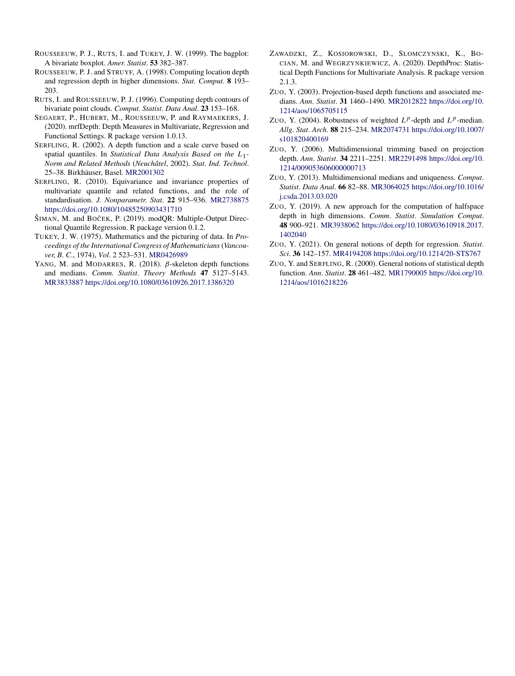- ROUSSEEUW, P. J., RUTS, I. and TUKEY, J. W. (1999). The bagplot: A bivariate boxplot. *Amer*. *Statist*. **53** 382–387.
- ROUSSEEUW, P. J. and STRUYF, A. (1998). Computing location depth and regression depth in higher dimensions. *Stat*. *Comput*. **8** 193– 203.
- RUTS, I. and ROUSSEEUW, P. J. (1996). Computing depth contours of bivariate point clouds. *Comput*. *Statist*. *Data Anal*. **23** 153–168.
- SEGAERT, P., HUBERT, M., ROUSSEEUW, P. and RAYMAEKERS, J. (2020). mrfDepth: Depth Measures in Multivariate, Regression and Functional Settings. R package version 1.0.13.
- SERFLING, R. (2002). A depth function and a scale curve based on spatial quantiles. In *Statistical Data Analysis Based on the L*1*- Norm and Related Methods* (*Neuchâtel*, 2002). *Stat*. *Ind*. *Technol*. 25–38. Birkhäuser, Basel. [MR2001302](http://www.ams.org/mathscinet-getitem?mr=2001302)
- SERFLING, R. (2010). Equivariance and invariance properties of multivariate quantile and related functions, and the role of standardisation. *J*. *Nonparametr*. *Stat*. **22** 915–936. [MR2738875](http://www.ams.org/mathscinet-getitem?mr=2738875) <https://doi.org/10.1080/10485250903431710>
- ŠIMAN, M. and BOČEK, P. (2019). modQR: Multiple-Output Directional Quantile Regression. R package version 0.1.2.
- TUKEY, J. W. (1975). Mathematics and the picturing of data. In *Proceedings of the International Congress of Mathematicians* (*Vancouver*, *B*. *C*., 1974), *Vol*. 2 523–531. [MR0426989](http://www.ams.org/mathscinet-getitem?mr=0426989)
- YANG, M. and MODARRES, R. (2018). *β*-skeleton depth functions and medians. *Comm*. *Statist*. *Theory Methods* **47** 5127–5143. [MR3833887](http://www.ams.org/mathscinet-getitem?mr=3833887)<https://doi.org/10.1080/03610926.2017.1386320>
- ZAWADZKI, Z., KOSIOROWSKI, D., SLOMCZYNSKI, K., BO-CIAN, M. and WEGRZYNKIEWICZ, A. (2020). DepthProc: Statistical Depth Functions for Multivariate Analysis. R package version 2.1.3.
- ZUO, Y. (2003). Projection-based depth functions and associated medians. *Ann*. *Statist*. **31** 1460–1490. [MR2012822](http://www.ams.org/mathscinet-getitem?mr=2012822) [https://doi.org/10.](https://doi.org/10.1214/aos/1065705115) [1214/aos/1065705115](https://doi.org/10.1214/aos/1065705115)
- ZUO, Y. (2004). Robustness of weighted  $L^p$ -depth and  $L^p$ -median. *Allg*. *Stat*. *Arch*. **88** 215–234. [MR2074731](http://www.ams.org/mathscinet-getitem?mr=2074731) [https://doi.org/10.1007/](https://doi.org/10.1007/s101820400169) [s101820400169](https://doi.org/10.1007/s101820400169)
- ZUO, Y. (2006). Multidimensional trimming based on projection depth. *Ann*. *Statist*. **34** 2211–2251. [MR2291498](http://www.ams.org/mathscinet-getitem?mr=2291498) [https://doi.org/10.](https://doi.org/10.1214/009053606000000713) [1214/009053606000000713](https://doi.org/10.1214/009053606000000713)
- ZUO, Y. (2013). Multidimensional medians and uniqueness. *Comput*. *Statist*. *Data Anal*. **66** 82–88. [MR3064025](http://www.ams.org/mathscinet-getitem?mr=3064025) [https://doi.org/10.1016/](https://doi.org/10.1016/j.csda.2013.03.020) [j.csda.2013.03.020](https://doi.org/10.1016/j.csda.2013.03.020)
- ZUO, Y. (2019). A new approach for the computation of halfspace depth in high dimensions. *Comm*. *Statist*. *Simulation Comput*. **48** 900–921. [MR3938062](http://www.ams.org/mathscinet-getitem?mr=3938062) [https://doi.org/10.1080/03610918.2017.](https://doi.org/10.1080/03610918.2017.1402040) [1402040](https://doi.org/10.1080/03610918.2017.1402040)
- ZUO, Y. (2021). On general notions of depth for regression. *Statist*. *Sci*. **36** 142–157. [MR4194208](http://www.ams.org/mathscinet-getitem?mr=4194208)<https://doi.org/10.1214/20-STS767>
- ZUO, Y. and SERFLING, R. (2000). General notions of statistical depth function. *Ann*. *Statist*. **28** 461–482. [MR1790005](http://www.ams.org/mathscinet-getitem?mr=1790005) [https://doi.org/10.](https://doi.org/10.1214/aos/1016218226) [1214/aos/1016218226](https://doi.org/10.1214/aos/1016218226)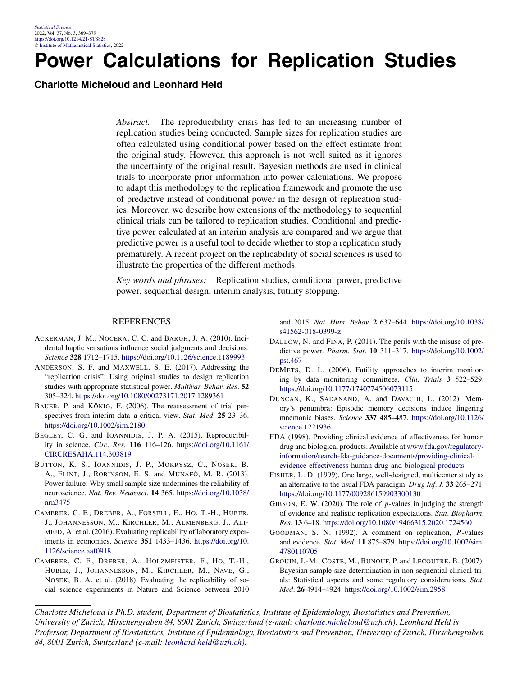## **Power Calculations for Replication Studies**

**Charlotte Micheloud and Leonhard Held**

*Abstract.* The reproducibility crisis has led to an increasing number of replication studies being conducted. Sample sizes for replication studies are often calculated using conditional power based on the effect estimate from the original study. However, this approach is not well suited as it ignores the uncertainty of the original result. Bayesian methods are used in clinical trials to incorporate prior information into power calculations. We propose to adapt this methodology to the replication framework and promote the use of predictive instead of conditional power in the design of replication studies. Moreover, we describe how extensions of the methodology to sequential clinical trials can be tailored to replication studies. Conditional and predictive power calculated at an interim analysis are compared and we argue that predictive power is a useful tool to decide whether to stop a replication study prematurely. A recent project on the replicability of social sciences is used to illustrate the properties of the different methods.

*Key words and phrases:* Replication studies, conditional power, predictive power, sequential design, interim analysis, futility stopping.

#### REFERENCES

- ACKERMAN, J. M., NOCERA, C. C. and BARGH, J. A. (2010). Incidental haptic sensations influence social judgments and decisions. *Science* **328** 1712–1715. <https://doi.org/10.1126/science.1189993>
- ANDERSON, S. F. and MAXWELL, S. E. (2017). Addressing the "replication crisis": Using original studies to design replication studies with appropriate statistical power. *Multivar*. *Behav*. *Res*. **52** 305–324. <https://doi.org/10.1080/00273171.2017.1289361>
- BAUER, P. and KÖNIG, F. (2006). The reassessment of trial perspectives from interim data–a critical view. *Stat*. *Med*. **25** 23–36. <https://doi.org/10.1002/sim.2180>
- BEGLEY, C. G. and IOANNIDIS, J. P. A. (2015). Reproducibility in science. *Circ*. *Res*. **116** 116–126. [https://doi.org/10.1161/](https://doi.org/10.1161/CIRCRESAHA.114.303819) [CIRCRESAHA.114.303819](https://doi.org/10.1161/CIRCRESAHA.114.303819)
- BUTTON, K. S., IOANNIDIS, J. P., MOKRYSZ, C., NOSEK, B. A., FLINT, J., ROBINSON, E. S. and MUNAFÒ, M. R. (2013). Power failure: Why small sample size undermines the reliability of neuroscience. *Nat*. *Rev*. *Neurosci*. **14** 365. [https://doi.org/10.1038/](https://doi.org/10.1038/nrn3475) [nrn3475](https://doi.org/10.1038/nrn3475)
- CAMERER, C. F., DREBER, A., FORSELL, E., HO, T.-H., HUBER, J., JOHANNESSON, M., KIRCHLER, M., ALMENBERG, J., ALT-MEJD, A. et al. (2016). Evaluating replicability of laboratory experiments in economics. *Science* **351** 1433–1436. [https://doi.org/10.](https://doi.org/10.1126/science.aaf0918) [1126/science.aaf0918](https://doi.org/10.1126/science.aaf0918)
- CAMERER, C. F., DREBER, A., HOLZMEISTER, F., HO, T.-H., HUBER, J., JOHANNESSON, M., KIRCHLER, M., NAVE, G., NOSEK, B. A. et al. (2018). Evaluating the replicability of social science experiments in Nature and Science between 2010

and 2015. *Nat*. *Hum*. *Behav*. **2** 637–644. [https://doi.org/10.1038/](https://doi.org/10.1038/s41562-018-0399-z) [s41562-018-0399-z](https://doi.org/10.1038/s41562-018-0399-z)

- DALLOW, N. and FINA, P. (2011). The perils with the misuse of predictive power. *Pharm*. *Stat*. **10** 311–317. [https://doi.org/10.1002/](https://doi.org/10.1002/pst.467) [pst.467](https://doi.org/10.1002/pst.467)
- DEMETS, D. L. (2006). Futility approaches to interim monitoring by data monitoring committees. *Clin*. *Trials* **3** 522–529. <https://doi.org/10.1177/1740774506073115>
- DUNCAN, K., SADANAND, A. and DAVACHI, L. (2012). Memory's penumbra: Episodic memory decisions induce lingering mnemonic biases. *Science* **337** 485–487. [https://doi.org/10.1126/](https://doi.org/10.1126/science.1221936) [science.1221936](https://doi.org/10.1126/science.1221936)
- FDA (1998). Providing clinical evidence of effectiveness for human drug and biological products. Available at [www.fda.gov/regulatory](http://www.fda.gov/regulatory-information/search-fda-guidance-documents/providing-clinical-evidence-effectiveness-human-drug-and-biological-products)[information/search-fda-guidance-documents/providing-clinical](http://www.fda.gov/regulatory-information/search-fda-guidance-documents/providing-clinical-evidence-effectiveness-human-drug-and-biological-products)[evidence-effectiveness-human-drug-and-biological-products.](http://www.fda.gov/regulatory-information/search-fda-guidance-documents/providing-clinical-evidence-effectiveness-human-drug-and-biological-products)
- FISHER, L. D. (1999). One large, well-designed, multicenter study as an alternative to the usual FDA paradigm. *Drug Inf*. *J*. **33** 265–271. <https://doi.org/10.1177/009286159903300130>
- GIBSON, E. W. (2020). The role of *p*-values in judging the strength of evidence and realistic replication expectations. *Stat*. *Biopharm*. *Res*. **13** 6–18. <https://doi.org/10.1080/19466315.2020.1724560>
- GOODMAN, S. N. (1992). A comment on replication, *P* -values and evidence. *Stat*. *Med*. **11** 875–879. [https://doi.org/10.1002/sim.](https://doi.org/10.1002/sim.4780110705) [4780110705](https://doi.org/10.1002/sim.4780110705)
- GROUIN, J.-M., COSTE, M., BUNOUF, P. and LECOUTRE, B. (2007). Bayesian sample size determination in non-sequential clinical trials: Statistical aspects and some regulatory considerations. *Stat*. *Med*. **26** 4914–4924. <https://doi.org/10.1002/sim.2958>

*Charlotte Micheloud is Ph.D. student, Department of Biostatistics, Institute of Epidemiology, Biostatistics and Prevention, University of Zurich, Hirschengraben 84, 8001 Zurich, Switzerland (e-mail: [charlotte.micheloud@uzh.ch](mailto:charlotte.micheloud@uzh.ch)). Leonhard Held is Professor, Department of Biostatistics, Institute of Epidemiology, Biostatistics and Prevention, University of Zurich, Hirschengraben 84, 8001 Zurich, Switzerland (e-mail: [leonhard.held@uzh.ch](mailto:leonhard.held@uzh.ch)).*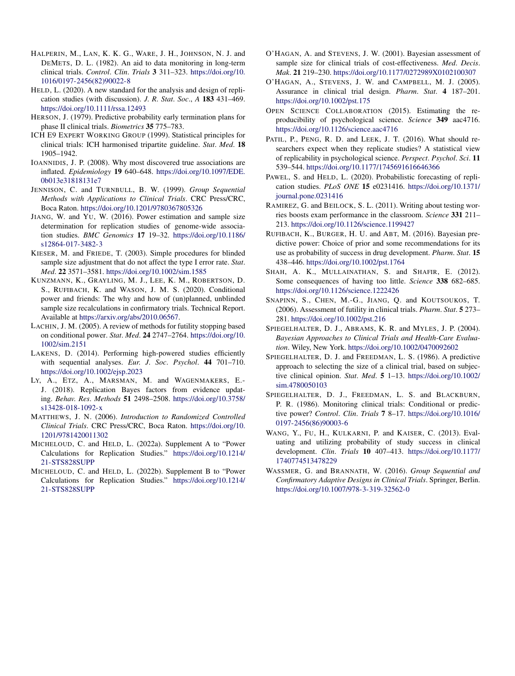- HALPERIN, M., LAN, K. K. G., WARE, J. H., JOHNSON, N. J. and DEMETS, D. L. (1982). An aid to data monitoring in long-term clinical trials. *Control*. *Clin*. *Trials* **3** 311–323. [https://doi.org/10.](https://doi.org/10.1016/0197-2456(82)90022-8) [1016/0197-2456\(82\)90022-8](https://doi.org/10.1016/0197-2456(82)90022-8)
- HELD, L. (2020). A new standard for the analysis and design of replication studies (with discussion). *J*. *R*. *Stat*. *Soc*., *A* **183** 431–469. <https://doi.org/10.1111/rssa.12493>
- HERSON, J. (1979). Predictive probability early termination plans for phase II clinical trials. *Biometrics* **35** 775–783.
- ICH E9 EXPERT WORKING GROUP (1999). Statistical principles for clinical trials: ICH harmonised tripartite guideline. *Stat*. *Med*. **18** 1905–1942.
- IOANNIDIS, J. P. (2008). Why most discovered true associations are inflated. *Epidemiology* **19** 640–648. [https://doi.org/10.1097/EDE.](https://doi.org/10.1097/EDE.0b013e31818131e7) [0b013e31818131e7](https://doi.org/10.1097/EDE.0b013e31818131e7)
- JENNISON, C. and TURNBULL, B. W. (1999). *Group Sequential Methods with Applications to Clinical Trials*. CRC Press/CRC, Boca Raton. <https://doi.org/10.1201/9780367805326>
- JIANG, W. and YU, W. (2016). Power estimation and sample size determination for replication studies of genome-wide association studies. *BMC Genomics* **17** 19–32. [https://doi.org/10.1186/](https://doi.org/10.1186/s12864-017-3482-3) [s12864-017-3482-3](https://doi.org/10.1186/s12864-017-3482-3)
- KIESER, M. and FRIEDE, T. (2003). Simple procedures for blinded sample size adjustment that do not affect the type I error rate. *Stat*. *Med*. **22** 3571–3581. <https://doi.org/10.1002/sim.1585>
- KUNZMANN, K., GRAYLING, M. J., LEE, K. M., ROBERTSON, D. S., RUFIBACH, K. and WASON, J. M. S. (2020). Conditional power and friends: The why and how of (un)planned, unblinded sample size recalculations in confirmatory trials. Technical Report. Available at [https://arxiv.org/abs/2010.06567.](https://arxiv.org/abs/2010.06567)
- LACHIN, J. M. (2005). A review of methods for futility stopping based on conditional power. *Stat*. *Med*. **24** 2747–2764. [https://doi.org/10.](https://doi.org/10.1002/sim.2151) [1002/sim.2151](https://doi.org/10.1002/sim.2151)
- LAKENS, D. (2014). Performing high-powered studies efficiently with sequential analyses. *Eur*. *J*. *Soc*. *Psychol*. **44** 701–710. <https://doi.org/10.1002/ejsp.2023>
- LY, A., ETZ, A., MARSMAN, M. and WAGENMAKERS, E.- J. (2018). Replication Bayes factors from evidence updating. *Behav*. *Res*. *Methods* **51** 2498–2508. [https://doi.org/10.3758/](https://doi.org/10.3758/s13428-018-1092-x) [s13428-018-1092-x](https://doi.org/10.3758/s13428-018-1092-x)
- MATTHEWS, J. N. (2006). *Introduction to Randomized Controlled Clinical Trials*. CRC Press/CRC, Boca Raton. [https://doi.org/10.](https://doi.org/10.1201/9781420011302) [1201/9781420011302](https://doi.org/10.1201/9781420011302)
- MICHELOUD, C. and HELD, L. (2022a). Supplement A to "Power Calculations for Replication Studies." [https://doi.org/10.1214/](https://doi.org/10.1214/21-STS828SUPP) [21-STS828SUPP](https://doi.org/10.1214/21-STS828SUPP)
- MICHELOUD, C. and HELD, L. (2022b). Supplement B to "Power Calculations for Replication Studies." [https://doi.org/10.1214/](https://doi.org/10.1214/21-STS828SUPP) [21-STS828SUPP](https://doi.org/10.1214/21-STS828SUPP)
- O'HAGAN, A. and STEVENS, J. W. (2001). Bayesian assessment of sample size for clinical trials of cost-effectiveness. *Med*. *Decis*. *Mak*. **21** 219–230. <https://doi.org/10.1177/0272989X0102100307>
- O'HAGAN, A., STEVENS, J. W. and CAMPBELL, M. J. (2005). Assurance in clinical trial design. *Pharm*. *Stat*. **4** 187–201. <https://doi.org/10.1002/pst.175>
- OPEN SCIENCE COLLABORATION (2015). Estimating the reproducibility of psychological science. *Science* **349** aac4716. <https://doi.org/10.1126/science.aac4716>
- PATIL, P., PENG, R. D. and LEEK, J. T. (2016). What should researchers expect when they replicate studies? A statistical view of replicability in psychological science. *Perspect*. *Psychol*. *Sci*. **11** 539–544. <https://doi.org/10.1177/1745691616646366>
- PAWEL, S. and HELD, L. (2020). Probabilistic forecasting of replication studies. *PLoS ONE* **15** e0231416. [https://doi.org/10.1371/](https://doi.org/10.1371/journal.pone.0231416) [journal.pone.0231416](https://doi.org/10.1371/journal.pone.0231416)
- RAMIREZ, G. and BEILOCK, S. L. (2011). Writing about testing worries boosts exam performance in the classroom. *Science* **331** 211– 213. <https://doi.org/10.1126/science.1199427>
- RUFIBACH, K., BURGER, H. U. and ABT, M. (2016). Bayesian predictive power: Choice of prior and some recommendations for its use as probability of success in drug development. *Pharm*. *Stat*. **15** 438–446. <https://doi.org/10.1002/pst.1764>
- SHAH, A. K., MULLAINATHAN, S. and SHAFIR, E. (2012). Some consequences of having too little. *Science* **338** 682–685. <https://doi.org/10.1126/science.1222426>
- SNAPINN, S., CHEN, M.-G., JIANG, Q. and KOUTSOUKOS, T. (2006). Assessment of futility in clinical trials. *Pharm*. *Stat*. **5** 273– 281. <https://doi.org/10.1002/pst.216>
- SPIEGELHALTER, D. J., ABRAMS, K. R. and MYLES, J. P. (2004). *Bayesian Approaches to Clinical Trials and Health-Care Evaluation*. Wiley, New York. <https://doi.org/10.1002/0470092602>
- SPIEGELHALTER, D. J. and FREEDMAN, L. S. (1986). A predictive approach to selecting the size of a clinical trial, based on subjective clinical opinion. *Stat*. *Med*. **5** 1–13. [https://doi.org/10.1002/](https://doi.org/10.1002/sim.4780050103) [sim.4780050103](https://doi.org/10.1002/sim.4780050103)
- SPIEGELHALTER, D. J., FREEDMAN, L. S. and BLACKBURN, P. R. (1986). Monitoring clinical trials: Conditional or predictive power? *Control*. *Clin*. *Trials* **7** 8–17. [https://doi.org/10.1016/](https://doi.org/10.1016/0197-2456(86)90003-6) [0197-2456\(86\)90003-6](https://doi.org/10.1016/0197-2456(86)90003-6)
- WANG, Y., FU, H., KULKARNI, P. and KAISER, C. (2013). Evaluating and utilizing probability of study success in clinical development. *Clin*. *Trials* **10** 407–413. [https://doi.org/10.1177/](https://doi.org/10.1177/1740774513478229) [1740774513478229](https://doi.org/10.1177/1740774513478229)
- WASSMER, G. and BRANNATH, W. (2016). *Group Sequential and Confirmatory Adaptive Designs in Clinical Trials*. Springer, Berlin. <https://doi.org/10.1007/978-3-319-32562-0>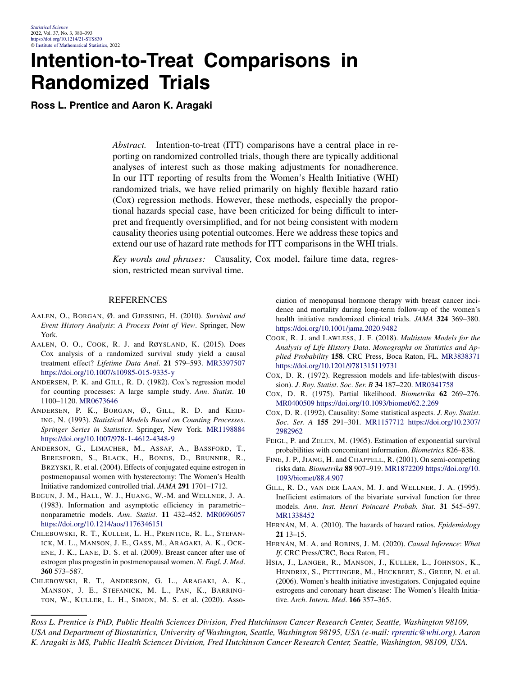### **Intention-to-Treat Comparisons in Randomized Trials**

**Ross L. Prentice and Aaron K. Aragaki**

*Abstract.* Intention-to-treat (ITT) comparisons have a central place in reporting on randomized controlled trials, though there are typically additional analyses of interest such as those making adjustments for nonadherence. In our ITT reporting of results from the Women's Health Initiative (WHI) randomized trials, we have relied primarily on highly flexible hazard ratio (Cox) regression methods. However, these methods, especially the proportional hazards special case, have been criticized for being difficult to interpret and frequently oversimplified, and for not being consistent with modern causality theories using potential outcomes. Here we address these topics and extend our use of hazard rate methods for ITT comparisons in the WHI trials.

*Key words and phrases:* Causality, Cox model, failure time data, regression, restricted mean survival time.

#### **REFERENCES**

- AALEN, O., BORGAN, Ø. and GJESSING, H. (2010). *Survival and Event History Analysis*: *A Process Point of View*. Springer, New York.
- AALEN, O. O., COOK, R. J. and RØYSLAND, K. (2015). Does Cox analysis of a randomized survival study yield a causal treatment effect? *Lifetime Data Anal*. **21** 579–593. [MR3397507](http://www.ams.org/mathscinet-getitem?mr=3397507) <https://doi.org/10.1007/s10985-015-9335-y>
- ANDERSEN, P. K. and GILL, R. D. (1982). Cox's regression model for counting processes: A large sample study. *Ann*. *Statist*. **10** 1100–1120. [MR0673646](http://www.ams.org/mathscinet-getitem?mr=0673646)
- ANDERSEN, P. K., BORGAN, Ø., GILL, R. D. and KEID-ING, N. (1993). *Statistical Models Based on Counting Processes*. *Springer Series in Statistics*. Springer, New York. [MR1198884](http://www.ams.org/mathscinet-getitem?mr=1198884) <https://doi.org/10.1007/978-1-4612-4348-9>
- ANDERSON, G., LIMACHER, M., ASSAF, A., BASSFORD, T., BERESFORD, S., BLACK, H., BONDS, D., BRUNNER, R., BRZYSKI, R. et al. (2004). Effects of conjugated equine estrogen in postmenopausal women with hysterectomy: The Women's Health Initiative randomized controlled trial. *JAMA* **291** 1701–1712.
- BEGUN, J. M., HALL, W. J., HUANG, W.-M. and WELLNER, J. A. (1983). Information and asymptotic efficiency in parametric– nonparametric models. *Ann*. *Statist*. **11** 432–452. [MR0696057](http://www.ams.org/mathscinet-getitem?mr=0696057) <https://doi.org/10.1214/aos/1176346151>
- CHLEBOWSKI, R. T., KULLER, L. H., PRENTICE, R. L., STEFAN-ICK, M. L., MANSON, J. E., GASS, M., ARAGAKI, A. K., OCK-ENE, J. K., LANE, D. S. et al. (2009). Breast cancer after use of estrogen plus progestin in postmenopausal women. *N*. *Engl*. *J*. *Med*. **360** 573–587.
- CHLEBOWSKI, R. T., ANDERSON, G. L., ARAGAKI, A. K., MANSON, J. E., STEFANICK, M. L., PAN, K., BARRING-TON, W., KULLER, L. H., SIMON, M. S. et al. (2020). Asso-

ciation of menopausal hormone therapy with breast cancer incidence and mortality during long-term follow-up of the women's health initiative randomized clinical trials. *JAMA* **324** 369–380. <https://doi.org/10.1001/jama.2020.9482>

- COOK, R. J. and LAWLESS, J. F. (2018). *Multistate Models for the Analysis of Life History Data*. *Monographs on Statistics and Applied Probability* **158**. CRC Press, Boca Raton, FL. [MR3838371](http://www.ams.org/mathscinet-getitem?mr=3838371) <https://doi.org/10.1201/9781315119731>
- COX, D. R. (1972). Regression models and life-tables(with discussion). *J*. *Roy*. *Statist*. *Soc*. *Ser*. *B* **34** 187–220. [MR0341758](http://www.ams.org/mathscinet-getitem?mr=0341758)
- COX, D. R. (1975). Partial likelihood. *Biometrika* **62** 269–276. [MR0400509](http://www.ams.org/mathscinet-getitem?mr=0400509)<https://doi.org/10.1093/biomet/62.2.269>
- COX, D. R. (1992). Causality: Some statistical aspects. *J*. *Roy*. *Statist*. *Soc*. *Ser*. *A* **155** 291–301. [MR1157712](http://www.ams.org/mathscinet-getitem?mr=1157712) [https://doi.org/10.2307/](https://doi.org/10.2307/2982962) [2982962](https://doi.org/10.2307/2982962)
- FEIGL, P. and ZELEN, M. (1965). Estimation of exponential survival probabilities with concomitant information. *Biometrics* 826–838.
- FINE, J. P., JIANG, H. and CHAPPELL, R. (2001). On semi-competing risks data. *Biometrika* **88** 907–919. [MR1872209](http://www.ams.org/mathscinet-getitem?mr=1872209) [https://doi.org/10.](https://doi.org/10.1093/biomet/88.4.907) [1093/biomet/88.4.907](https://doi.org/10.1093/biomet/88.4.907)
- GILL, R. D., VAN DER LAAN, M. J. and WELLNER, J. A. (1995). Inefficient estimators of the bivariate survival function for three models. *Ann*. *Inst*. *Henri Poincaré Probab*. *Stat*. **31** 545–597. [MR1338452](http://www.ams.org/mathscinet-getitem?mr=1338452)
- HERNÁN, M. A. (2010). The hazards of hazard ratios. *Epidemiology* **21** 13–15.
- HERNÁN, M. A. and ROBINS, J. M. (2020). *Causal Inference*: *What If*. CRC Press/CRC, Boca Raton, FL.
- HSIA, J., LANGER, R., MANSON, J., KULLER, L., JOHNSON, K., HENDRIX, S., PETTINGER, M., HECKBERT, S., GREEP, N. et al. (2006). Women's health initiative investigators. Conjugated equine estrogens and coronary heart disease: The Women's Health Initiative. *Arch*. *Intern*. *Med*. **166** 357–365.

*Ross L. Prentice is PhD, Public Health Sciences Division, Fred Hutchinson Cancer Research Center, Seattle, Washington 98109, USA and Department of Biostatistics, University of Washington, Seattle, Washington 98195, USA (e-mail: [rprentic@whi.org](mailto:rprentic@whi.org)). Aaron K. Aragaki is MS, Public Health Sciences Division, Fred Hutchinson Cancer Research Center, Seattle, Washington, 98109, USA.*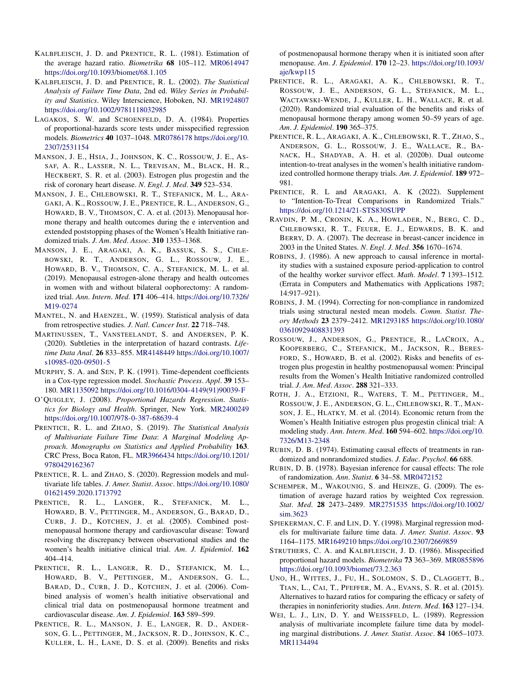- KALBFLEISCH, J. D. and PRENTICE, R. L. (1981). Estimation of the average hazard ratio. *Biometrika* **68** 105–112. [MR0614947](http://www.ams.org/mathscinet-getitem?mr=0614947) <https://doi.org/10.1093/biomet/68.1.105>
- KALBFLEISCH, J. D. and PRENTICE, R. L. (2002). *The Statistical Analysis of Failure Time Data*, 2nd ed. *Wiley Series in Probability and Statistics*. Wiley Interscience, Hoboken, NJ. [MR1924807](http://www.ams.org/mathscinet-getitem?mr=1924807) <https://doi.org/10.1002/9781118032985>
- LAGAKOS, S. W. and SCHOENFELD, D. A. (1984). Properties of proportional-hazards score tests under misspecified regression models. *Biometrics* **40** 1037–1048. [MR0786178](http://www.ams.org/mathscinet-getitem?mr=0786178) [https://doi.org/10.](https://doi.org/10.2307/2531154) [2307/2531154](https://doi.org/10.2307/2531154)
- MANSON, J. E., HSIA, J., JOHNSON, K. C., ROSSOUW, J. E., AS-SAF, A. R., LASSER, N. L., TREVISAN, M., BLACK, H. R., HECKBERT, S. R. et al. (2003). Estrogen plus progestin and the risk of coronary heart disease. *N*. *Engl*. *J*. *Med*. **349** 523–534.
- MANSON, J. E., CHLEBOWSKI, R. T., STEFANICK, M. L., ARA-GAKI, A. K., ROSSOUW, J. E., PRENTICE, R. L., ANDERSON, G., HOWARD, B. V., THOMSON, C. A. et al. (2013). Menopausal hormone therapy and health outcomes during the e intervention and extended poststopping phases of the Women's Health Initiative randomized trials. *J*. *Am*. *Med*. *Assoc*. **310** 1353–1368.
- MANSON, J. E., ARAGAKI, A. K., BASSUK, S. S., CHLE-BOWSKI, R. T., ANDERSON, G. L., ROSSOUW, J. E., HOWARD, B. V., THOMSON, C. A., STEFANICK, M. L. et al. (2019). Menopausal estrogen-alone therapy and health outcomes in women with and without bilateral oophorectomy: A randomized trial. *Ann*. *Intern*. *Med*. **171** 406–414. [https://doi.org/10.7326/](https://doi.org/10.7326/M19-0274) [M19-0274](https://doi.org/10.7326/M19-0274)
- MANTEL, N. and HAENZEL, W. (1959). Statistical analysis of data from retrospective studies. *J*. *Natl*. *Cancer Inst*. **22** 718–748.
- MARTINUSSEN, T., VANSTEELANDT, S. and ANDERSEN, P. K. (2020). Subtleties in the interpretation of hazard contrasts. *Lifetime Data Anal*. **26** 833–855. [MR4148449](http://www.ams.org/mathscinet-getitem?mr=4148449) [https://doi.org/10.1007/](https://doi.org/10.1007/s10985-020-09501-5) [s10985-020-09501-5](https://doi.org/10.1007/s10985-020-09501-5)
- MURPHY, S. A. and SEN, P. K. (1991). Time-dependent coefficients in a Cox-type regression model. *Stochastic Process*. *Appl*. **39** 153– 180. [MR1135092](http://www.ams.org/mathscinet-getitem?mr=1135092) [https://doi.org/10.1016/0304-4149\(91\)90039-F](https://doi.org/10.1016/0304-4149(91)90039-F)
- O'QUIGLEY, J. (2008). *Proportional Hazards Regression*. *Statistics for Biology and Health*. Springer, New York. [MR2400249](http://www.ams.org/mathscinet-getitem?mr=2400249) <https://doi.org/10.1007/978-0-387-68639-4>
- PRENTICE, R. L. and ZHAO, S. (2019). *The Statistical Analysis of Multivariate Failure Time Data*: *A Marginal Modeling Approach*. *Monographs on Statistics and Applied Probability* **163**. CRC Press, Boca Raton, FL. [MR3966434](http://www.ams.org/mathscinet-getitem?mr=3966434) [https://doi.org/10.1201/](https://doi.org/10.1201/9780429162367) [9780429162367](https://doi.org/10.1201/9780429162367)
- PRENTICE, R. L. and ZHAO, S. (2020). Regression models and multivariate life tables. *J*. *Amer*. *Statist*. *Assoc*. [https://doi.org/10.1080/](https://doi.org/10.1080/01621459.2020.1713792) [01621459.2020.1713792](https://doi.org/10.1080/01621459.2020.1713792)
- PRENTICE, R. L., LANGER, R., STEFANICK, M. L., HOWARD, B. V., PETTINGER, M., ANDERSON, G., BARAD, D., CURB, J. D., KOTCHEN, J. et al. (2005). Combined postmenopausal hormone therapy and cardiovascular disease: Toward resolving the discrepancy between observational studies and the women's health initiative clinical trial. *Am*. *J*. *Epidemiol*. **162** 404–414.
- PRENTICE, R. L., LANGER, R. D., STEFANICK, M. L., HOWARD, B. V., PETTINGER, M., ANDERSON, G. L., BARAD, D., CURB, J. D., KOTCHEN, J. et al. (2006). Combined analysis of women's health initiative observational and clinical trial data on postmenopausal hormone treatment and cardiovascular disease. *Am*. *J*. *Epidemiol*. **163** 589–599.
- PRENTICE, R. L., MANSON, J. E., LANGER, R. D., ANDER-SON, G. L., PETTINGER, M., JACKSON, R. D., JOHNSON, K. C., KULLER, L. H., LANE, D. S. et al. (2009). Benefits and risks

of postmenopausal hormone therapy when it is initiated soon after menopause. *Am*. *J*. *Epidemiol*. **170** 12–23. [https://doi.org/10.1093/](https://doi.org/10.1093/aje/kwp115) [aje/kwp115](https://doi.org/10.1093/aje/kwp115)

- PRENTICE, R. L., ARAGAKI, A. K., CHLEBOWSKI, R. T., ROSSOUW, J. E., ANDERSON, G. L., STEFANICK, M. L., WACTAWSKI-WENDE, J., KULLER, L. H., WALLACE, R. et al. (2020). Randomized trial evaluation of the benefits and risks of menopausal hormone therapy among women 50–59 years of age. *Am*. *J*. *Epidemiol*. **190** 365–375.
- PRENTICE, R. L., ARAGAKI, A. K., CHLEBOWSKI, R. T., ZHAO, S., ANDERSON, G. L., ROSSOUW, J. E., WALLACE, R., BA-NACK, H., SHADYAB, A. H. et al. (2020b). Dual outcome intention-to-treat analyses in the women's health initiative randomized controlled hormone therapy trials. *Am*. *J*. *Epidemiol*. **189** 972– 981.
- PRENTICE, R. L and ARAGAKI, A. K (2022). Supplement to "Intention-To-Treat Comparisons in Randomized Trials." <https://doi.org/10.1214/21-STS830SUPP>
- RAVDIN, P. M., CRONIN, K. A., HOWLADER, N., BERG, C. D., CHLEBOWSKI, R. T., FEUER, E. J., EDWARDS, B. K. and BERRY, D. A. (2007). The decrease in breast-cancer incidence in 2003 in the United States. *N*. *Engl*. *J*. *Med*. **356** 1670–1674.
- ROBINS, J. (1986). A new approach to causal inference in mortality studies with a sustained exposure period-application to control of the healthy worker survivor effect. *Math*. *Model*. **7** 1393–1512. (Errata in Computers and Mathematics with Applications 1987; 14:917–921).
- ROBINS, J. M. (1994). Correcting for non-compliance in randomized trials using structural nested mean models. *Comm*. *Statist*. *Theory Methods* **23** 2379–2412. [MR1293185](http://www.ams.org/mathscinet-getitem?mr=1293185) [https://doi.org/10.1080/](https://doi.org/10.1080/03610929408831393) [03610929408831393](https://doi.org/10.1080/03610929408831393)
- ROSSOUW, J., ANDERSON, G., PRENTICE, R., LACROIX, A., KOOPERBERG, C., STEFANICK, M., JACKSON, R., BERES-FORD, S., HOWARD, B. et al. (2002). Risks and benefits of estrogen plus progestin in healthy postmenopausal women: Principal results from the Women's Health Initiative randomized controlled trial. *J*. *Am*. *Med*. *Assoc*. **288** 321–333.
- ROTH, J. A., ETZIONI, R., WATERS, T. M., PETTINGER, M., ROSSOUW, J. E., ANDERSON, G. L., CHLEBOWSKI, R. T., MAN-SON, J. E., HLATKY, M. et al. (2014). Economic return from the Women's Health Initiative estrogen plus progestin clinical trial: A modeling study. *Ann*. *Intern*. *Med*. **160** 594–602. [https://doi.org/10.](https://doi.org/10.7326/M13-2348) [7326/M13-2348](https://doi.org/10.7326/M13-2348)
- RUBIN, D. B. (1974). Estimating causal effects of treatments in randomized and nonrandomized studies. *J*. *Educ*. *Psychol*. **66** 688.
- RUBIN, D. B. (1978). Bayesian inference for causal effects: The role of randomization. *Ann*. *Statist*. **6** 34–58. [MR0472152](http://www.ams.org/mathscinet-getitem?mr=0472152)
- SCHEMPER, M., WAKOUNIG, S. and HEINZE, G. (2009). The estimation of average hazard ratios by weighted Cox regression. *Stat*. *Med*. **28** 2473–2489. [MR2751535](http://www.ams.org/mathscinet-getitem?mr=2751535) [https://doi.org/10.1002/](https://doi.org/10.1002/sim.3623) [sim.3623](https://doi.org/10.1002/sim.3623)
- SPIEKERMAN, C. F. and LIN, D. Y. (1998). Marginal regression models for multivariate failure time data. *J*. *Amer*. *Statist*. *Assoc*. **93** 1164–1175. [MR1649210](http://www.ams.org/mathscinet-getitem?mr=1649210)<https://doi.org/10.2307/2669859>
- STRUTHERS, C. A. and KALBFLEISCH, J. D. (1986). Misspecified proportional hazard models. *Biometrika* **73** 363–369. [MR0855896](http://www.ams.org/mathscinet-getitem?mr=0855896) <https://doi.org/10.1093/biomet/73.2.363>
- UNO, H., WITTES, J., FU, H., SOLOMON, S. D., CLAGGETT, B., TIAN, L., CAI, T., PFEFFER, M. A., EVANS, S. R. et al. (2015). Alternatives to hazard ratios for comparing the efficacy or safety of therapies in noninferiority studies. *Ann*. *Intern*. *Med*. **163** 127–134.
- WEI, L. J., LIN, D. Y. and WEISSFELD, L. (1989). Regression analysis of multivariate incomplete failure time data by modeling marginal distributions. *J*. *Amer*. *Statist*. *Assoc*. **84** 1065–1073. [MR1134494](http://www.ams.org/mathscinet-getitem?mr=1134494)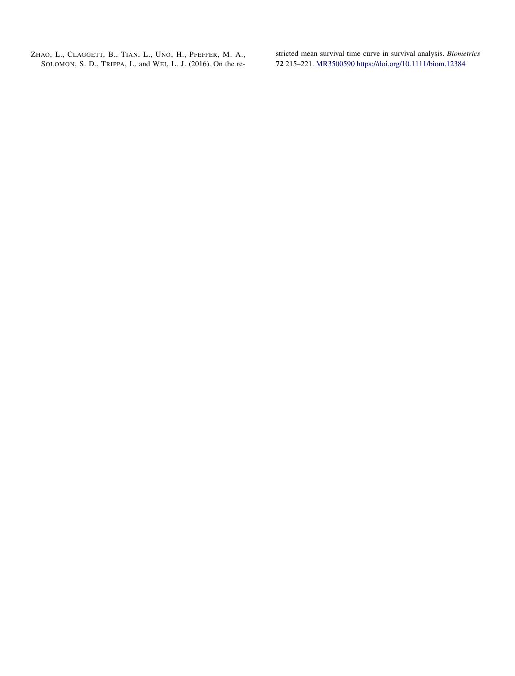ZHAO, L., CLAGGETT, B., TIAN, L., UNO, H., PFEFFER, M. A., SOLOMON, S. D., TRIPPA, L. and WEI, L. J. (2016). On the restricted mean survival time curve in survival analysis. *Biometrics* **72** 215–221. [MR3500590](http://www.ams.org/mathscinet-getitem?mr=3500590)<https://doi.org/10.1111/biom.12384>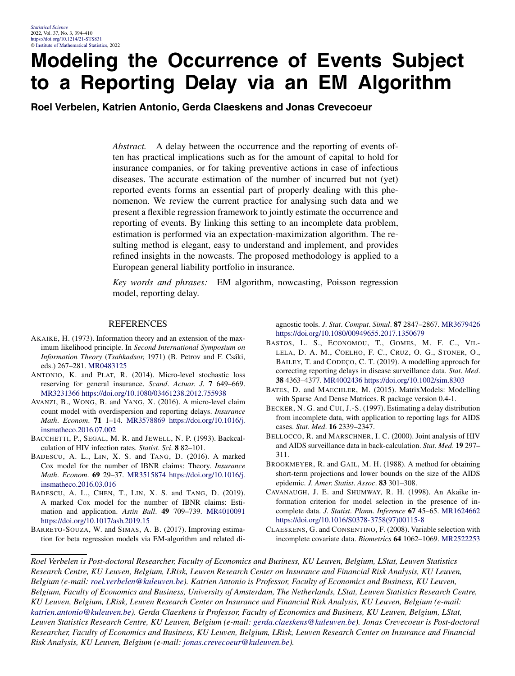### **Modeling the Occurrence of Events Subject to a Reporting Delay via an EM Algorithm**

**Roel Verbelen, Katrien Antonio, Gerda Claeskens and Jonas Crevecoeur**

*Abstract.* A delay between the occurrence and the reporting of events often has practical implications such as for the amount of capital to hold for insurance companies, or for taking preventive actions in case of infectious diseases. The accurate estimation of the number of incurred but not (yet) reported events forms an essential part of properly dealing with this phenomenon. We review the current practice for analysing such data and we present a flexible regression framework to jointly estimate the occurrence and reporting of events. By linking this setting to an incomplete data problem, estimation is performed via an expectation-maximization algorithm. The resulting method is elegant, easy to understand and implement, and provides refined insights in the nowcasts. The proposed methodology is applied to a European general liability portfolio in insurance.

*Key words and phrases:* EM algorithm, nowcasting, Poisson regression model, reporting delay.

#### REFERENCES

- AKAIKE, H. (1973). Information theory and an extension of the maximum likelihood principle. In *Second International Symposium on Information Theory* (*Tsahkadsor*, 1971) (B. Petrov and F. Csáki, eds.) 267–281. [MR0483125](http://www.ams.org/mathscinet-getitem?mr=0483125)
- ANTONIO, K. and PLAT, R. (2014). Micro-level stochastic loss reserving for general insurance. *Scand*. *Actuar*. *J*. **7** 649–669. [MR3231366](http://www.ams.org/mathscinet-getitem?mr=3231366)<https://doi.org/10.1080/03461238.2012.755938>
- AVANZI, B., WONG, B. and YANG, X. (2016). A micro-level claim count model with overdispersion and reporting delays. *Insurance Math*. *Econom*. **71** 1–14. [MR3578869](http://www.ams.org/mathscinet-getitem?mr=3578869) [https://doi.org/10.1016/j.](https://doi.org/10.1016/j.insmatheco.2016.07.002) [insmatheco.2016.07.002](https://doi.org/10.1016/j.insmatheco.2016.07.002)
- BACCHETTI, P., SEGAL, M. R. and JEWELL, N. P. (1993). Backcalculation of HIV infection rates. *Statist*. *Sci*. **8** 82–101.
- BADESCU, A. L., LIN, X. S. and TANG, D. (2016). A marked Cox model for the number of IBNR claims: Theory. *Insurance Math*. *Econom*. **69** 29–37. [MR3515874](http://www.ams.org/mathscinet-getitem?mr=3515874) [https://doi.org/10.1016/j.](https://doi.org/10.1016/j.insmatheco.2016.03.016) [insmatheco.2016.03.016](https://doi.org/10.1016/j.insmatheco.2016.03.016)
- BADESCU, A. L., CHEN, T., LIN, X. S. and TANG, D. (2019). A marked Cox model for the number of IBNR claims: Estimation and application. *Astin Bull*. **49** 709–739. [MR4010091](http://www.ams.org/mathscinet-getitem?mr=4010091) <https://doi.org/10.1017/asb.2019.15>
- BARRETO-SOUZA, W. and SIMAS, A. B. (2017). Improving estimation for beta regression models via EM-algorithm and related di-

agnostic tools. *J*. *Stat*. *Comput*. *Simul*. **87** 2847–2867. [MR3679426](http://www.ams.org/mathscinet-getitem?mr=3679426) <https://doi.org/10.1080/00949655.2017.1350679>

- BASTOS, L. S., ECONOMOU, T., GOMES, M. F. C., VIL-LELA, D. A. M., COELHO, F. C., CRUZ, O. G., STONER, O., BAILEY, T. and CODEÇO, C. T. (2019). A modelling approach for correcting reporting delays in disease surveillance data. *Stat*. *Med*. **38** 4363–4377. [MR4002436](http://www.ams.org/mathscinet-getitem?mr=4002436)<https://doi.org/10.1002/sim.8303>
- BATES, D. and MAECHLER, M. (2015). MatrixModels: Modelling with Sparse And Dense Matrices. R package version 0.4-1.
- BECKER, N. G. and CUI, J.-S. (1997). Estimating a delay distribution from incomplete data, with application to reporting lags for AIDS cases. *Stat*. *Med*. **16** 2339–2347.
- BELLOCCO, R. and MARSCHNER, I. C. (2000). Joint analysis of HIV and AIDS surveillance data in back-calculation. *Stat*. *Med*. **19** 297– 311.
- BROOKMEYER, R. and GAIL, M. H. (1988). A method for obtaining short-term projections and lower bounds on the size of the AIDS epidemic. *J*. *Amer*. *Statist*. *Assoc*. **83** 301–308.
- CAVANAUGH, J. E. and SHUMWAY, R. H. (1998). An Akaike information criterion for model selection in the presence of incomplete data. *J*. *Statist*. *Plann*. *Inference* **67** 45–65. [MR1624662](http://www.ams.org/mathscinet-getitem?mr=1624662) [https://doi.org/10.1016/S0378-3758\(97\)00115-8](https://doi.org/10.1016/S0378-3758(97)00115-8)
- CLAESKENS, G. and CONSENTINO, F. (2008). Variable selection with incomplete covariate data. *Biometrics* **64** 1062–1069. [MR2522253](http://www.ams.org/mathscinet-getitem?mr=2522253)

*Roel Verbelen is Post-doctoral Researcher, Faculty of Economics and Business, KU Leuven, Belgium, LStat, Leuven Statistics Research Centre, KU Leuven, Belgium, LRisk, Leuven Research Center on Insurance and Financial Risk Analysis, KU Leuven, Belgium (e-mail: [roel.verbelen@kuleuven.be](mailto:roel.verbelen@kuleuven.be)). Katrien Antonio is Professor, Faculty of Economics and Business, KU Leuven, Belgium, Faculty of Economics and Business, University of Amsterdam, The Netherlands, LStat, Leuven Statistics Research Centre, KU Leuven, Belgium, LRisk, Leuven Research Center on Insurance and Financial Risk Analysis, KU Leuven, Belgium (e-mail: [katrien.antonio@kuleuven.be\)](mailto:katrien.antonio@kuleuven.be). Gerda Claeskens is Professor, Faculty of Economics and Business, KU Leuven, Belgium, LStat, Leuven Statistics Research Centre, KU Leuven, Belgium (e-mail: [gerda.claeskens@kuleuven.be\)](mailto:gerda.claeskens@kuleuven.be). Jonas Crevecoeur is Post-doctoral Researcher, Faculty of Economics and Business, KU Leuven, Belgium, LRisk, Leuven Research Center on Insurance and Financial Risk Analysis, KU Leuven, Belgium (e-mail: [jonas.crevecoeur@kuleuven.be](mailto:jonas.crevecoeur@kuleuven.be)).*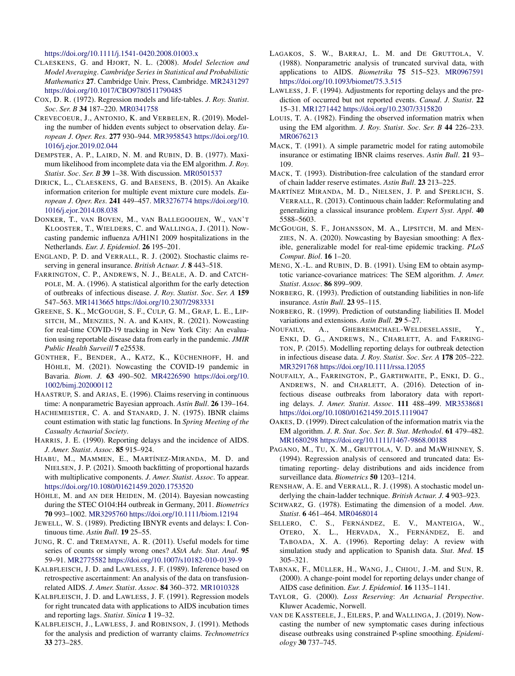<https://doi.org/10.1111/j.1541-0420.2008.01003.x>

- CLAESKENS, G. and HJORT, N. L. (2008). *Model Selection and Model Averaging*. *Cambridge Series in Statistical and Probabilistic Mathematics* **27**. Cambridge Univ. Press, Cambridge. [MR2431297](http://www.ams.org/mathscinet-getitem?mr=2431297) <https://doi.org/10.1017/CBO9780511790485>
- COX, D. R. (1972). Regression models and life-tables. *J*. *Roy*. *Statist*. *Soc*. *Ser*. *B* **34** 187–220. [MR0341758](http://www.ams.org/mathscinet-getitem?mr=0341758)
- CREVECOEUR, J., ANTONIO, K. and VERBELEN, R. (2019). Modeling the number of hidden events subject to observation delay. *European J*. *Oper*. *Res*. **277** 930–944. [MR3958543](http://www.ams.org/mathscinet-getitem?mr=3958543) [https://doi.org/10.](https://doi.org/10.1016/j.ejor.2019.02.044) [1016/j.ejor.2019.02.044](https://doi.org/10.1016/j.ejor.2019.02.044)
- DEMPSTER, A. P., LAIRD, N. M. and RUBIN, D. B. (1977). Maximum likelihood from incomplete data via the EM algorithm. *J*. *Roy*. *Statist*. *Soc*. *Ser*. *B* **39** 1–38. With discussion. [MR0501537](http://www.ams.org/mathscinet-getitem?mr=0501537)
- DIRICK, L., CLAESKENS, G. and BAESENS, B. (2015). An Akaike information criterion for multiple event mixture cure models. *European J*. *Oper*. *Res*. **241** 449–457. [MR3276774](http://www.ams.org/mathscinet-getitem?mr=3276774) [https://doi.org/10.](https://doi.org/10.1016/j.ejor.2014.08.038) [1016/j.ejor.2014.08.038](https://doi.org/10.1016/j.ejor.2014.08.038)
- DONKER, T., VAN BOVEN, M., VAN BALLEGOOIJEN, W., VAN'T KLOOSTER, T., WIELDERS, C. and WALLINGA, J. (2011). Nowcasting pandemic influenza A/H1N1 2009 hospitalizations in the Netherlands. *Eur*. *J*. *Epidemiol*. **26** 195–201.
- ENGLAND, P. D. and VERRALL, R. J. (2002). Stochastic claims reserving in general insurance. *British Actuar*. *J*. **8** 443–518.
- FARRINGTON, C. P., ANDREWS, N. J., BEALE, A. D. and CATCH-POLE, M. A. (1996). A statistical algorithm for the early detection of outbreaks of infectious disease. *J*. *Roy*. *Statist*. *Soc*. *Ser*. *A* **159** 547–563. [MR1413665](http://www.ams.org/mathscinet-getitem?mr=1413665)<https://doi.org/10.2307/2983331>
- GREENE, S. K., MCGOUGH, S. F., CULP, G. M., GRAF, L. E., LIP-SITCH, M., MENZIES, N. A. and KAHN, R. (2021). Nowcasting for real-time COVID-19 tracking in New York City: An evaluation using reportable disease data from early in the pandemic. *JMIR Public Health Surveill* **7** e25538.
- GÜNTHER, F., BENDER, A., KATZ, K., KÜCHENHOFF, H. and HÖHLE, M. (2021). Nowcasting the COVID-19 pandemic in Bavaria. *Biom*. *J*. **63** 490–502. [MR4226590](http://www.ams.org/mathscinet-getitem?mr=4226590) [https://doi.org/10.](https://doi.org/10.1002/bimj.202000112) [1002/bimj.202000112](https://doi.org/10.1002/bimj.202000112)
- HAASTRUP, S. and ARJAS, E. (1996). Claims reserving in continuous time: A nonparametric Bayesian approach. *Astin Bull*. **26** 139–164.
- HACHEMEISTER, C. A. and STANARD, J. N. (1975). IBNR claims count estimation with static lag functions. In *Spring Meeting of the Casualty Actuarial Society*.
- HARRIS, J. E. (1990). Reporting delays and the incidence of AIDS. *J*. *Amer*. *Statist*. *Assoc*. **85** 915–924.
- HIABU, M., MAMMEN, E., MARTÍNEZ-MIRANDA, M. D. and NIELSEN, J. P. (2021). Smooth backfitting of proportional hazards with multiplicative components. *J*. *Amer*. *Statist*. *Assoc*. To appear. <https://doi.org/10.1080/01621459.2020.1753520>
- HÖHLE, M. and AN DER HEIDEN, M. (2014). Bayesian nowcasting during the STEC O104:H4 outbreak in Germany, 2011. *Biometrics* **70** 993–1002. [MR3295760](http://www.ams.org/mathscinet-getitem?mr=3295760)<https://doi.org/10.1111/biom.12194>
- JEWELL, W. S. (1989). Predicting IBNYR events and delays: I. Continuous time. *Astin Bull*. **19** 25–55.
- JUNG, R. C. and TREMAYNE, A. R. (2011). Useful models for time series of counts or simply wrong ones? *AStA Adv*. *Stat*. *Anal*. **95** 59–91. [MR2775582](http://www.ams.org/mathscinet-getitem?mr=2775582)<https://doi.org/10.1007/s10182-010-0139-9>
- KALBFLEISCH, J. D. and LAWLESS, J. F. (1989). Inference based on retrospective ascertainment: An analysis of the data on transfusionrelated AIDS. *J*. *Amer*. *Statist*. *Assoc*. **84** 360–372. [MR1010328](http://www.ams.org/mathscinet-getitem?mr=1010328)
- KALBFLEISCH, J. D. and LAWLESS, J. F. (1991). Regression models for right truncated data with applications to AIDS incubation times and reporting lags. *Statist*. *Sinica* **1** 19–32.
- KALBFLEISCH, J., LAWLESS, J. and ROBINSON, J. (1991). Methods for the analysis and prediction of warranty claims. *Technometrics* **33** 273–285.
- LAGAKOS, S. W., BARRAJ, L. M. and DE GRUTTOLA, V. (1988). Nonparametric analysis of truncated survival data, with applications to AIDS. *Biometrika* **75** 515–523. [MR0967591](http://www.ams.org/mathscinet-getitem?mr=0967591) <https://doi.org/10.1093/biomet/75.3.515>
- LAWLESS, J. F. (1994). Adjustments for reporting delays and the prediction of occurred but not reported events. *Canad*. *J*. *Statist*. **22** 15–31. [MR1271442](http://www.ams.org/mathscinet-getitem?mr=1271442)<https://doi.org/10.2307/3315820>
- LOUIS, T. A. (1982). Finding the observed information matrix when using the EM algorithm. *J*. *Roy*. *Statist*. *Soc*. *Ser*. *B* **44** 226–233. [MR0676213](http://www.ams.org/mathscinet-getitem?mr=0676213)
- MACK, T. (1991). A simple parametric model for rating automobile insurance or estimating IBNR claims reserves. *Astin Bull*. **21** 93– 109.
- MACK, T. (1993). Distribution-free calculation of the standard error of chain ladder reserve estimates. *Astin Bull*. **23** 213–225.
- MARTÍNEZ MIRANDA, M. D., NIELSEN, J. P. and SPERLICH, S. VERRALL, R. (2013). Continuous chain ladder: Reformulating and generalizing a classical insurance problem. *Expert Syst*. *Appl*. **40** 5588–5603.
- MCGOUGH, S. F., JOHANSSON, M. A., LIPSITCH, M. and MEN-ZIES, N. A. (2020). Nowcasting by Bayesian smoothing: A flexible, generalizable model for real-time epidemic tracking. *PLoS Comput*. *Biol*. **16** 1–20.
- MENG, X.-L. and RUBIN, D. B. (1991). Using EM to obtain asymptotic variance-covariance matrices: The SEM algorithm. *J*. *Amer*. *Statist*. *Assoc*. **86** 899–909.
- NORBERG, R. (1993). Prediction of outstanding liabilities in non-life insurance. *Astin Bull*. **23** 95–115.
- NORBERG, R. (1999). Prediction of outstanding liabilities II. Model variations and extensions. *Astin Bull*. **29** 5–27.
- NOUFAILY, A., GHEBREMICHAEL-WELDESELASSIE, Y., ENKI, D. G., ANDREWS, N., CHARLETT, A. and FARRING-TON, P. (2015). Modelling reporting delays for outbreak detection in infectious disease data. *J*. *Roy*. *Statist*. *Soc*. *Ser*. *A* **178** 205–222. [MR3291768](http://www.ams.org/mathscinet-getitem?mr=3291768)<https://doi.org/10.1111/rssa.12055>
- NOUFAILY, A., FARRINGTON, P., GARTHWAITE, P., ENKI, D. G., ANDREWS, N. and CHARLETT, A. (2016). Detection of infectious disease outbreaks from laboratory data with reporting delays. *J*. *Amer*. *Statist*. *Assoc*. **111** 488–499. [MR3538681](http://www.ams.org/mathscinet-getitem?mr=3538681) <https://doi.org/10.1080/01621459.2015.1119047>
- OAKES, D. (1999). Direct calculation of the information matrix via the EM algorithm. *J*. *R*. *Stat*. *Soc*. *Ser*. *B*. *Stat*. *Methodol*. **61** 479–482. [MR1680298](http://www.ams.org/mathscinet-getitem?mr=1680298)<https://doi.org/10.1111/1467-9868.00188>
- PAGANO, M., TU, X. M., GRUTTOLA, V. D. and MAWHINNEY, S. (1994). Regression analysis of censored and truncated data: Estimating reporting- delay distributions and aids incidence from surveillance data. *Biometrics* **50** 1203–1214.
- RENSHAW, A. E. and VERRALL, R. J. (1998). A stochastic model underlying the chain-ladder technique. *British Actuar*. *J*. **4** 903–923.
- SCHWARZ, G. (1978). Estimating the dimension of a model. *Ann*. *Statist*. **6** 461–464. [MR0468014](http://www.ams.org/mathscinet-getitem?mr=0468014)
- SELLERO, C. S., FERNÁNDEZ, E. V., MANTEIGA, W., OTERO, X. L., HERVADA, X., FERNÁNDEZ, E. and TABOADA, X. A. (1996). Reporting delay: A review with simulation study and application to Spanish data. *Stat*. *Med*. **15** 305–321.
- TABNAK, F., MÜLLER, H., WANG, J., CHIOU, J.-M. and SUN, R. (2000). A change-point model for reporting delays under change of AIDS case definition. *Eur*. *J*. *Epidemiol*. **16** 1135–1141.
- TAYLOR, G. (2000). *Loss Reserving*: *An Actuarial Perspective*. Kluwer Academic, Norwell.
- VAN DE KASSTEELE, J., EILERS, P. and WALLINGA, J. (2019). Nowcasting the number of new symptomatic cases during infectious disease outbreaks using constrained P-spline smoothing. *Epidemiology* **30** 737–745.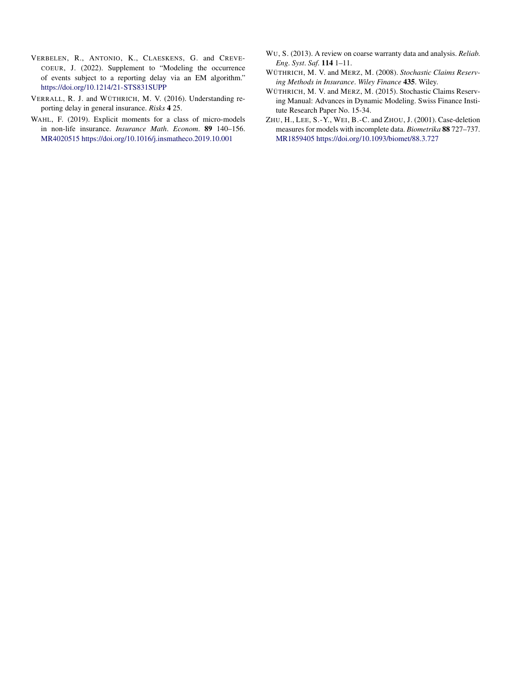- VERBELEN, R., ANTONIO, K., CLAESKENS, G. and CREVE-COEUR, J. (2022). Supplement to "Modeling the occurrence of events subject to a reporting delay via an EM algorithm." <https://doi.org/10.1214/21-STS831SUPP>
- VERRALL, R. J. and WÜTHRICH, M. V. (2016). Understanding reporting delay in general insurance. *Risks* **4** 25.
- WAHL, F. (2019). Explicit moments for a class of micro-models in non-life insurance. *Insurance Math*. *Econom*. **89** 140–156. [MR4020515](http://www.ams.org/mathscinet-getitem?mr=4020515)<https://doi.org/10.1016/j.insmatheco.2019.10.001>
- WU, S. (2013). A review on coarse warranty data and analysis. *Reliab*. *Eng*. *Syst*. *Saf*. **114** 1–11.
- WÜTHRICH, M. V. and MERZ, M. (2008). *Stochastic Claims Reserving Methods in Insurance*. *Wiley Finance* **435**. Wiley.
- WÜTHRICH, M. V. and MERZ, M. (2015). Stochastic Claims Reserving Manual: Advances in Dynamic Modeling. Swiss Finance Institute Research Paper No. 15-34.
- ZHU, H., LEE, S.-Y., WEI, B.-C. and ZHOU, J. (2001). Case-deletion measures for models with incomplete data. *Biometrika* **88** 727–737. [MR1859405](http://www.ams.org/mathscinet-getitem?mr=1859405)<https://doi.org/10.1093/biomet/88.3.727>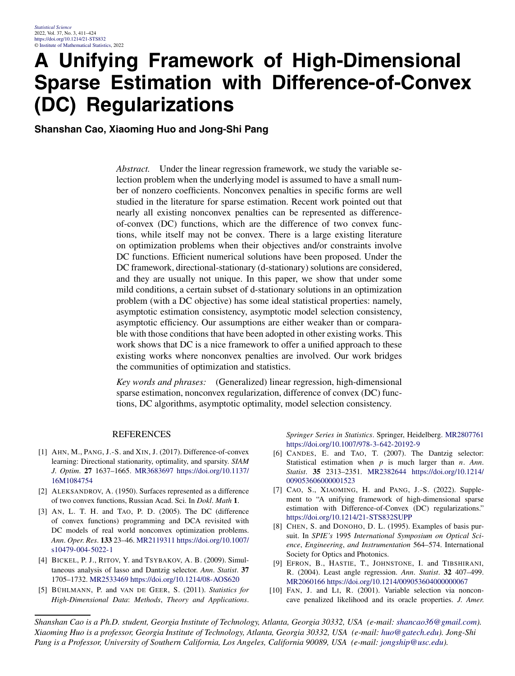### **A Unifying Framework of High-Dimensional Sparse Estimation with Difference-of-Convex (DC) Regularizations**

**Shanshan Cao, Xiaoming Huo and Jong-Shi Pang**

*Abstract.* Under the linear regression framework, we study the variable selection problem when the underlying model is assumed to have a small number of nonzero coefficients. Nonconvex penalties in specific forms are well studied in the literature for sparse estimation. Recent work pointed out that nearly all existing nonconvex penalties can be represented as differenceof-convex (DC) functions, which are the difference of two convex functions, while itself may not be convex. There is a large existing literature on optimization problems when their objectives and/or constraints involve DC functions. Efficient numerical solutions have been proposed. Under the DC framework, directional-stationary (d-stationary) solutions are considered, and they are usually not unique. In this paper, we show that under some mild conditions, a certain subset of d-stationary solutions in an optimization problem (with a DC objective) has some ideal statistical properties: namely, asymptotic estimation consistency, asymptotic model selection consistency, asymptotic efficiency. Our assumptions are either weaker than or comparable with those conditions that have been adopted in other existing works. This work shows that DC is a nice framework to offer a unified approach to these existing works where nonconvex penalties are involved. Our work bridges the communities of optimization and statistics.

*Key words and phrases:* (Generalized) linear regression, high-dimensional sparse estimation, nonconvex regularization, difference of convex (DC) functions, DC algorithms, asymptotic optimality, model selection consistency.

#### REFERENCES

- [1] AHN, M., PANG, J.-S. and XIN, J. (2017). Difference-of-convex learning: Directional stationarity, optimality, and sparsity. *SIAM J*. *Optim*. **27** 1637–1665. [MR3683697](http://www.ams.org/mathscinet-getitem?mr=3683697) [https://doi.org/10.1137/](https://doi.org/10.1137/16M1084754) [16M1084754](https://doi.org/10.1137/16M1084754)
- [2] ALEKSANDROV, A. (1950). Surfaces represented as a difference of two convex functions, Russian Acad. Sci. In *Dokl*. *Math* **1**.
- [3] AN, L. T. H. and TAO, P. D. (2005). The DC (difference of convex functions) programming and DCA revisited with DC models of real world nonconvex optimization problems. *Ann*. *Oper*. *Res*. **133** 23–46. [MR2119311](http://www.ams.org/mathscinet-getitem?mr=2119311) [https://doi.org/10.1007/](https://doi.org/10.1007/s10479-004-5022-1) [s10479-004-5022-1](https://doi.org/10.1007/s10479-004-5022-1)
- [4] BICKEL, P. J., RITOV, Y. and TSYBAKOV, A. B. (2009). Simultaneous analysis of lasso and Dantzig selector. *Ann*. *Statist*. **37** 1705–1732. [MR2533469](http://www.ams.org/mathscinet-getitem?mr=2533469)<https://doi.org/10.1214/08-AOS620>
- [5] BÜHLMANN, P. and VAN DE GEER, S. (2011). *Statistics for High-Dimensional Data*: *Methods*, *Theory and Applications*.

*Springer Series in Statistics*. Springer, Heidelberg. [MR2807761](http://www.ams.org/mathscinet-getitem?mr=2807761) <https://doi.org/10.1007/978-3-642-20192-9>

- [6] CANDES, E. and TAO, T. (2007). The Dantzig selector: Statistical estimation when *p* is much larger than *n*. *Ann*. *Statist*. **35** 2313–2351. [MR2382644](http://www.ams.org/mathscinet-getitem?mr=2382644) [https://doi.org/10.1214/](https://doi.org/10.1214/009053606000001523) [009053606000001523](https://doi.org/10.1214/009053606000001523)
- [7] CAO, S., XIAOMING, H. and PANG, J.-S. (2022). Supplement to "A unifying framework of high-dimensional sparse estimation with Difference-of-Convex (DC) regularizations." <https://doi.org/10.1214/21-STS832SUPP>
- [8] CHEN, S. and DONOHO, D. L. (1995). Examples of basis pursuit. In *SPIE's* 1995 *International Symposium on Optical Science*, *Engineering*, *and Instrumentation* 564–574. International Society for Optics and Photonics.
- [9] EFRON, B., HASTIE, T., JOHNSTONE, I. and TIBSHIRANI, R. (2004). Least angle regression. *Ann*. *Statist*. **32** 407–499. [MR2060166](http://www.ams.org/mathscinet-getitem?mr=2060166)<https://doi.org/10.1214/009053604000000067>
- [10] FAN, J. and LI, R. (2001). Variable selection via nonconcave penalized likelihood and its oracle properties. *J*. *Amer*.

*Shanshan Cao is a Ph.D. student, Georgia Institute of Technology, Atlanta, Georgia 30332, USA (e-mail: [shancao36@gmail.com\)](mailto:shancao36@gmail.com). Xiaoming Huo is a professor, Georgia Institute of Technology, Atlanta, Georgia 30332, USA (e-mail: [huo@gatech.edu](mailto:huo@gatech.edu)). Jong-Shi Pang is a Professor, University of Southern California, Los Angeles, California 90089, USA (e-mail: [jongship@usc.edu\)](mailto:jongship@usc.edu).*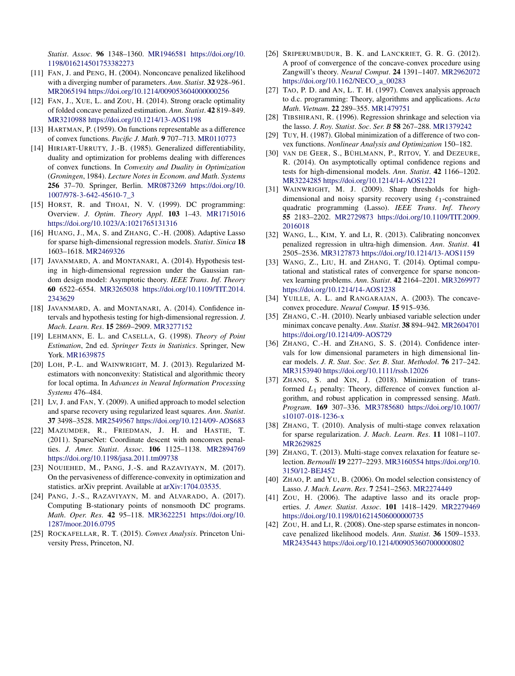*Statist*. *Assoc*. **96** 1348–1360. [MR1946581](http://www.ams.org/mathscinet-getitem?mr=1946581) [https://doi.org/10.](https://doi.org/10.1198/016214501753382273) [1198/016214501753382273](https://doi.org/10.1198/016214501753382273)

- [11] FAN, J. and PENG, H. (2004). Nonconcave penalized likelihood with a diverging number of parameters. *Ann*. *Statist*. **32** 928–961. [MR2065194](http://www.ams.org/mathscinet-getitem?mr=2065194)<https://doi.org/10.1214/009053604000000256>
- [12] FAN, J., XUE, L. and ZOU, H. (2014). Strong oracle optimality of folded concave penalized estimation. *Ann*. *Statist*. **42** 819–849. [MR3210988](http://www.ams.org/mathscinet-getitem?mr=3210988)<https://doi.org/10.1214/13-AOS1198>
- [13] HARTMAN, P. (1959). On functions representable as a difference of convex functions. *Pacific J*. *Math*. **9** 707–713. [MR0110773](http://www.ams.org/mathscinet-getitem?mr=0110773)
- [14] HIRIART-URRUTY, J.-B. (1985). Generalized differentiability, duality and optimization for problems dealing with differences of convex functions. In *Convexity and Duality in Optimization* (*Groningen*, 1984). *Lecture Notes in Econom*. *and Math*. *Systems* **256** 37–70. Springer, Berlin. [MR0873269](http://www.ams.org/mathscinet-getitem?mr=0873269) [https://doi.org/10.](https://doi.org/10.1007/978-3-642-45610-7_3) [1007/978-3-642-45610-7\\_3](https://doi.org/10.1007/978-3-642-45610-7_3)
- [15] HORST, R. and THOAI, N. V. (1999). DC programming: Overview. *J*. *Optim*. *Theory Appl*. **103** 1–43. [MR1715016](http://www.ams.org/mathscinet-getitem?mr=1715016) <https://doi.org/10.1023/A:1021765131316>
- [16] HUANG, J., MA, S. and ZHANG, C.-H. (2008). Adaptive Lasso for sparse high-dimensional regression models. *Statist*. *Sinica* **18** 1603–1618. [MR2469326](http://www.ams.org/mathscinet-getitem?mr=2469326)
- [17] JAVANMARD, A. and MONTANARI, A. (2014). Hypothesis testing in high-dimensional regression under the Gaussian random design model: Asymptotic theory. *IEEE Trans*. *Inf*. *Theory* **60** 6522–6554. [MR3265038](http://www.ams.org/mathscinet-getitem?mr=3265038) [https://doi.org/10.1109/TIT.2014.](https://doi.org/10.1109/TIT.2014.2343629) [2343629](https://doi.org/10.1109/TIT.2014.2343629)
- [18] JAVANMARD, A. and MONTANARI, A. (2014). Confidence intervals and hypothesis testing for high-dimensional regression. *J*. *Mach*. *Learn*. *Res*. **15** 2869–2909. [MR3277152](http://www.ams.org/mathscinet-getitem?mr=3277152)
- [19] LEHMANN, E. L. and CASELLA, G. (1998). *Theory of Point Estimation*, 2nd ed. *Springer Texts in Statistics*. Springer, New York. [MR1639875](http://www.ams.org/mathscinet-getitem?mr=1639875)
- [20] LOH, P.-L. and WAINWRIGHT, M. J. (2013). Regularized Mestimators with nonconvexity: Statistical and algorithmic theory for local optima. In *Advances in Neural Information Processing Systems* 476–484.
- [21] Lv, J. and FAN, Y. (2009). A unified approach to model selection and sparse recovery using regularized least squares. *Ann*. *Statist*. **37** 3498–3528. [MR2549567](http://www.ams.org/mathscinet-getitem?mr=2549567)<https://doi.org/10.1214/09-AOS683>
- [22] MAZUMDER, R., FRIEDMAN, J. H. and HASTIE, T. (2011). SparseNet: Coordinate descent with nonconvex penalties. *J*. *Amer*. *Statist*. *Assoc*. **106** 1125–1138. [MR2894769](http://www.ams.org/mathscinet-getitem?mr=2894769) <https://doi.org/10.1198/jasa.2011.tm09738>
- [23] NOUIEHED, M., PANG, J.-S. and RAZAVIYAYN, M. (2017). On the pervasiveness of difference-convexity in optimization and statistics. arXiv preprint. Available at [arXiv:1704.03535.](http://arxiv.org/abs/arXiv:1704.03535)
- [24] PANG, J.-S., RAZAVIYAYN, M. and ALVARADO, A. (2017). Computing B-stationary points of nonsmooth DC programs. *Math*. *Oper*. *Res*. **42** 95–118. [MR3622251](http://www.ams.org/mathscinet-getitem?mr=3622251) [https://doi.org/10.](https://doi.org/10.1287/moor.2016.0795) [1287/moor.2016.0795](https://doi.org/10.1287/moor.2016.0795)
- [25] ROCKAFELLAR, R. T. (2015). *Convex Analysis*. Princeton University Press, Princeton, NJ.
- [26] SRIPERUMBUDUR, B. K. and LANCKRIET, G. R. G. (2012). A proof of convergence of the concave-convex procedure using Zangwill's theory. *Neural Comput*. **24** 1391–1407. [MR2962072](http://www.ams.org/mathscinet-getitem?mr=2962072) [https://doi.org/10.1162/NECO\\_a\\_00283](https://doi.org/10.1162/NECO_a_00283)
- [27] TAO, P. D. and AN, L. T. H. (1997). Convex analysis approach to d.c. programming: Theory, algorithms and applications. *Acta Math*. *Vietnam*. **22** 289–355. [MR1479751](http://www.ams.org/mathscinet-getitem?mr=1479751)
- [28] TIBSHIRANI, R. (1996). Regression shrinkage and selection via the lasso. *J*. *Roy*. *Statist*. *Soc*. *Ser*. *B* **58** 267–288. [MR1379242](http://www.ams.org/mathscinet-getitem?mr=1379242)
- [29] TUY, H. (1987). Global minimization of a difference of two convex functions. *Nonlinear Analysis and Optimization* 150–182.
- [30] VAN DE GEER, S., BÜHLMANN, P., RITOV, Y. and DEZEURE, R. (2014). On asymptotically optimal confidence regions and tests for high-dimensional models. *Ann*. *Statist*. **42** 1166–1202. [MR3224285](http://www.ams.org/mathscinet-getitem?mr=3224285)<https://doi.org/10.1214/14-AOS1221>
- [31] WAINWRIGHT, M. J. (2009). Sharp thresholds for highdimensional and noisy sparsity recovery using  $\ell_1$ -constrained quadratic programming (Lasso). *IEEE Trans*. *Inf*. *Theory* **55** 2183–2202. [MR2729873](http://www.ams.org/mathscinet-getitem?mr=2729873) [https://doi.org/10.1109/TIT.2009.](https://doi.org/10.1109/TIT.2009.2016018) [2016018](https://doi.org/10.1109/TIT.2009.2016018)
- [32] WANG, L., KIM, Y. and LI, R. (2013). Calibrating nonconvex penalized regression in ultra-high dimension. *Ann*. *Statist*. **41** 2505–2536. [MR3127873](http://www.ams.org/mathscinet-getitem?mr=3127873)<https://doi.org/10.1214/13-AOS1159>
- [33] WANG, Z., LIU, H. and ZHANG, T. (2014). Optimal computational and statistical rates of convergence for sparse nonconvex learning problems. *Ann*. *Statist*. **42** 2164–2201. [MR3269977](http://www.ams.org/mathscinet-getitem?mr=3269977) <https://doi.org/10.1214/14-AOS1238>
- [34] YUILLE, A. L. and RANGARAJAN, A. (2003). The concaveconvex procedure. *Neural Comput*. **15** 915–936.
- [35] ZHANG, C.-H. (2010). Nearly unbiased variable selection under minimax concave penalty. *Ann*. *Statist*. **38** 894–942. [MR2604701](http://www.ams.org/mathscinet-getitem?mr=2604701) <https://doi.org/10.1214/09-AOS729>
- [36] ZHANG, C.-H. and ZHANG, S. S. (2014). Confidence intervals for low dimensional parameters in high dimensional linear models. *J*. *R*. *Stat*. *Soc*. *Ser*. *B*. *Stat*. *Methodol*. **76** 217–242. [MR3153940](http://www.ams.org/mathscinet-getitem?mr=3153940)<https://doi.org/10.1111/rssb.12026>
- [37] ZHANG, S. and XIN, J. (2018). Minimization of transformed *L*1 penalty: Theory, difference of convex function algorithm, and robust application in compressed sensing. *Math*. *Program*. **169** 307–336. [MR3785680](http://www.ams.org/mathscinet-getitem?mr=3785680) [https://doi.org/10.1007/](https://doi.org/10.1007/s10107-018-1236-x) [s10107-018-1236-x](https://doi.org/10.1007/s10107-018-1236-x)
- [38] ZHANG, T. (2010). Analysis of multi-stage convex relaxation for sparse regularization. *J*. *Mach*. *Learn*. *Res*. **11** 1081–1107. [MR2629825](http://www.ams.org/mathscinet-getitem?mr=2629825)
- [39] ZHANG, T. (2013). Multi-stage convex relaxation for feature selection. *Bernoulli* **19** 2277–2293. [MR3160554](http://www.ams.org/mathscinet-getitem?mr=3160554) [https://doi.org/10.](https://doi.org/10.3150/12-BEJ452) [3150/12-BEJ452](https://doi.org/10.3150/12-BEJ452)
- [40] ZHAO, P. and YU, B. (2006). On model selection consistency of Lasso. *J*. *Mach*. *Learn*. *Res*. **7** 2541–2563. [MR2274449](http://www.ams.org/mathscinet-getitem?mr=2274449)
- [41] ZOU, H. (2006). The adaptive lasso and its oracle properties. *J*. *Amer*. *Statist*. *Assoc*. **101** 1418–1429. [MR2279469](http://www.ams.org/mathscinet-getitem?mr=2279469) <https://doi.org/10.1198/016214506000000735>
- [42] ZOU, H. and LI, R. (2008). One-step sparse estimates in nonconcave penalized likelihood models. *Ann*. *Statist*. **36** 1509–1533. [MR2435443](http://www.ams.org/mathscinet-getitem?mr=2435443)<https://doi.org/10.1214/009053607000000802>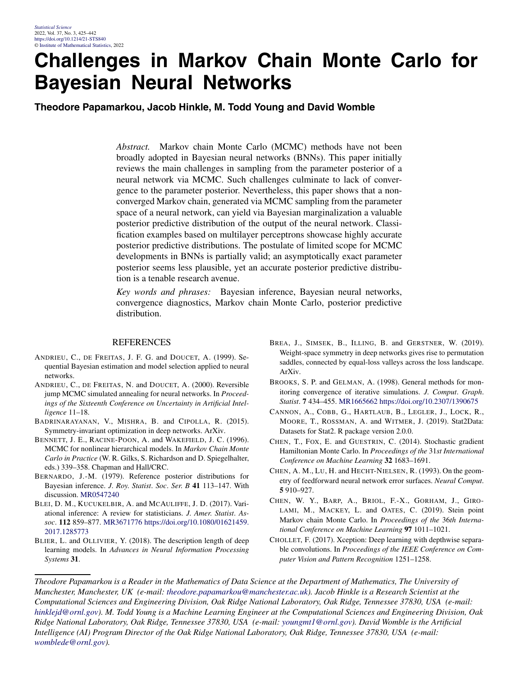### **Challenges in Markov Chain Monte Carlo for Bayesian Neural Networks**

**Theodore Papamarkou, Jacob Hinkle, M. Todd Young and David Womble**

*Abstract.* Markov chain Monte Carlo (MCMC) methods have not been broadly adopted in Bayesian neural networks (BNNs). This paper initially reviews the main challenges in sampling from the parameter posterior of a neural network via MCMC. Such challenges culminate to lack of convergence to the parameter posterior. Nevertheless, this paper shows that a nonconverged Markov chain, generated via MCMC sampling from the parameter space of a neural network, can yield via Bayesian marginalization a valuable posterior predictive distribution of the output of the neural network. Classification examples based on multilayer perceptrons showcase highly accurate posterior predictive distributions. The postulate of limited scope for MCMC developments in BNNs is partially valid; an asymptotically exact parameter posterior seems less plausible, yet an accurate posterior predictive distribution is a tenable research avenue.

*Key words and phrases:* Bayesian inference, Bayesian neural networks, convergence diagnostics, Markov chain Monte Carlo, posterior predictive distribution.

#### REFERENCES

- ANDRIEU, C., DE FREITAS, J. F. G. and DOUCET, A. (1999). Sequential Bayesian estimation and model selection applied to neural networks.
- ANDRIEU, C., DE FREITAS, N. and DOUCET, A. (2000). Reversible jump MCMC simulated annealing for neural networks. In *Proceedings of the Sixteenth Conference on Uncertainty in Artificial Intelligence* 11–18.
- BADRINARAYANAN, V., MISHRA, B. and CIPOLLA, R. (2015). Symmetry-invariant optimization in deep networks. ArXiv.
- BENNETT, J. E., RACINE-POON, A. and WAKEFIELD, J. C. (1996). MCMC for nonlinear hierarchical models. In *Markov Chain Monte Carlo in Practice* (W. R. Gilks, S. Richardson and D. Spiegelhalter, eds.) 339–358. Chapman and Hall/CRC.
- BERNARDO, J.-M. (1979). Reference posterior distributions for Bayesian inference. *J*. *Roy*. *Statist*. *Soc*. *Ser*. *B* **41** 113–147. With discussion. [MR0547240](http://www.ams.org/mathscinet-getitem?mr=0547240)
- BLEI, D. M., KUCUKELBIR, A. and MCAULIFFE, J. D. (2017). Variational inference: A review for statisticians. *J*. *Amer*. *Statist*. *Assoc*. **112** 859–877. [MR3671776](http://www.ams.org/mathscinet-getitem?mr=3671776) [https://doi.org/10.1080/01621459.](https://doi.org/10.1080/01621459.2017.1285773) [2017.1285773](https://doi.org/10.1080/01621459.2017.1285773)
- BLIER, L. and OLLIVIER, Y. (2018). The description length of deep learning models. In *Advances in Neural Information Processing Systems* **31**.
- BREA, J., SIMSEK, B., ILLING, B. and GERSTNER, W. (2019). Weight-space symmetry in deep networks gives rise to permutation saddles, connected by equal-loss valleys across the loss landscape. ArXiv.
- BROOKS, S. P. and GELMAN, A. (1998). General methods for monitoring convergence of iterative simulations. *J*. *Comput*. *Graph*. *Statist*. **7** 434–455. [MR1665662](http://www.ams.org/mathscinet-getitem?mr=1665662)<https://doi.org/10.2307/1390675>
- CANNON, A., COBB, G., HARTLAUB, B., LEGLER, J., LOCK, R., MOORE, T., ROSSMAN, A. and WITMER, J. (2019). Stat2Data: Datasets for Stat2. R package version 2.0.0.
- CHEN, T., FOX, E. and GUESTRIN, C. (2014). Stochastic gradient Hamiltonian Monte Carlo. In *Proceedings of the* 31*st International Conference on Machine Learning* **32** 1683–1691.
- CHEN, A. M., LU, H. and HECHT-NIELSEN, R. (1993). On the geometry of feedforward neural network error surfaces. *Neural Comput*. **5** 910–927.
- CHEN, W. Y., BARP, A., BRIOL, F.-X., GORHAM, J., GIRO-LAMI, M., MACKEY, L. and OATES, C. (2019). Stein point Markov chain Monte Carlo. In *Proceedings of the* 36*th International Conference on Machine Learning* **97** 1011–1021.
- CHOLLET, F. (2017). Xception: Deep learning with depthwise separable convolutions. In *Proceedings of the IEEE Conference on Computer Vision and Pattern Recognition* 1251–1258.

*Theodore Papamarkou is a Reader in the Mathematics of Data Science at the Department of Mathematics, The University of Manchester, Manchester, UK (e-mail: [theodore.papamarkou@manchester.ac.uk\)](mailto:theodore.papamarkou@manchester.ac.uk). Jacob Hinkle is a Research Scientist at the Computational Sciences and Engineering Division, Oak Ridge National Laboratory, Oak Ridge, Tennessee 37830, USA (e-mail: [hinklejd@ornl.gov](mailto:hinklejd@ornl.gov)). M. Todd Young is a Machine Learning Engineer at the Computational Sciences and Engineering Division, Oak Ridge National Laboratory, Oak Ridge, Tennessee 37830, USA (e-mail: [youngmt1@ornl.gov](mailto:youngmt1@ornl.gov)). David Womble is the Artificial Intelligence (AI) Program Director of the Oak Ridge National Laboratory, Oak Ridge, Tennessee 37830, USA (e-mail: [womblede@ornl.gov](mailto:womblede@ornl.gov)).*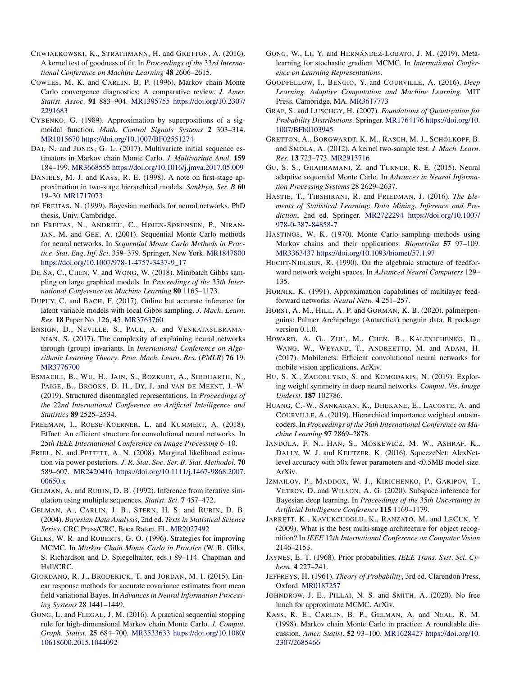- CHWIALKOWSKI, K., STRATHMANN, H. and GRETTON, A. (2016). A kernel test of goodness of fit. In *Proceedings of the* 33*rd International Conference on Machine Learning* **48** 2606–2615.
- COWLES, M. K. and CARLIN, B. P. (1996). Markov chain Monte Carlo convergence diagnostics: A comparative review. *J*. *Amer*. *Statist*. *Assoc*. **91** 883–904. [MR1395755](http://www.ams.org/mathscinet-getitem?mr=1395755) [https://doi.org/10.2307/](https://doi.org/10.2307/2291683) [2291683](https://doi.org/10.2307/2291683)
- CYBENKO, G. (1989). Approximation by superpositions of a sigmoidal function. *Math*. *Control Signals Systems* **2** 303–314. [MR1015670](http://www.ams.org/mathscinet-getitem?mr=1015670)<https://doi.org/10.1007/BF02551274>
- DAI, N. and JONES, G. L. (2017). Multivariate initial sequence estimators in Markov chain Monte Carlo. *J*. *Multivariate Anal*. **159** 184–199. [MR3668555](http://www.ams.org/mathscinet-getitem?mr=3668555)<https://doi.org/10.1016/j.jmva.2017.05.009>
- DANIELS, M. J. and KASS, R. E. (1998). A note on first-stage approximation in two-stage hierarchical models. *Sankhya*, *Ser*. *B* **60** 19–30. [MR1717073](http://www.ams.org/mathscinet-getitem?mr=1717073)
- DE FREITAS, N. (1999). Bayesian methods for neural networks. PhD thesis, Univ. Cambridge.
- DE FREITAS, N., ANDRIEU, C., HØJEN-SØRENSEN, P., NIRAN-JAN, M. and GEE, A. (2001). Sequential Monte Carlo methods for neural networks. In *Sequential Monte Carlo Methods in Practice*. *Stat*. *Eng*. *Inf*. *Sci*. 359–379. Springer, New York. [MR1847800](http://www.ams.org/mathscinet-getitem?mr=1847800) [https://doi.org/10.1007/978-1-4757-3437-9\\_17](https://doi.org/10.1007/978-1-4757-3437-9_17)
- DE SA, C., CHEN, V. and WONG, W. (2018). Minibatch Gibbs sampling on large graphical models. In *Proceedings of the* 35*th International Conference on Machine Learning* **80** 1165–1173.
- DUPUY, C. and BACH, F. (2017). Online but accurate inference for latent variable models with local Gibbs sampling. *J*. *Mach*. *Learn*. *Res*. **18** Paper No. 126, 45. [MR3763760](http://www.ams.org/mathscinet-getitem?mr=3763760)
- ENSIGN, D., NEVILLE, S., PAUL, A. and VENKATASUBRAMA-NIAN, S. (2017). The complexity of explaining neural networks through (group) invariants. In *International Conference on Algorithmic Learning Theory*. *Proc*. *Mach*. *Learn*. *Res*. (*PMLR*) **76** 19. [MR3776700](http://www.ams.org/mathscinet-getitem?mr=3776700)
- ESMAEILI, B., WU, H., JAIN, S., BOZKURT, A., SIDDHARTH, N., PAIGE, B., BROOKS, D. H., DY, J. and VAN DE MEENT, J.-W. (2019). Structured disentangled representations. In *Proceedings of the* 22*nd International Conference on Artificial Intelligence and Statistics* **89** 2525–2534.
- FREEMAN, I., ROESE-KOERNER, L. and KUMMERT, A. (2018). Effnet: An efficient structure for convolutional neural networks. In 25*th IEEE International Conference on Image Processing* 6–10.
- FRIEL, N. and PETTITT, A. N. (2008). Marginal likelihood estimation via power posteriors. *J*. *R*. *Stat*. *Soc*. *Ser*. *B*. *Stat*. *Methodol*. **70** 589–607. [MR2420416](http://www.ams.org/mathscinet-getitem?mr=2420416) [https://doi.org/10.1111/j.1467-9868.2007.](https://doi.org/10.1111/j.1467-9868.2007.00650.x) [00650.x](https://doi.org/10.1111/j.1467-9868.2007.00650.x)
- GELMAN, A. and RUBIN, D. B. (1992). Inference from iterative simulation using multiple sequences. *Statist*. *Sci*. **7** 457–472.
- GELMAN, A., CARLIN, J. B., STERN, H. S. and RUBIN, D. B. (2004). *Bayesian Data Analysis*, 2nd ed. *Texts in Statistical Science Series*. CRC Press/CRC, Boca Raton, FL. [MR2027492](http://www.ams.org/mathscinet-getitem?mr=2027492)
- GILKS, W. R. and ROBERTS, G. O. (1996). Strategies for improving MCMC. In *Markov Chain Monte Carlo in Practice* (W. R. Gilks, S. Richardson and D. Spiegelhalter, eds.) 89–114. Chapman and Hall/CRC.
- GIORDANO, R. J., BRODERICK, T. and JORDAN, M. I. (2015). Linear response methods for accurate covariance estimates from mean field variational Bayes. In *Advances in Neural Information Processing Systems* 28 1441–1449.
- GONG, L. and FLEGAL, J. M. (2016). A practical sequential stopping rule for high-dimensional Markov chain Monte Carlo. *J*. *Comput*. *Graph*. *Statist*. **25** 684–700. [MR3533633](http://www.ams.org/mathscinet-getitem?mr=3533633) [https://doi.org/10.1080/](https://doi.org/10.1080/10618600.2015.1044092) [10618600.2015.1044092](https://doi.org/10.1080/10618600.2015.1044092)
- GONG, W., LI, Y. and HERNÁNDEZ-LOBATO, J. M. (2019). Metalearning for stochastic gradient MCMC. In *International Conference on Learning Representations*.
- GOODFELLOW, I., BENGIO, Y. and COURVILLE, A. (2016). *Deep Learning*. *Adaptive Computation and Machine Learning*. MIT Press, Cambridge, MA. [MR3617773](http://www.ams.org/mathscinet-getitem?mr=3617773)
- GRAF, S. and LUSCHGY, H. (2007). *Foundations of Quantization for Probability Distributions*. Springer. [MR1764176](http://www.ams.org/mathscinet-getitem?mr=1764176) [https://doi.org/10.](https://doi.org/10.1007/BFb0103945) [1007/BFb0103945](https://doi.org/10.1007/BFb0103945)
- GRETTON, A., BORGWARDT, K. M., RASCH, M. J., SCHÖLKOPF, B. and SMOLA, A. (2012). A kernel two-sample test. *J*. *Mach*. *Learn*. *Res*. **13** 723–773. [MR2913716](http://www.ams.org/mathscinet-getitem?mr=2913716)
- GU, S. S., GHAHRAMANI, Z. and TURNER, R. E. (2015). Neural adaptive sequential Monte Carlo. In *Advances in Neural Information Processing Systems* 28 2629–2637.
- HASTIE, T., TIBSHIRANI, R. and FRIEDMAN, J. (2016). *The Elements of Statistical Learning*: *Data Mining*, *Inference and Prediction*, 2nd ed. Springer. [MR2722294](http://www.ams.org/mathscinet-getitem?mr=2722294) [https://doi.org/10.1007/](https://doi.org/10.1007/978-0-387-84858-7) [978-0-387-84858-7](https://doi.org/10.1007/978-0-387-84858-7)
- HASTINGS, W. K. (1970). Monte Carlo sampling methods using Markov chains and their applications. *Biometrika* **57** 97–109. [MR3363437](http://www.ams.org/mathscinet-getitem?mr=3363437)<https://doi.org/10.1093/biomet/57.1.97>
- HECHT-NIELSEN, R. (1990). On the algebraic structure of feedforward network weight spaces. In *Advanced Neural Computers* 129– 135.
- HORNIK, K. (1991). Approximation capabilities of multilayer feedforward networks. *Neural Netw*. **4** 251–257.
- HORST, A. M., HILL, A. P. and GORMAN, K. B. (2020). palmerpenguins: Palmer Archipelago (Antarctica) penguin data. R package version 0.1.0.
- HOWARD, A. G., ZHU, M., CHEN, B., KALENICHENKO, D., WANG, W., WEYAND, T., ANDREETTO, M. and ADAM, H. (2017). Mobilenets: Efficient convolutional neural networks for mobile vision applications. ArXiv.
- HU, S. X., ZAGORUYKO, S. and KOMODAKIS, N. (2019). Exploring weight symmetry in deep neural networks. *Comput*. *Vis*. *Image Underst*. **187** 102786.
- HUANG, C.-W., SANKARAN, K., DHEKANE, E., LACOSTE, A. and COURVILLE, A. (2019). Hierarchical importance weighted autoencoders. In *Proceedings of the* 36*th International Conference on Machine Learning* **97** 2869–2878.
- IANDOLA, F. N., HAN, S., MOSKEWICZ, M. W., ASHRAF, K., DALLY, W. J. and KEUTZER, K. (2016). SqueezeNet: AlexNetlevel accuracy with 50x fewer parameters and <0.5MB model size. ArXiv.
- IZMAILOV, P., MADDOX, W. J., KIRICHENKO, P., GARIPOV, T., VETROV, D. and WILSON, A. G. (2020). Subspace inference for Bayesian deep learning. In *Proceedings of the* 35*th Uncertainty in Artificial Intelligence Conference* **115** 1169–1179.
- JARRETT, K., KAVUKCUOGLU, K., RANZATO, M. and LECUN, Y. (2009). What is the best multi-stage architecture for object recognition? In *IEEE* 12*th International Conference on Computer Vision* 2146–2153.
- JAYNES, E. T. (1968). Prior probabilities. *IEEE Trans*. *Syst*. *Sci*. *Cybern*. **4** 227–241.
- JEFFREYS, H. (1961). *Theory of Probability*, 3rd ed. Clarendon Press, Oxford. [MR0187257](http://www.ams.org/mathscinet-getitem?mr=0187257)
- JOHNDROW, J. E., PILLAI, N. S. and SMITH, A. (2020). No free lunch for approximate MCMC. ArXiv.
- KASS, R. E., CARLIN, B. P., GELMAN, A. and NEAL, R. M. (1998). Markov chain Monte Carlo in practice: A roundtable discussion. *Amer*. *Statist*. **52** 93–100. [MR1628427](http://www.ams.org/mathscinet-getitem?mr=1628427) [https://doi.org/10.](https://doi.org/10.2307/2685466) [2307/2685466](https://doi.org/10.2307/2685466)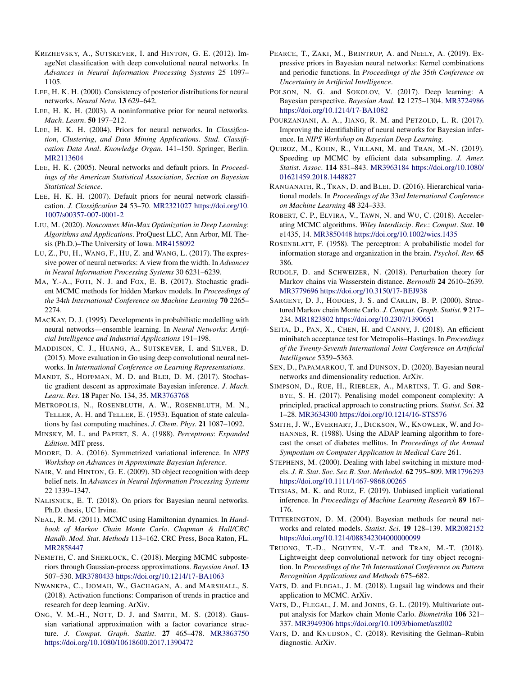- KRIZHEVSKY, A., SUTSKEVER, I. and HINTON, G. E. (2012). ImageNet classification with deep convolutional neural networks. In *Advances in Neural Information Processing Systems* 25 1097– 1105.
- LEE, H. K. H. (2000). Consistency of posterior distributions for neural networks. *Neural Netw*. **13** 629–642.
- LEE, H. K. H. (2003). A noninformative prior for neural networks. *Mach*. *Learn*. **50** 197–212.
- LEE, H. K. H. (2004). Priors for neural networks. In *Classification*, *Clustering*, *and Data Mining Applications*. *Stud*. *Classification Data Anal*. *Knowledge Organ*. 141–150. Springer, Berlin. [MR2113604](http://www.ams.org/mathscinet-getitem?mr=2113604)
- LEE, H. K. (2005). Neural networks and default priors. In *Proceedings of the American Statistical Association*, *Section on Bayesian Statistical Science*.
- LEE, H. K. H. (2007). Default priors for neural network classification. *J*. *Classification* **24** 53–70. [MR2321027](http://www.ams.org/mathscinet-getitem?mr=2321027) [https://doi.org/10.](https://doi.org/10.1007/s00357-007-0001-2) [1007/s00357-007-0001-2](https://doi.org/10.1007/s00357-007-0001-2)
- LIU, M. (2020). *Nonconvex Min-Max Optimization in Deep Learning*: *Algorithms and Applications*. ProQuest LLC, Ann Arbor, MI. Thesis (Ph.D.)–The University of Iowa. [MR4158092](http://www.ams.org/mathscinet-getitem?mr=4158092)
- LU, Z., PU, H., WANG, F., HU, Z. and WANG, L. (2017). The expressive power of neural networks: A view from the width. In *Advances in Neural Information Processing Systems* 30 6231–6239.
- MA, Y.-A., FOTI, N. J. and FOX, E. B. (2017). Stochastic gradient MCMC methods for hidden Markov models. In *Proceedings of the* 34*th International Conference on Machine Learning* **70** 2265– 2274.
- MACKAY, D. J. (1995). Developments in probabilistic modelling with neural networks—ensemble learning. In *Neural Networks*: *Artificial Intelligence and Industrial Applications* 191–198.
- MADDISON, C. J., HUANG, A., SUTSKEVER, I. and SILVER, D. (2015). Move evaluation in Go using deep convolutional neural networks. In *International Conference on Learning Representations*.
- MANDT, S., HOFFMAN, M. D. and BLEI, D. M. (2017). Stochastic gradient descent as approximate Bayesian inference. *J*. *Mach*. *Learn*. *Res*. **18** Paper No. 134, 35. [MR3763768](http://www.ams.org/mathscinet-getitem?mr=3763768)
- METROPOLIS, N., ROSENBLUTH, A. W., ROSENBLUTH, M. N., TELLER, A. H. and TELLER, E. (1953). Equation of state calculations by fast computing machines. *J*. *Chem*. *Phys*. **21** 1087–1092.
- MINSKY, M. L. and PAPERT, S. A. (1988). *Perceptrons*: *Expanded Edition*. MIT press.
- MOORE, D. A. (2016). Symmetrized variational inference. In *NIPS Workshop on Advances in Approximate Bayesian Inference*.
- NAIR, V. and HINTON, G. E. (2009). 3D object recognition with deep belief nets. In *Advances in Neural Information Processing Systems* 22 1339–1347.
- NALISNICK, E. T. (2018). On priors for Bayesian neural networks. Ph.D. thesis, UC Irvine.
- NEAL, R. M. (2011). MCMC using Hamiltonian dynamics. In *Handbook of Markov Chain Monte Carlo*. *Chapman & Hall/CRC Handb*. *Mod*. *Stat*. *Methods* 113–162. CRC Press, Boca Raton, FL. [MR2858447](http://www.ams.org/mathscinet-getitem?mr=2858447)
- NEMETH, C. and SHERLOCK, C. (2018). Merging MCMC subposteriors through Gaussian-process approximations. *Bayesian Anal*. **13** 507–530. [MR3780433](http://www.ams.org/mathscinet-getitem?mr=3780433)<https://doi.org/10.1214/17-BA1063>
- NWANKPA, C., IJOMAH, W., GACHAGAN, A. and MARSHALL, S. (2018). Activation functions: Comparison of trends in practice and research for deep learning. ArXiv.
- ONG, V. M.-H., NOTT, D. J. and SMITH, M. S. (2018). Gaussian variational approximation with a factor covariance structure. *J*. *Comput*. *Graph*. *Statist*. **27** 465–478. [MR3863750](http://www.ams.org/mathscinet-getitem?mr=3863750) <https://doi.org/10.1080/10618600.2017.1390472>
- PEARCE, T., ZAKI, M., BRINTRUP, A. and NEELY, A. (2019). Expressive priors in Bayesian neural networks: Kernel combinations and periodic functions. In *Proceedings of the* 35*th Conference on Uncertainty in Artificial Intelligence*.
- POLSON, N. G. and SOKOLOV, V. (2017). Deep learning: A Bayesian perspective. *Bayesian Anal*. **12** 1275–1304. [MR3724986](http://www.ams.org/mathscinet-getitem?mr=3724986) <https://doi.org/10.1214/17-BA1082>
- POURZANJANI, A. A., JIANG, R. M. and PETZOLD, L. R. (2017). Improving the identifiability of neural networks for Bayesian inference. In *NIPS Workshop on Bayesian Deep Learning*.
- QUIROZ, M., KOHN, R., VILLANI, M. and TRAN, M.-N. (2019). Speeding up MCMC by efficient data subsampling. *J*. *Amer*. *Statist*. *Assoc*. **114** 831–843. [MR3963184](http://www.ams.org/mathscinet-getitem?mr=3963184) [https://doi.org/10.1080/](https://doi.org/10.1080/01621459.2018.1448827) [01621459.2018.1448827](https://doi.org/10.1080/01621459.2018.1448827)
- RANGANATH, R., TRAN, D. and BLEI, D. (2016). Hierarchical variational models. In *Proceedings of the* 33*rd International Conference on Machine Learning* **48** 324–333.
- ROBERT, C. P., ELVIRA, V., TAWN, N. and WU, C. (2018). Accelerating MCMC algorithms. *Wiley Interdiscip*. *Rev*.: *Comput*. *Stat*. **10** e1435, 14. [MR3850448](http://www.ams.org/mathscinet-getitem?mr=3850448)<https://doi.org/10.1002/wics.1435>
- ROSENBLATT, F. (1958). The perceptron: A probabilistic model for information storage and organization in the brain. *Psychol*. *Rev*. **65** 386.
- RUDOLF, D. and SCHWEIZER, N. (2018). Perturbation theory for Markov chains via Wasserstein distance. *Bernoulli* **24** 2610–2639. [MR3779696](http://www.ams.org/mathscinet-getitem?mr=3779696)<https://doi.org/10.3150/17-BEJ938>
- SARGENT, D. J., HODGES, J. S. and CARLIN, B. P. (2000). Structured Markov chain Monte Carlo. *J*. *Comput*. *Graph*. *Statist*. **9** 217– 234. [MR1823802](http://www.ams.org/mathscinet-getitem?mr=1823802)<https://doi.org/10.2307/1390651>
- SEITA, D., PAN, X., CHEN, H. and CANNY, J. (2018). An efficient minibatch acceptance test for Metropolis–Hastings. In *Proceedings of the Twenty-Seventh International Joint Conference on Artificial Intelligence* 5359–5363.
- SEN, D., PAPAMARKOU, T. and DUNSON, D. (2020). Bayesian neural networks and dimensionality reduction. ArXiv.
- SIMPSON, D., RUE, H., RIEBLER, A., MARTINS, T. G. and SØR-BYE, S. H. (2017). Penalising model component complexity: A principled, practical approach to constructing priors. *Statist*. *Sci*. **32** 1–28. [MR3634300](http://www.ams.org/mathscinet-getitem?mr=3634300)<https://doi.org/10.1214/16-STS576>
- SMITH, J. W., EVERHART, J., DICKSON, W., KNOWLER, W. and JO-HANNES, R. (1988). Using the ADAP learning algorithm to forecast the onset of diabetes mellitus. In *Proceedings of the Annual Symposium on Computer Application in Medical Care* 261.
- STEPHENS, M. (2000). Dealing with label switching in mixture models. *J*. *R*. *Stat*. *Soc*. *Ser*. *B*. *Stat*. *Methodol*. **62** 795–809. [MR1796293](http://www.ams.org/mathscinet-getitem?mr=1796293) <https://doi.org/10.1111/1467-9868.00265>
- TITSIAS, M. K. and RUIZ, F. (2019). Unbiased implicit variational inference. In *Proceedings of Machine Learning Research* **89** 167– 176.
- TITTERINGTON, D. M. (2004). Bayesian methods for neural networks and related models. *Statist*. *Sci*. **19** 128–139. [MR2082152](http://www.ams.org/mathscinet-getitem?mr=2082152) <https://doi.org/10.1214/088342304000000099>
- TRUONG, T.-D., NGUYEN, V.-T. and TRAN, M.-T. (2018). Lightweight deep convolutional network for tiny object recognition. In *Proceedings of the* 7*th International Conference on Pattern Recognition Applications and Methods* 675–682.
- VATS, D. and FLEGAL, J. M. (2018). Lugsail lag windows and their application to MCMC. ArXiv.
- VATS, D., FLEGAL, J. M. and JONES, G. L. (2019). Multivariate output analysis for Markov chain Monte Carlo. *Biometrika* **106** 321– 337. [MR3949306](http://www.ams.org/mathscinet-getitem?mr=3949306)<https://doi.org/10.1093/biomet/asz002>
- VATS, D. and KNUDSON, C. (2018). Revisiting the Gelman–Rubin diagnostic. ArXiv.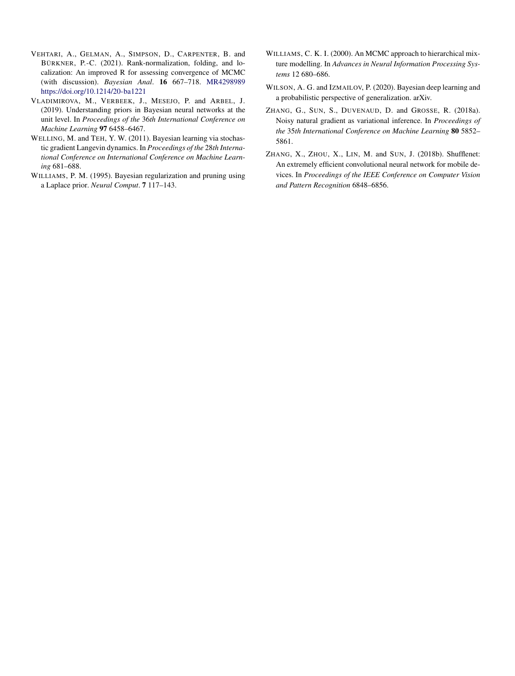- VEHTARI, A., GELMAN, A., SIMPSON, D., CARPENTER, B. and BÜRKNER, P.-C. (2021). Rank-normalization, folding, and localization: An improved R for assessing convergence of MCMC (with discussion). *Bayesian Anal*. **16** 667–718. [MR4298989](http://www.ams.org/mathscinet-getitem?mr=4298989) <https://doi.org/10.1214/20-ba1221>
- VLADIMIROVA, M., VERBEEK, J., MESEJO, P. and ARBEL, J. (2019). Understanding priors in Bayesian neural networks at the unit level. In *Proceedings of the* 36*th International Conference on Machine Learning* **97** 6458–6467.
- WELLING, M. and TEH, Y. W. (2011). Bayesian learning via stochastic gradient Langevin dynamics. In *Proceedings of the* 28*th International Conference on International Conference on Machine Learning* 681–688.
- WILLIAMS, P. M. (1995). Bayesian regularization and pruning using a Laplace prior. *Neural Comput*. **7** 117–143.
- WILLIAMS, C. K. I. (2000). An MCMC approach to hierarchical mixture modelling. In *Advances in Neural Information Processing Systems* 12 680–686.
- WILSON, A. G. and IZMAILOV, P. (2020). Bayesian deep learning and a probabilistic perspective of generalization. arXiv.
- ZHANG, G., SUN, S., DUVENAUD, D. and GROSSE, R. (2018a). Noisy natural gradient as variational inference. In *Proceedings of the* 35*th International Conference on Machine Learning* **80** 5852– 5861.
- ZHANG, X., ZHOU, X., LIN, M. and SUN, J. (2018b). Shufflenet: An extremely efficient convolutional neural network for mobile devices. In *Proceedings of the IEEE Conference on Computer Vision and Pattern Recognition* 6848–6856.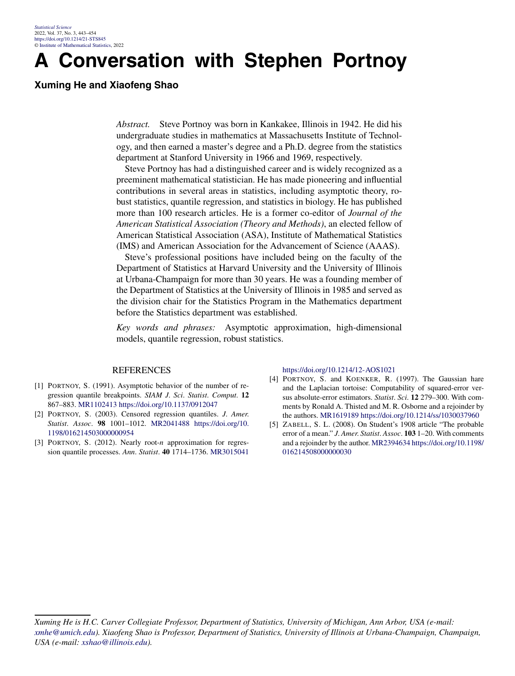## **A Conversation with Stephen Portnoy**

### **Xuming He and Xiaofeng Shao**

*Abstract.* Steve Portnoy was born in Kankakee, Illinois in 1942. He did his undergraduate studies in mathematics at Massachusetts Institute of Technology, and then earned a master's degree and a Ph.D. degree from the statistics department at Stanford University in 1966 and 1969, respectively.

Steve Portnoy has had a distinguished career and is widely recognized as a preeminent mathematical statistician. He has made pioneering and influential contributions in several areas in statistics, including asymptotic theory, robust statistics, quantile regression, and statistics in biology. He has published more than 100 research articles. He is a former co-editor of *Journal of the American Statistical Association (Theory and Methods)*, an elected fellow of American Statistical Association (ASA), Institute of Mathematical Statistics (IMS) and American Association for the Advancement of Science (AAAS).

Steve's professional positions have included being on the faculty of the Department of Statistics at Harvard University and the University of Illinois at Urbana-Champaign for more than 30 years. He was a founding member of the Department of Statistics at the University of Illinois in 1985 and served as the division chair for the Statistics Program in the Mathematics department before the Statistics department was established.

*Key words and phrases:* Asymptotic approximation, high-dimensional models, quantile regression, robust statistics.

#### REFERENCES

- [1] PORTNOY, S. (1991). Asymptotic behavior of the number of regression quantile breakpoints. *SIAM J*. *Sci*. *Statist*. *Comput*. **12** 867–883. [MR1102413](http://www.ams.org/mathscinet-getitem?mr=1102413)<https://doi.org/10.1137/0912047>
- [2] PORTNOY, S. (2003). Censored regression quantiles. *J*. *Amer*. *Statist*. *Assoc*. **98** 1001–1012. [MR2041488](http://www.ams.org/mathscinet-getitem?mr=2041488) [https://doi.org/10.](https://doi.org/10.1198/016214503000000954) [1198/016214503000000954](https://doi.org/10.1198/016214503000000954)
- [3] PORTNOY, S. (2012). Nearly root-*n* approximation for regression quantile processes. *Ann*. *Statist*. **40** 1714–1736. [MR3015041](http://www.ams.org/mathscinet-getitem?mr=3015041)

<https://doi.org/10.1214/12-AOS1021>

- [4] PORTNOY, S. and KOENKER, R. (1997). The Gaussian hare and the Laplacian tortoise: Computability of squared-error versus absolute-error estimators. *Statist*. *Sci*. **12** 279–300. With comments by Ronald A. Thisted and M. R. Osborne and a rejoinder by the authors. [MR1619189](http://www.ams.org/mathscinet-getitem?mr=1619189)<https://doi.org/10.1214/ss/1030037960>
- [5] ZABELL, S. L. (2008). On Student's 1908 article "The probable error of a mean." *J*. *Amer*. *Statist*. *Assoc*. **103** 1–20. With comments and a rejoinder by the author. [MR2394634](http://www.ams.org/mathscinet-getitem?mr=2394634) [https://doi.org/10.1198/](https://doi.org/10.1198/016214508000000030) [016214508000000030](https://doi.org/10.1198/016214508000000030)

*Xuming He is H.C. Carver Collegiate Professor, Department of Statistics, University of Michigan, Ann Arbor, USA (e-mail: [xmhe@umich.edu\)](mailto:xmhe@umich.edu). Xiaofeng Shao is Professor, Department of Statistics, University of Illinois at Urbana-Champaign, Champaign, USA (e-mail: [xshao@illinois.edu\)](mailto:xshao@illinois.edu).*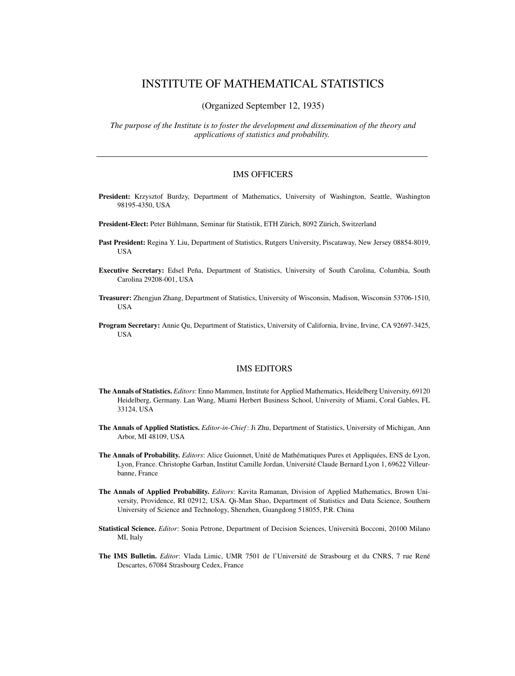### INSTITUTE OF MATHEMATICAL STATISTICS

(Organized September 12, 1935)

*The purpose of the Institute is to foster the development and dissemination of the theory and applications of statistics and probability.*

#### IMS OFFICERS

- **President:** Krzysztof Burdzy, Department of Mathematics, University of Washington, Seattle, Washington 98195-4350, USA
- **President-Elect:** Peter Bühlmann, Seminar für Statistik, ETH Zürich, 8092 Zürich, Switzerland
- **Past President:** Regina Y. Liu, Department of Statistics, Rutgers University, Piscataway, New Jersey 08854-8019, **USA**
- **Executive Secretary:** Edsel Peña, Department of Statistics, University of South Carolina, Columbia, South Carolina 29208-001, USA
- **Treasurer:** Zhengjun Zhang, Department of Statistics, University of Wisconsin, Madison, Wisconsin 53706-1510, **USA**
- **Program Secretary:** Annie Qu, Department of Statistics, University of California, Irvine, Irvine, CA 92697-3425, **IISA**

#### IMS EDITORS

- **The Annals of Statistics.** *Editors*: Enno Mammen, Institute for Applied Mathematics, Heidelberg University, 69120 Heidelberg, Germany. Lan Wang, Miami Herbert Business School, University of Miami, Coral Gables, FL 33124, USA
- **The Annals of Applied Statistics.** *Editor-in-Chief* : Ji Zhu, Department of Statistics, University of Michigan, Ann Arbor, MI 48109, USA
- **The Annals of Probability.** *Editors*: Alice Guionnet, Unité de Mathématiques Pures et Appliquées, ENS de Lyon, Lyon, France. Christophe Garban, Institut Camille Jordan, Université Claude Bernard Lyon 1, 69622 Villeurbanne, France
- **The Annals of Applied Probability.** *Editors*: Kavita Ramanan, Division of Applied Mathematics, Brown University, Providence, RI 02912, USA. Qi-Man Shao, Department of Statistics and Data Science, Southern University of Science and Technology, Shenzhen, Guangdong 518055, P.R. China
- **Statistical Science.** *Editor*: Sonia Petrone, Department of Decision Sciences, Università Bocconi, 20100 Milano MI, Italy
- **The IMS Bulletin.** *Editor*: Vlada Limic, UMR 7501 de l'Université de Strasbourg et du CNRS, 7 rue René Descartes, 67084 Strasbourg Cedex, France